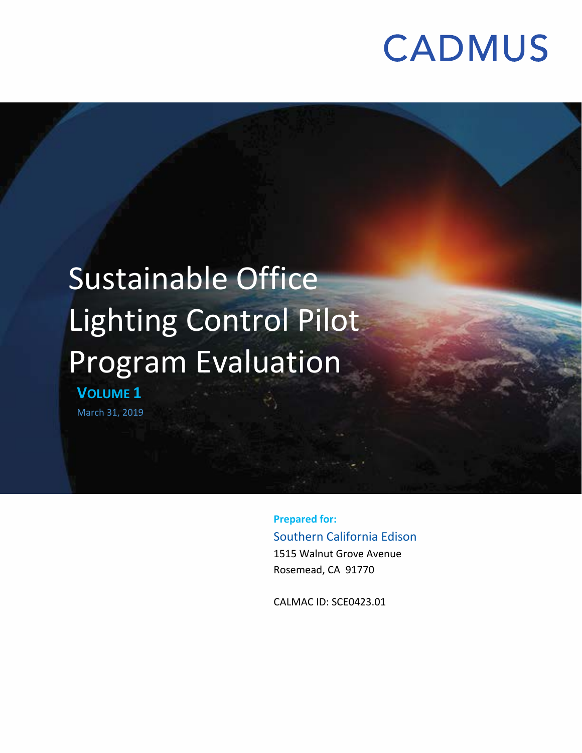## Sustainable Office Lighting Control Pilot Program Evaluation **VOLUME 1** March 31, 2019

**Prepared for:** Southern California Edison 1515 Walnut Grove Avenue Rosemead, CA 91770

CALMAC ID: SCE0423.01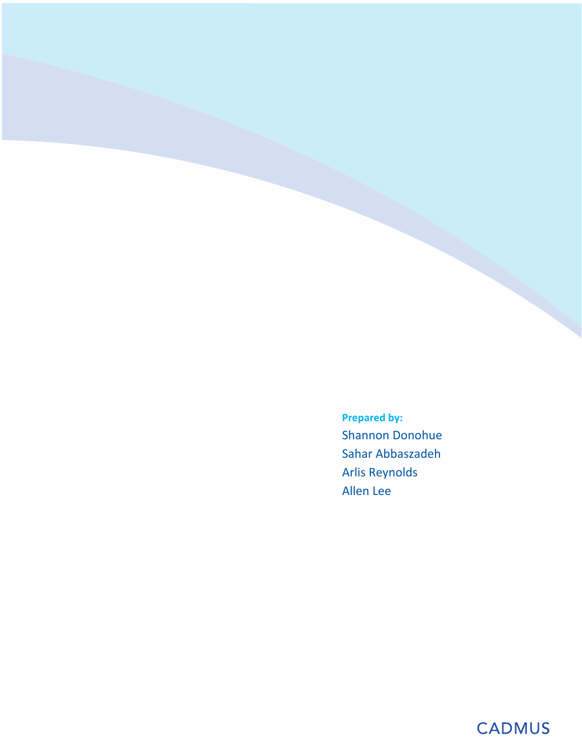**Prepared by:** Shannon Donohue Sahar Abbaszadeh Arlis Reynolds Allen Lee

## **CADMUS**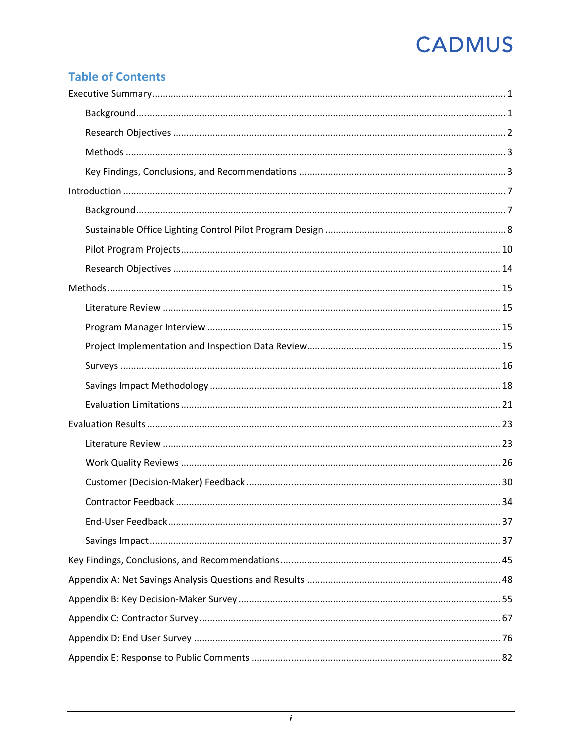## **Table of Contents**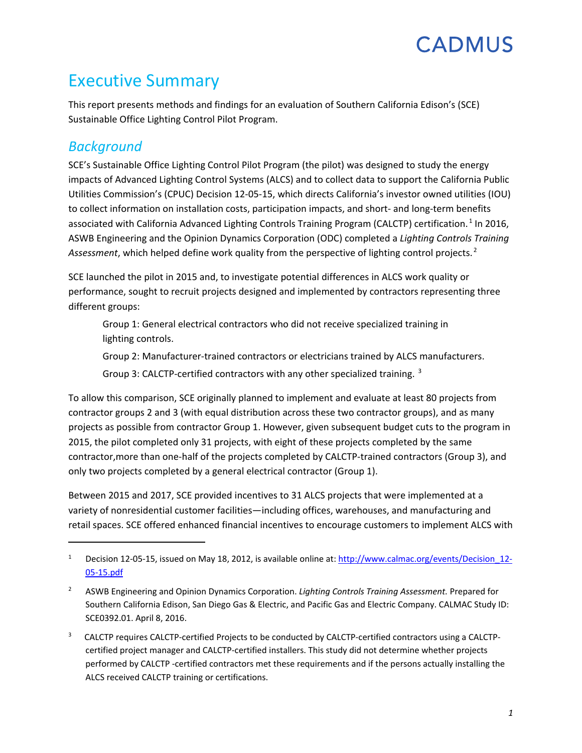## <span id="page-3-0"></span>Executive Summary

This report presents methods and findings for an evaluation of Southern California Edison's (SCE) Sustainable Office Lighting Control Pilot Program.

## <span id="page-3-1"></span>*Background*

l

SCE's Sustainable Office Lighting Control Pilot Program (the pilot) was designed to study the energy impacts of Advanced Lighting Control Systems (ALCS) and to collect data to support the California Public Utilities Commission's (CPUC) Decision 12-05-15, which directs California's investor owned utilities (IOU) to collect information on installation costs, participation impacts, and short- and long-term benefits associated with California Advanced Lighting Controls Training Program (CALCTP) certification.<sup>[1](#page-3-2)</sup> In 2016, ASWB Engineering and the Opinion Dynamics Corporation (ODC) completed a *Lighting Controls Training Assessment*, which helped define work quality from the perspective of lighting control projects. [2](#page-3-3)

SCE launched the pilot in 2015 and, to investigate potential differences in ALCS work quality or performance, sought to recruit projects designed and implemented by contractors representing three different groups:

Group 1: General electrical contractors who did not receive specialized training in lighting controls.

Group 2: Manufacturer-trained contractors or electricians trained by ALCS manufacturers.

Group [3](#page-3-4): CALCTP-certified contractors with any other specialized training. <sup>3</sup>

To allow this comparison, SCE originally planned to implement and evaluate at least 80 projects from contractor groups 2 and 3 (with equal distribution across these two contractor groups), and as many projects as possible from contractor Group 1. However, given subsequent budget cuts to the program in 2015, the pilot completed only 31 projects, with eight of these projects completed by the same contractor,more than one-half of the projects completed by CALCTP-trained contractors (Group 3), and only two projects completed by a general electrical contractor (Group 1).

Between 2015 and 2017, SCE provided incentives to 31 ALCS projects that were implemented at a variety of nonresidential customer facilities—including offices, warehouses, and manufacturing and retail spaces. SCE offered enhanced financial incentives to encourage customers to implement ALCS with

<span id="page-3-2"></span><sup>&</sup>lt;sup>1</sup> Decision 12-05-15, issued on May 18, 2012, is available online at: [http://www.calmac.org/events/Decision\\_12-](http://www.calmac.org/events/Decision_12-05-15.pdf) [05-15.pdf](http://www.calmac.org/events/Decision_12-05-15.pdf)

<span id="page-3-3"></span><sup>2</sup> ASWB Engineering and Opinion Dynamics Corporation. *Lighting Controls Training Assessment.* Prepared for Southern California Edison, San Diego Gas & Electric, and Pacific Gas and Electric Company. CALMAC Study ID: SCE0392.01. April 8, 2016.

<span id="page-3-4"></span><sup>3</sup> CALCTP requires CALCTP-certified Projects to be conducted by CALCTP-certified contractors using a CALCTPcertified project manager and CALCTP-certified installers. This study did not determine whether projects performed by CALCTP -certified contractors met these requirements and if the persons actually installing the ALCS received CALCTP training or certifications.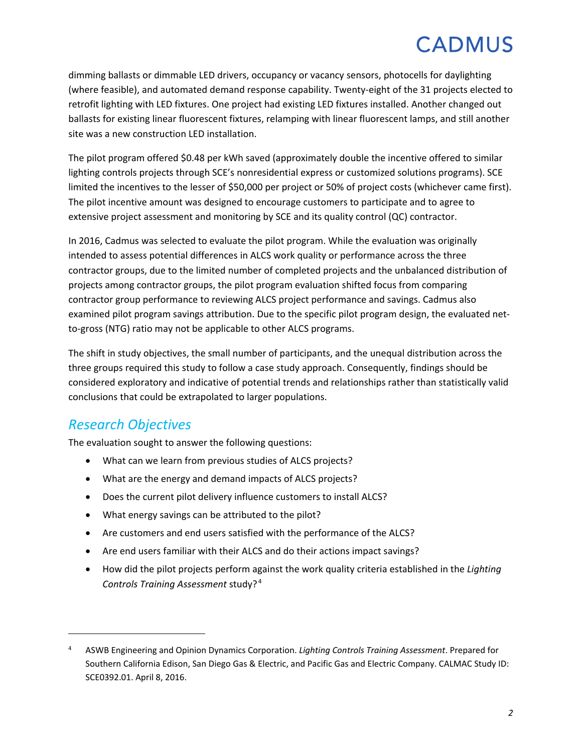dimming ballasts or dimmable LED drivers, occupancy or vacancy sensors, photocells for daylighting (where feasible), and automated demand response capability. Twenty-eight of the 31 projects elected to retrofit lighting with LED fixtures. One project had existing LED fixtures installed. Another changed out ballasts for existing linear fluorescent fixtures, relamping with linear fluorescent lamps, and still another site was a new construction LED installation.

The pilot program offered \$0.48 per kWh saved (approximately double the incentive offered to similar lighting controls projects through SCE's nonresidential express or customized solutions programs). SCE limited the incentives to the lesser of \$50,000 per project or 50% of project costs (whichever came first). The pilot incentive amount was designed to encourage customers to participate and to agree to extensive project assessment and monitoring by SCE and its quality control (QC) contractor.

In 2016, Cadmus was selected to evaluate the pilot program. While the evaluation was originally intended to assess potential differences in ALCS work quality or performance across the three contractor groups, due to the limited number of completed projects and the unbalanced distribution of projects among contractor groups, the pilot program evaluation shifted focus from comparing contractor group performance to reviewing ALCS project performance and savings. Cadmus also examined pilot program savings attribution. Due to the specific pilot program design, the evaluated netto-gross (NTG) ratio may not be applicable to other ALCS programs.

The shift in study objectives, the small number of participants, and the unequal distribution across the three groups required this study to follow a case study approach. Consequently, findings should be considered exploratory and indicative of potential trends and relationships rather than statistically valid conclusions that could be extrapolated to larger populations.

### <span id="page-4-0"></span>*Research Objectives*

 $\overline{\phantom{a}}$ 

The evaluation sought to answer the following questions:

- What can we learn from previous studies of ALCS projects?
- What are the energy and demand impacts of ALCS projects?
- Does the current pilot delivery influence customers to install ALCS?
- What energy savings can be attributed to the pilot?
- Are customers and end users satisfied with the performance of the ALCS?
- Are end users familiar with their ALCS and do their actions impact savings?
- How did the pilot projects perform against the work quality criteria established in the *Lighting Controls Training Assessment* study? [4](#page-4-1)

<span id="page-4-1"></span><sup>4</sup> ASWB Engineering and Opinion Dynamics Corporation. *Lighting Controls Training Assessment*. Prepared for Southern California Edison, San Diego Gas & Electric, and Pacific Gas and Electric Company. CALMAC Study ID: SCE0392.01. April 8, 2016.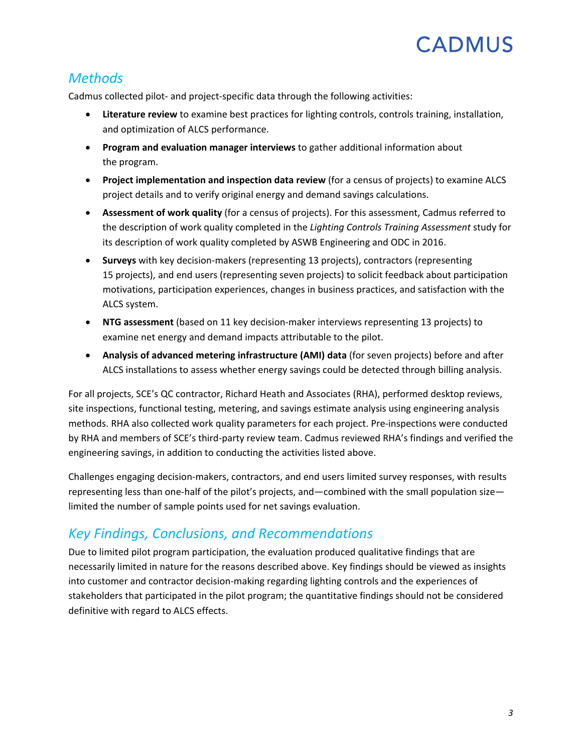## <span id="page-5-0"></span>*Methods*

Cadmus collected pilot- and project-specific data through the following activities:

- **Literature review** to examine best practices for lighting controls, controls training, installation, and optimization of ALCS performance.
- **Program and evaluation manager interviews** to gather additional information about the program.
- **Project implementation and inspection data review** (for a census of projects) to examine ALCS project details and to verify original energy and demand savings calculations.
- **Assessment of work quality** (for a census of projects). For this assessment, Cadmus referred to the description of work quality completed in the *Lighting Controls Training Assessment* study for its description of work quality completed by ASWB Engineering and ODC in 2016.
- **Surveys** with key decision-makers (representing 13 projects), contractors (representing 15 projects), and end users (representing seven projects) to solicit feedback about participation motivations, participation experiences, changes in business practices, and satisfaction with the ALCS system.
- **NTG assessment** (based on 11 key decision-maker interviews representing 13 projects) to examine net energy and demand impacts attributable to the pilot.
- **Analysis of advanced metering infrastructure (AMI) data** (for seven projects) before and after ALCS installations to assess whether energy savings could be detected through billing analysis.

For all projects, SCE's QC contractor, Richard Heath and Associates (RHA), performed desktop reviews, site inspections, functional testing, metering, and savings estimate analysis using engineering analysis methods. RHA also collected work quality parameters for each project. Pre-inspections were conducted by RHA and members of SCE's third-party review team. Cadmus reviewed RHA's findings and verified the engineering savings, in addition to conducting the activities listed above.

Challenges engaging decision-makers, contractors, and end users limited survey responses, with results representing less than one-half of the pilot's projects, and—combined with the small population size limited the number of sample points used for net savings evaluation.

## <span id="page-5-1"></span>*Key Findings, Conclusions, and Recommendations*

Due to limited pilot program participation, the evaluation produced qualitative findings that are necessarily limited in nature for the reasons described above. Key findings should be viewed as insights into customer and contractor decision-making regarding lighting controls and the experiences of stakeholders that participated in the pilot program; the quantitative findings should not be considered definitive with regard to ALCS effects.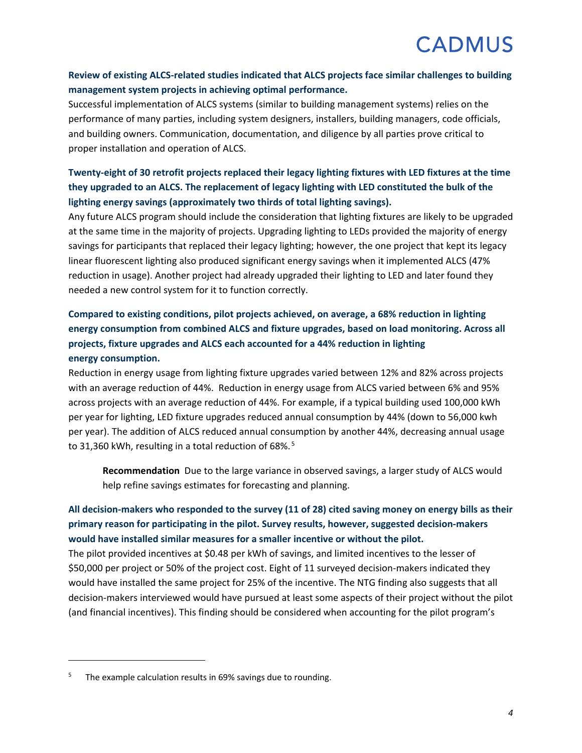#### **Review of existing ALCS-related studies indicated that ALCS projects face similar challenges to building management system projects in achieving optimal performance.**

Successful implementation of ALCS systems (similar to building management systems) relies on the performance of many parties, including system designers, installers, building managers, code officials, and building owners. Communication, documentation, and diligence by all parties prove critical to proper installation and operation of ALCS.

#### **Twenty-eight of 30 retrofit projects replaced their legacy lighting fixtures with LED fixtures at the time they upgraded to an ALCS. The replacement of legacy lighting with LED constituted the bulk of the lighting energy savings (approximately two thirds of total lighting savings).**

Any future ALCS program should include the consideration that lighting fixtures are likely to be upgraded at the same time in the majority of projects. Upgrading lighting to LEDs provided the majority of energy savings for participants that replaced their legacy lighting; however, the one project that kept its legacy linear fluorescent lighting also produced significant energy savings when it implemented ALCS (47% reduction in usage). Another project had already upgraded their lighting to LED and later found they needed a new control system for it to function correctly.

#### **Compared to existing conditions, pilot projects achieved, on average, a 68% reduction in lighting energy consumption from combined ALCS and fixture upgrades, based on load monitoring. Across all projects, fixture upgrades and ALCS each accounted for a 44% reduction in lighting energy consumption.**

Reduction in energy usage from lighting fixture upgrades varied between 12% and 82% across projects with an average reduction of 44%. Reduction in energy usage from ALCS varied between 6% and 95% across projects with an average reduction of 44%. For example, if a typical building used 100,000 kWh per year for lighting, LED fixture upgrades reduced annual consumption by 44% (down to 56,000 kwh per year). The addition of ALCS reduced annual consumption by another 44%, decreasing annual usage to 31,360 kWh, resulting in a total reduction of 68%.<sup>[5](#page-6-0)</sup>

**Recommendation** Due to the large variance in observed savings, a larger study of ALCS would help refine savings estimates for forecasting and planning.

#### **All decision-makers who responded to the survey (11 of 28) cited saving money on energy bills as their primary reason for participating in the pilot. Survey results, however, suggested decision-makers would have installed similar measures for a smaller incentive or without the pilot.**

The pilot provided incentives at \$0.48 per kWh of savings, and limited incentives to the lesser of \$50,000 per project or 50% of the project cost. Eight of 11 surveyed decision-makers indicated they would have installed the same project for 25% of the incentive. The NTG finding also suggests that all decision-makers interviewed would have pursued at least some aspects of their project without the pilot (and financial incentives). This finding should be considered when accounting for the pilot program's

 $\overline{\phantom{a}}$ 

<span id="page-6-0"></span> $5$  The example calculation results in 69% savings due to rounding.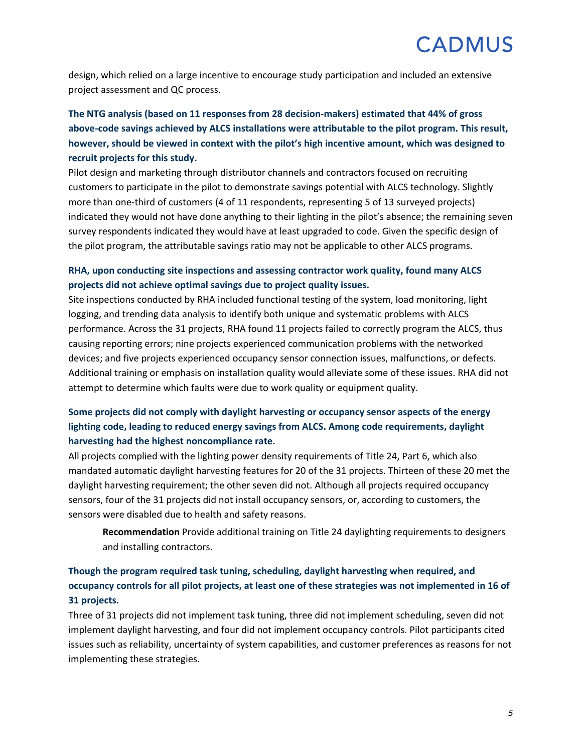design, which relied on a large incentive to encourage study participation and included an extensive project assessment and QC process.

### **The NTG analysis (based on 11 responses from 28 decision-makers) estimated that 44% of gross above-code savings achieved by ALCS installations were attributable to the pilot program. This result, however, should be viewed in context with the pilot's high incentive amount, which was designed to recruit projects for this study.**

Pilot design and marketing through distributor channels and contractors focused on recruiting customers to participate in the pilot to demonstrate savings potential with ALCS technology. Slightly more than one-third of customers (4 of 11 respondents, representing 5 of 13 surveyed projects) indicated they would not have done anything to their lighting in the pilot's absence; the remaining seven survey respondents indicated they would have at least upgraded to code. Given the specific design of the pilot program, the attributable savings ratio may not be applicable to other ALCS programs.

#### **RHA, upon conducting site inspections and assessing contractor work quality, found many ALCS projects did not achieve optimal savings due to project quality issues.**

Site inspections conducted by RHA included functional testing of the system, load monitoring, light logging, and trending data analysis to identify both unique and systematic problems with ALCS performance. Across the 31 projects, RHA found 11 projects failed to correctly program the ALCS, thus causing reporting errors; nine projects experienced communication problems with the networked devices; and five projects experienced occupancy sensor connection issues, malfunctions, or defects. Additional training or emphasis on installation quality would alleviate some of these issues. RHA did not attempt to determine which faults were due to work quality or equipment quality.

#### **Some projects did not comply with daylight harvesting or occupancy sensor aspects of the energy lighting code, leading to reduced energy savings from ALCS. Among code requirements, daylight harvesting had the highest noncompliance rate.**

All projects complied with the lighting power density requirements of Title 24, Part 6, which also mandated automatic daylight harvesting features for 20 of the 31 projects. Thirteen of these 20 met the daylight harvesting requirement; the other seven did not. Although all projects required occupancy sensors, four of the 31 projects did not install occupancy sensors, or, according to customers, the sensors were disabled due to health and safety reasons.

**Recommendation** Provide additional training on Title 24 daylighting requirements to designers and installing contractors.

#### **Though the program required task tuning, scheduling, daylight harvesting when required, and occupancy controls for all pilot projects, at least one of these strategies was not implemented in 16 of 31 projects.**

Three of 31 projects did not implement task tuning, three did not implement scheduling, seven did not implement daylight harvesting, and four did not implement occupancy controls. Pilot participants cited issues such as reliability, uncertainty of system capabilities, and customer preferences as reasons for not implementing these strategies.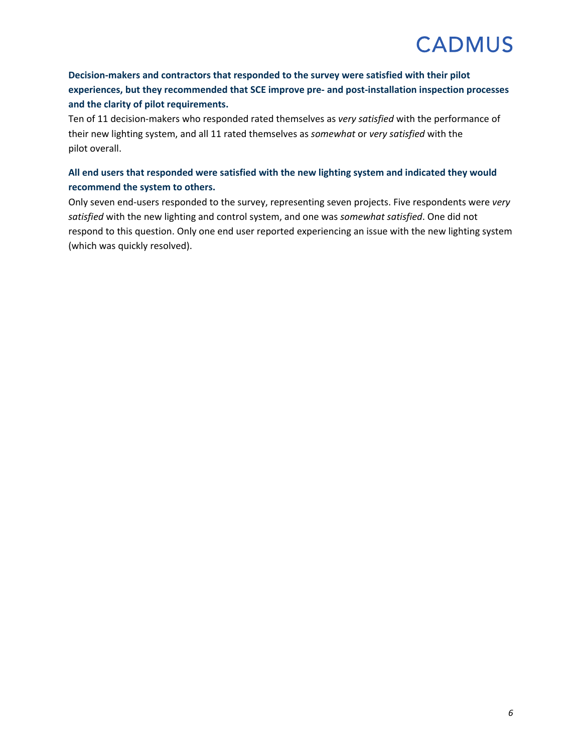#### **Decision-makers and contractors that responded to the survey were satisfied with their pilot experiences, but they recommended that SCE improve pre- and post-installation inspection processes and the clarity of pilot requirements.**

Ten of 11 decision-makers who responded rated themselves as *very satisfied* with the performance of their new lighting system, and all 11 rated themselves as *somewhat* or *very satisfied* with the pilot overall.

#### **All end users that responded were satisfied with the new lighting system and indicated they would recommend the system to others.**

Only seven end-users responded to the survey, representing seven projects. Five respondents were *very satisfied* with the new lighting and control system, and one was *somewhat satisfied*. One did not respond to this question. Only one end user reported experiencing an issue with the new lighting system (which was quickly resolved).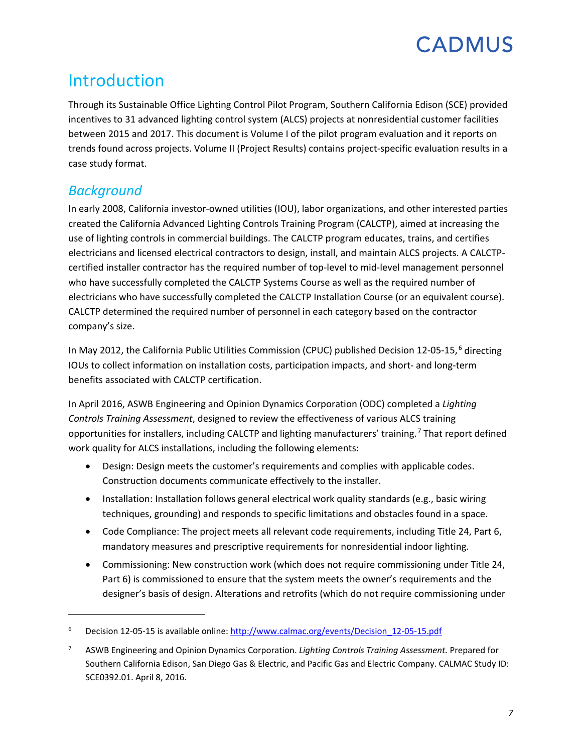## <span id="page-9-0"></span>Introduction

Through its Sustainable Office Lighting Control Pilot Program, Southern California Edison (SCE) provided incentives to 31 advanced lighting control system (ALCS) projects at nonresidential customer facilities between 2015 and 2017. This document is Volume I of the pilot program evaluation and it reports on trends found across projects. Volume II (Project Results) contains project-specific evaluation results in a case study format.

## <span id="page-9-1"></span>*Background*

l

In early 2008, California investor-owned utilities (IOU), labor organizations, and other interested parties created the California Advanced Lighting Controls Training Program (CALCTP), aimed at increasing the use of lighting controls in commercial buildings. The CALCTP program educates, trains, and certifies electricians and licensed electrical contractors to design, install, and maintain ALCS projects. A CALCTPcertified installer contractor has the required number of top-level to mid-level management personnel who have successfully completed the CALCTP Systems Course as well as the required number of electricians who have successfully completed the CALCTP Installation Course (or an equivalent course). CALCTP determined the required number of personnel in each category based on the contractor company's size.

In May 2012, the California Public Utilities Commission (CPUC) published Decision 12-05-15,<sup>[6](#page-9-2)</sup> directing IOUs to collect information on installation costs, participation impacts, and short- and long-term benefits associated with CALCTP certification.

In April 2016, ASWB Engineering and Opinion Dynamics Corporation (ODC) completed a *Lighting Controls Training Assessment*, designed to review the effectiveness of various ALCS training opportunities for installers, including CALCTP and lighting manufacturers' training. [7](#page-9-3) That report defined work quality for ALCS installations, including the following elements:

- Design: Design meets the customer's requirements and complies with applicable codes. Construction documents communicate effectively to the installer.
- Installation: Installation follows general electrical work quality standards (e.g., basic wiring techniques, grounding) and responds to specific limitations and obstacles found in a space.
- Code Compliance: The project meets all relevant code requirements, including Title 24, Part 6, mandatory measures and prescriptive requirements for nonresidential indoor lighting.
- Commissioning: New construction work (which does not require commissioning under Title 24, Part 6) is commissioned to ensure that the system meets the owner's requirements and the designer's basis of design. Alterations and retrofits (which do not require commissioning under

<span id="page-9-2"></span><sup>&</sup>lt;sup>6</sup> Decision 12-05-15 is available online[: http://www.calmac.org/events/Decision\\_12-05-15.pdf](http://www.calmac.org/events/Decision_12-05-15.pdf)

<span id="page-9-3"></span><sup>7</sup> ASWB Engineering and Opinion Dynamics Corporation. *Lighting Controls Training Assessment.* Prepared for Southern California Edison, San Diego Gas & Electric, and Pacific Gas and Electric Company. CALMAC Study ID: SCE0392.01. April 8, 2016.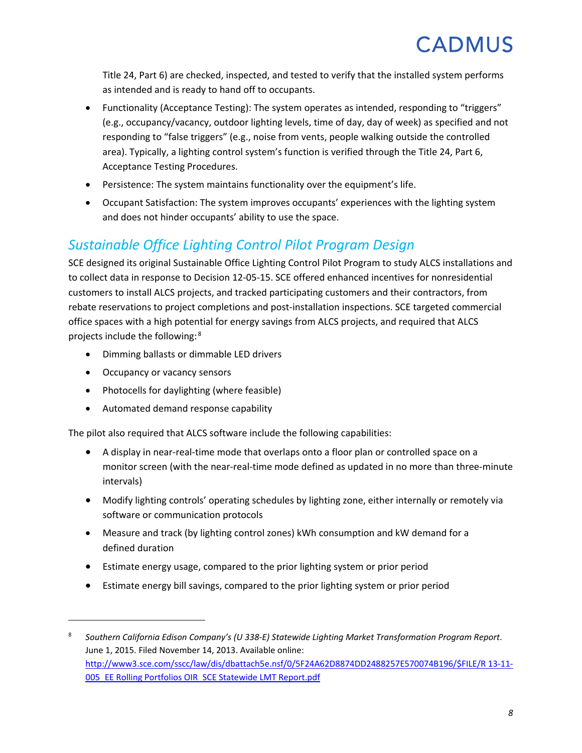Title 24, Part 6) are checked, inspected, and tested to verify that the installed system performs as intended and is ready to hand off to occupants.

- Functionality (Acceptance Testing): The system operates as intended, responding to "triggers" (e.g., occupancy/vacancy, outdoor lighting levels, time of day, day of week) as specified and not responding to "false triggers" (e.g., noise from vents, people walking outside the controlled area). Typically, a lighting control system's function is verified through the Title 24, Part 6, Acceptance Testing Procedures.
- Persistence: The system maintains functionality over the equipment's life.
- Occupant Satisfaction: The system improves occupants' experiences with the lighting system and does not hinder occupants' ability to use the space.

## <span id="page-10-0"></span>*Sustainable Office Lighting Control Pilot Program Design*

SCE designed its original Sustainable Office Lighting Control Pilot Program to study ALCS installations and to collect data in response to Decision 12-05-15. SCE offered enhanced incentives for nonresidential customers to install ALCS projects, and tracked participating customers and their contractors, from rebate reservations to project completions and post-installation inspections. SCE targeted commercial office spaces with a high potential for energy savings from ALCS projects, and required that ALCS projects include the following: [8](#page-10-1)

- Dimming ballasts or dimmable LED drivers
- Occupancy or vacancy sensors

l

- Photocells for daylighting (where feasible)
- Automated demand response capability

The pilot also required that ALCS software include the following capabilities:

- A display in near-real-time mode that overlaps onto a floor plan or controlled space on a monitor screen (with the near-real-time mode defined as updated in no more than three-minute intervals)
- Modify lighting controls' operating schedules by lighting zone, either internally or remotely via software or communication protocols
- Measure and track (by lighting control zones) kWh consumption and kW demand for a defined duration
- Estimate energy usage, compared to the prior lighting system or prior period
- Estimate energy bill savings, compared to the prior lighting system or prior period

<span id="page-10-1"></span><sup>8</sup> *Southern California Edison Company's (U 338-E) Statewide Lighting Market Transformation Program Report*. June 1, 2015. Filed November 14, 2013. Available online: [http://www3.sce.com/sscc/law/dis/dbattach5e.nsf/0/5F24A62D8874DD2488257E570074B196/\\$FILE/R 13-11-](http://www3.sce.com/sscc/law/dis/dbattach5e.nsf/0/5F24A62D8874DD2488257E570074B196/$FILE/R%2013-11-005_EE%20Rolling%20Portfolios%20OIR_SCE%20Statewide%20LMT%20Report.pdf) [005\\_EE Rolling Portfolios OIR\\_SCE Statewide LMT Report.pdf](http://www3.sce.com/sscc/law/dis/dbattach5e.nsf/0/5F24A62D8874DD2488257E570074B196/$FILE/R%2013-11-005_EE%20Rolling%20Portfolios%20OIR_SCE%20Statewide%20LMT%20Report.pdf)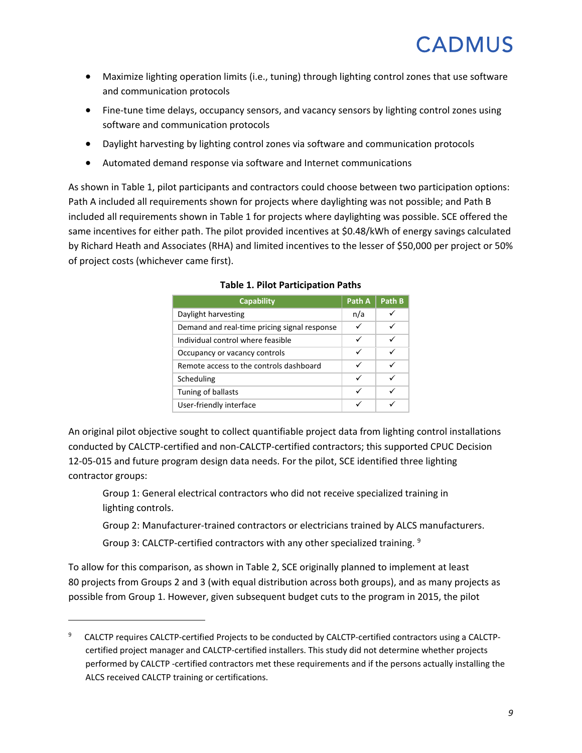- Maximize lighting operation limits (i.e., tuning) through lighting control zones that use software and communication protocols
- Fine-tune time delays, occupancy sensors, and vacancy sensors by lighting control zones using software and communication protocols
- Daylight harvesting by lighting control zones via software and communication protocols
- Automated demand response via software and Internet communications

<span id="page-11-0"></span>As shown in [Table](#page-11-0) 1, pilot participants and contractors could choose between two participation options: Path A included all requirements shown for projects where daylighting was not possible; and Path B included all requirements shown i[n Table](#page-11-0) 1 for projects where daylighting was possible. SCE offered the same incentives for either path. The pilot provided incentives at \$0.48/kWh of energy savings calculated by Richard Heath and Associates (RHA) and limited incentives to the lesser of \$50,000 per project or 50% of project costs (whichever came first).

| <b>Capability</b>                            | Path A | Path B |
|----------------------------------------------|--------|--------|
| Daylight harvesting                          | n/a    |        |
| Demand and real-time pricing signal response | ✓      |        |
| Individual control where feasible            | ✓      |        |
| Occupancy or vacancy controls                | ✓      |        |
| Remote access to the controls dashboard      | ✓      |        |
| Scheduling                                   | ✓      |        |
| Tuning of ballasts                           | ✓      |        |
| User-friendly interface                      |        |        |

#### **Table 1. Pilot Participation Paths**

An original pilot objective sought to collect quantifiable project data from lighting control installations conducted by CALCTP-certified and non-CALCTP-certified contractors; this supported CPUC Decision 12-05-015 and future program design data needs. For the pilot, SCE identified three lighting contractor groups:

Group 1: General electrical contractors who did not receive specialized training in lighting controls.

Group 2: Manufacturer-trained contractors or electricians trained by ALCS manufacturers.

Group 3: CALCTP-certified contractors with any other specialized training.  $9$ 

l

To allow for this comparison, as shown in [Table](#page-12-1) 2, SCE originally planned to implement at least 80 projects from Groups 2 and 3 (with equal distribution across both groups), and as many projects as possible from Group 1. However, given subsequent budget cuts to the program in 2015, the pilot

<span id="page-11-1"></span><sup>9</sup> CALCTP requires CALCTP-certified Projects to be conducted by CALCTP-certified contractors using a CALCTPcertified project manager and CALCTP-certified installers. This study did not determine whether projects performed by CALCTP -certified contractors met these requirements and if the persons actually installing the ALCS received CALCTP training or certifications.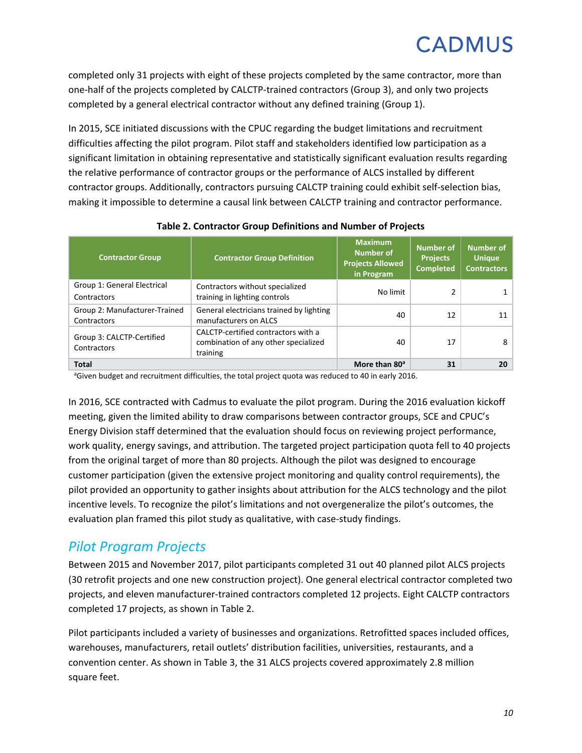completed only 31 projects with eight of these projects completed by the same contractor, more than one-half of the projects completed by CALCTP-trained contractors (Group 3), and only two projects completed by a general electrical contractor without any defined training (Group 1).

In 2015, SCE initiated discussions with the CPUC regarding the budget limitations and recruitment difficulties affecting the pilot program. Pilot staff and stakeholders identified low participation as a significant limitation in obtaining representative and statistically significant evaluation results regarding the relative performance of contractor groups or the performance of ALCS installed by different contractor groups. Additionally, contractors pursuing CALCTP training could exhibit self-selection bias, making it impossible to determine a causal link between CALCTP training and contractor performance.

<span id="page-12-1"></span>

| <b>Contractor Group</b>                      | <b>Contractor Group Definition</b>                                                      | <b>Maximum</b><br><b>Number of</b><br><b>Projects Allowed</b><br>in Program | <b>Number of</b><br><b>Projects</b><br><b>Completed</b> | <b>Number of</b><br><b>Unique</b><br><b>Contractors</b> |
|----------------------------------------------|-----------------------------------------------------------------------------------------|-----------------------------------------------------------------------------|---------------------------------------------------------|---------------------------------------------------------|
| Group 1: General Electrical<br>Contractors   | Contractors without specialized<br>training in lighting controls                        | No limit                                                                    |                                                         |                                                         |
| Group 2: Manufacturer-Trained<br>Contractors | General electricians trained by lighting<br>manufacturers on ALCS                       | 40                                                                          | 12                                                      | 11                                                      |
| Group 3: CALCTP-Certified<br>Contractors     | CALCTP-certified contractors with a<br>combination of any other specialized<br>training | 40                                                                          | 17                                                      | 8                                                       |
| <b>Total</b>                                 |                                                                                         | More than 80 <sup>a</sup>                                                   | 31                                                      | 20                                                      |

#### **Table 2. Contractor Group Definitions and Number of Projects**

<sup>a</sup>Given budget and recruitment difficulties, the total project quota was reduced to 40 in early 2016.

In 2016, SCE contracted with Cadmus to evaluate the pilot program. During the 2016 evaluation kickoff meeting, given the limited ability to draw comparisons between contractor groups, SCE and CPUC's Energy Division staff determined that the evaluation should focus on reviewing project performance, work quality, energy savings, and attribution. The targeted project participation quota fell to 40 projects from the original target of more than 80 projects. Although the pilot was designed to encourage customer participation (given the extensive project monitoring and quality control requirements), the pilot provided an opportunity to gather insights about attribution for the ALCS technology and the pilot incentive levels. To recognize the pilot's limitations and not overgeneralize the pilot's outcomes, the evaluation plan framed this pilot study as qualitative, with case-study findings.

### <span id="page-12-0"></span>*Pilot Program Projects*

Between 2015 and November 2017, pilot participants completed 31 out 40 planned pilot ALCS projects (30 retrofit projects and one new construction project). One general electrical contractor completed two projects, and eleven manufacturer-trained contractors completed 12 projects. Eight CALCTP contractors completed 17 projects, as shown in [Table](#page-12-1) 2.

Pilot participants included a variety of businesses and organizations. Retrofitted spaces included offices, warehouses, manufacturers, retail outlets' distribution facilities, universities, restaurants, and a convention center. As shown in [Table](#page-13-0) 3, the 31 ALCS projects covered approximately 2.8 million square feet.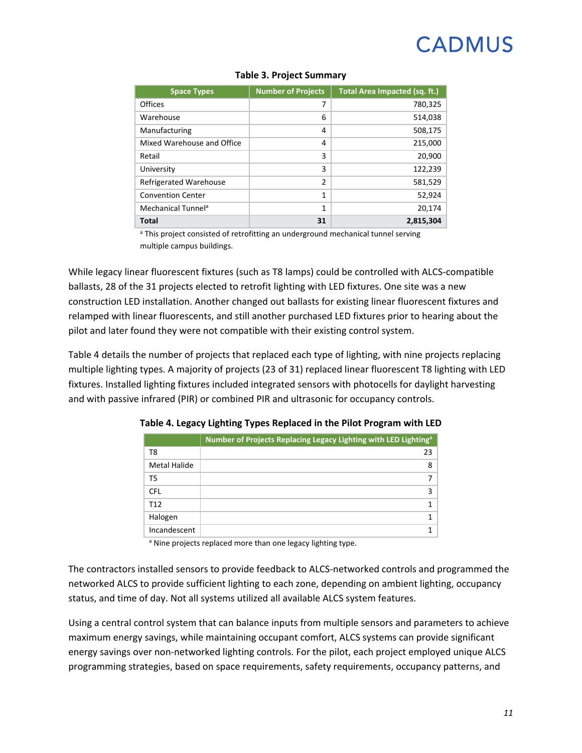<span id="page-13-0"></span>

| <b>Space Types</b>             | <b>Number of Projects</b> | Total Area Impacted (sq. ft.) |
|--------------------------------|---------------------------|-------------------------------|
| <b>Offices</b>                 | 7                         | 780,325                       |
| Warehouse                      | 6                         | 514,038                       |
| Manufacturing                  | 4                         | 508,175                       |
| Mixed Warehouse and Office     | 4                         | 215,000                       |
| Retail                         | 3                         | 20,900                        |
| University                     | 3                         | 122,239                       |
| <b>Refrigerated Warehouse</b>  | $\overline{2}$            | 581,529                       |
| <b>Convention Center</b>       | 1                         | 52,924                        |
| Mechanical Tunnel <sup>a</sup> | 1                         | 20,174                        |
| <b>Total</b>                   | 31                        | 2,815,304                     |

#### **Table 3. Project Summary**

<sup>a</sup> This project consisted of retrofitting an underground mechanical tunnel serving multiple campus buildings.

While legacy linear fluorescent fixtures (such as T8 lamps) could be controlled with ALCS-compatible ballasts, 28 of the 31 projects elected to retrofit lighting with LED fixtures. One site was a new construction LED installation. Another changed out ballasts for existing linear fluorescent fixtures and relamped with linear fluorescents, and still another purchased LED fixtures prior to hearing about the pilot and later found they were not compatible with their existing control system.

<span id="page-13-1"></span>[Table](#page-13-1) 4 details the number of projects that replaced each type of lighting, with nine projects replacing multiple lighting types. A majority of projects (23 of 31) replaced linear fluorescent T8 lighting with LED fixtures. Installed lighting fixtures included integrated sensors with photocells for daylight harvesting and with passive infrared (PIR) or combined PIR and ultrasonic for occupancy controls.

|                 | Number of Projects Replacing Legacy Lighting with LED Lighting <sup>a</sup> |
|-----------------|-----------------------------------------------------------------------------|
| T8              | 23                                                                          |
| Metal Halide    | 8                                                                           |
| T5              |                                                                             |
| <b>CFL</b>      |                                                                             |
| T <sub>12</sub> |                                                                             |
| Halogen         |                                                                             |
| Incandescent    |                                                                             |

**Table 4. Legacy Lighting Types Replaced in the Pilot Program with LED**

a Nine projects replaced more than one legacy lighting type.

The contractors installed sensors to provide feedback to ALCS-networked controls and programmed the networked ALCS to provide sufficient lighting to each zone, depending on ambient lighting, occupancy status, and time of day. Not all systems utilized all available ALCS system features.

Using a central control system that can balance inputs from multiple sensors and parameters to achieve maximum energy savings, while maintaining occupant comfort, ALCS systems can provide significant energy savings over non-networked lighting controls. For the pilot, each project employed unique ALCS programming strategies, based on space requirements, safety requirements, occupancy patterns, and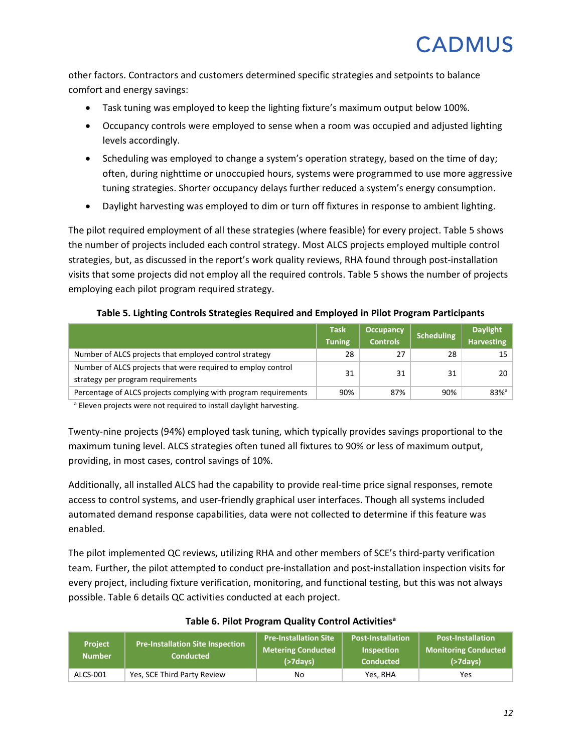other factors. Contractors and customers determined specific strategies and setpoints to balance comfort and energy savings:

- Task tuning was employed to keep the lighting fixture's maximum output below 100%.
- Occupancy controls were employed to sense when a room was occupied and adjusted lighting levels accordingly.
- Scheduling was employed to change a system's operation strategy, based on the time of day; often, during nighttime or unoccupied hours, systems were programmed to use more aggressive tuning strategies. Shorter occupancy delays further reduced a system's energy consumption.
- Daylight harvesting was employed to dim or turn off fixtures in response to ambient lighting.

The pilot required employment of all these strategies (where feasible) for every project. [Table](#page-14-0) 5 shows the number of projects included each control strategy. Most ALCS projects employed multiple control strategies, but, as discussed in the report's work quality reviews, RHA found through post-installation visits that some projects did not employ all the required controls. [Table](#page-14-0) 5 shows the number of projects employing each pilot program required strategy.

#### **Table 5. Lighting Controls Strategies Required and Employed in Pilot Program Participants**

<span id="page-14-0"></span>

|                                                                                                   | <b>Task</b><br><b>Tuning</b> | <b>Occupancy</b><br><b>Controls</b> | Scheduling | <b>Daylight</b><br><b>Harvesting</b> |
|---------------------------------------------------------------------------------------------------|------------------------------|-------------------------------------|------------|--------------------------------------|
| Number of ALCS projects that employed control strategy                                            | 28                           | 27                                  | 28         | 15                                   |
| Number of ALCS projects that were required to employ control<br>strategy per program requirements | 31                           | 31                                  | 31         | 20                                   |
| Percentage of ALCS projects complying with program requirements                                   | 90%                          | 87%                                 | 90%        | $83%$ <sup>a</sup>                   |

<sup>a</sup> Eleven projects were not required to install daylight harvesting.

Twenty-nine projects (94%) employed task tuning, which typically provides savings proportional to the maximum tuning level. ALCS strategies often tuned all fixtures to 90% or less of maximum output, providing, in most cases, control savings of 10%.

Additionally, all installed ALCS had the capability to provide real-time price signal responses, remote access to control systems, and user-friendly graphical user interfaces. Though all systems included automated demand response capabilities, data were not collected to determine if this feature was enabled.

The pilot implemented QC reviews, utilizing RHA and other members of SCE's third-party verification team. Further, the pilot attempted to conduct pre-installation and post-installation inspection visits for every project, including fixture verification, monitoring, and functional testing, but this was not always possible. [Table](#page-14-1) 6 details QC activities conducted at each project.

<span id="page-14-1"></span>

| <b>Project</b><br><b>Number</b> | <b>Pre-Installation Site Inspection</b><br>Conducted | <b>Pre-Installation Site</b><br><b>Metering Conducted</b><br>$($ >7 $d$ avs $)$ | <b>Post-Installation</b><br><b>Inspection</b><br><b>Conducted</b> | l Post-Installation <sup>1</sup><br><b>Monitoring Conducted</b><br>$($ >7 $d$ ays $)$ |
|---------------------------------|------------------------------------------------------|---------------------------------------------------------------------------------|-------------------------------------------------------------------|---------------------------------------------------------------------------------------|
| ALCS-001                        | Yes, SCE Third Party Review                          | No                                                                              | Yes. RHA                                                          | Yes                                                                                   |

#### **Table 6. Pilot Program Quality Control Activitiesa**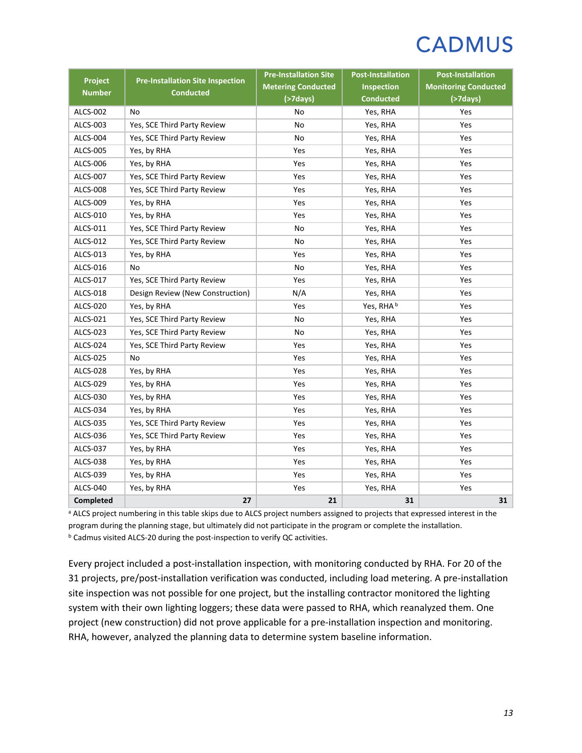| Project         | <b>Pre-Installation Site Inspection</b> | <b>Pre-Installation Site</b><br><b>Metering Conducted</b> | <b>Post-Installation</b><br><b>Inspection</b> | <b>Post-Installation</b><br><b>Monitoring Conducted</b> |
|-----------------|-----------------------------------------|-----------------------------------------------------------|-----------------------------------------------|---------------------------------------------------------|
| <b>Number</b>   | <b>Conducted</b>                        | $($ >7days $)$                                            | <b>Conducted</b>                              | $($ >7days $)$                                          |
| ALCS-002        | No                                      | No                                                        | Yes, RHA                                      | Yes                                                     |
| ALCS-003        | Yes, SCE Third Party Review             | No                                                        | Yes, RHA                                      | Yes                                                     |
| ALCS-004        | Yes, SCE Third Party Review             | No                                                        | Yes, RHA                                      | Yes                                                     |
| ALCS-005        | Yes, by RHA                             | Yes                                                       | Yes, RHA                                      | Yes                                                     |
| ALCS-006        | Yes, by RHA                             | Yes                                                       | Yes, RHA                                      | Yes                                                     |
| ALCS-007        | Yes, SCE Third Party Review             | Yes                                                       | Yes, RHA                                      | Yes                                                     |
| <b>ALCS-008</b> | Yes, SCE Third Party Review             | Yes                                                       | Yes, RHA                                      | Yes                                                     |
| ALCS-009        | Yes, by RHA                             | Yes                                                       | Yes, RHA                                      | Yes                                                     |
| ALCS-010        | Yes, by RHA                             | Yes                                                       | Yes, RHA                                      | Yes                                                     |
| ALCS-011        | Yes, SCE Third Party Review             | No                                                        | Yes, RHA                                      | Yes                                                     |
| ALCS-012        | Yes, SCE Third Party Review             | No                                                        | Yes, RHA                                      | Yes                                                     |
| ALCS-013        | Yes, by RHA                             | Yes                                                       | Yes, RHA                                      | Yes                                                     |
| ALCS-016        | No                                      | No                                                        | Yes, RHA                                      | Yes                                                     |
| ALCS-017        | Yes, SCE Third Party Review             | Yes                                                       | Yes, RHA                                      | Yes                                                     |
| ALCS-018        | Design Review (New Construction)        | N/A                                                       | Yes, RHA                                      | Yes                                                     |
| ALCS-020        | Yes, by RHA                             | Yes                                                       | Yes, RHA <sup>b</sup>                         | Yes                                                     |
| ALCS-021        | Yes, SCE Third Party Review             | No                                                        | Yes, RHA                                      | Yes                                                     |
| ALCS-023        | Yes, SCE Third Party Review             | No                                                        | Yes, RHA                                      | Yes                                                     |
| ALCS-024        | Yes, SCE Third Party Review             | Yes                                                       | Yes, RHA                                      | Yes                                                     |
| ALCS-025        | No                                      | Yes                                                       | Yes, RHA                                      | Yes                                                     |
| ALCS-028        | Yes, by RHA                             | Yes                                                       | Yes, RHA                                      | Yes                                                     |
| ALCS-029        | Yes, by RHA                             | Yes                                                       | Yes, RHA                                      | Yes                                                     |
| ALCS-030        | Yes, by RHA                             | Yes                                                       | Yes, RHA                                      | Yes                                                     |
| ALCS-034        | Yes, by RHA                             | Yes                                                       | Yes, RHA                                      | Yes                                                     |
| ALCS-035        | Yes, SCE Third Party Review             | Yes                                                       | Yes, RHA                                      | Yes                                                     |
| ALCS-036        | Yes, SCE Third Party Review             | Yes                                                       | Yes, RHA                                      | Yes                                                     |
| ALCS-037        | Yes, by RHA                             | Yes                                                       | Yes, RHA                                      | Yes                                                     |
| ALCS-038        | Yes, by RHA                             | Yes                                                       | Yes, RHA                                      | Yes                                                     |
| ALCS-039        | Yes, by RHA                             | Yes                                                       | Yes, RHA                                      | Yes                                                     |
| ALCS-040        | Yes, by RHA                             | Yes                                                       | Yes, RHA                                      | Yes                                                     |
| Completed       | 27                                      | 21                                                        | 31                                            | 31                                                      |

<sup>a</sup> ALCS project numbering in this table skips due to ALCS project numbers assigned to projects that expressed interest in the program during the planning stage, but ultimately did not participate in the program or complete the installation. **b** Cadmus visited ALCS-20 during the post-inspection to verify QC activities.

Every project included a post-installation inspection, with monitoring conducted by RHA. For 20 of the 31 projects, pre/post-installation verification was conducted, including load metering. A pre-installation site inspection was not possible for one project, but the installing contractor monitored the lighting system with their own lighting loggers; these data were passed to RHA, which reanalyzed them. One project (new construction) did not prove applicable for a pre-installation inspection and monitoring. RHA, however, analyzed the planning data to determine system baseline information.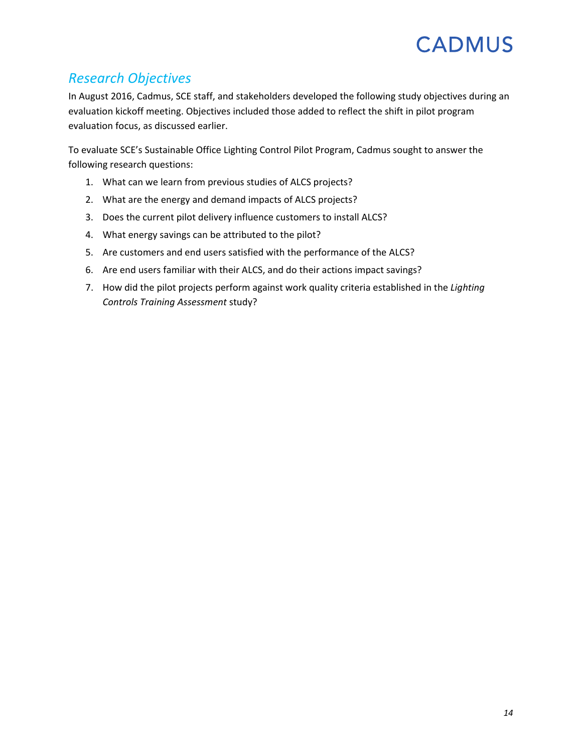## <span id="page-16-0"></span>*Research Objectives*

In August 2016, Cadmus, SCE staff, and stakeholders developed the following study objectives during an evaluation kickoff meeting. Objectives included those added to reflect the shift in pilot program evaluation focus, as discussed earlier.

To evaluate SCE's Sustainable Office Lighting Control Pilot Program, Cadmus sought to answer the following research questions:

- 1. What can we learn from previous studies of ALCS projects?
- 2. What are the energy and demand impacts of ALCS projects?
- 3. Does the current pilot delivery influence customers to install ALCS?
- 4. What energy savings can be attributed to the pilot?
- 5. Are customers and end users satisfied with the performance of the ALCS?
- 6. Are end users familiar with their ALCS, and do their actions impact savings?
- 7. How did the pilot projects perform against work quality criteria established in the *Lighting Controls Training Assessment* study?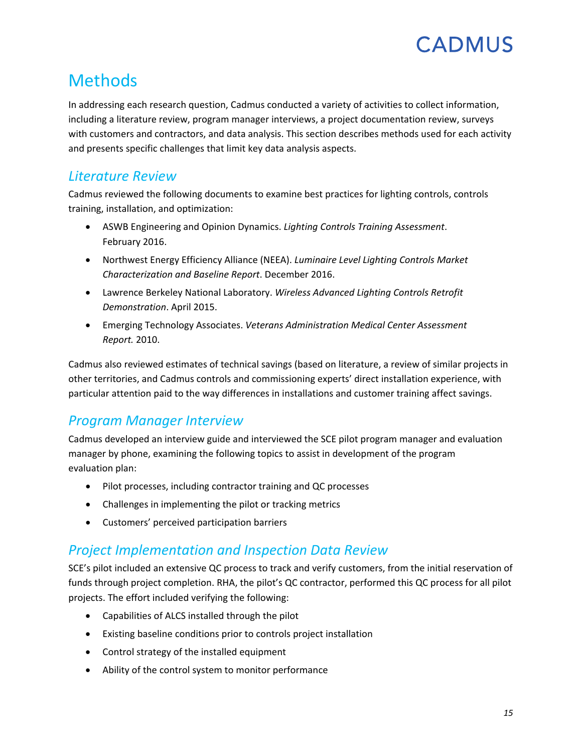

## <span id="page-17-0"></span>**Methods**

In addressing each research question, Cadmus conducted a variety of activities to collect information, including a literature review, program manager interviews, a project documentation review, surveys with customers and contractors, and data analysis. This section describes methods used for each activity and presents specific challenges that limit key data analysis aspects.

### <span id="page-17-1"></span>*Literature Review*

Cadmus reviewed the following documents to examine best practices for lighting controls, controls training, installation, and optimization:

- ASWB Engineering and Opinion Dynamics. *Lighting Controls Training Assessment*. February 2016.
- Northwest Energy Efficiency Alliance (NEEA). *Luminaire Level Lighting Controls Market Characterization and Baseline Report*. December 2016.
- Lawrence Berkeley National Laboratory. *Wireless Advanced Lighting Controls Retrofit Demonstration*. April 2015.
- Emerging Technology Associates. *Veterans Administration Medical Center Assessment Report.* 2010.

Cadmus also reviewed estimates of technical savings (based on literature, a review of similar projects in other territories, and Cadmus controls and commissioning experts' direct installation experience, with particular attention paid to the way differences in installations and customer training affect savings.

### <span id="page-17-2"></span>*Program Manager Interview*

Cadmus developed an interview guide and interviewed the SCE pilot program manager and evaluation manager by phone, examining the following topics to assist in development of the program evaluation plan:

- Pilot processes, including contractor training and QC processes
- Challenges in implementing the pilot or tracking metrics
- Customers' perceived participation barriers

### <span id="page-17-3"></span>*Project Implementation and Inspection Data Review*

SCE's pilot included an extensive QC process to track and verify customers, from the initial reservation of funds through project completion. RHA, the pilot's QC contractor, performed this QC process for all pilot projects. The effort included verifying the following:

- Capabilities of ALCS installed through the pilot
- Existing baseline conditions prior to controls project installation
- Control strategy of the installed equipment
- Ability of the control system to monitor performance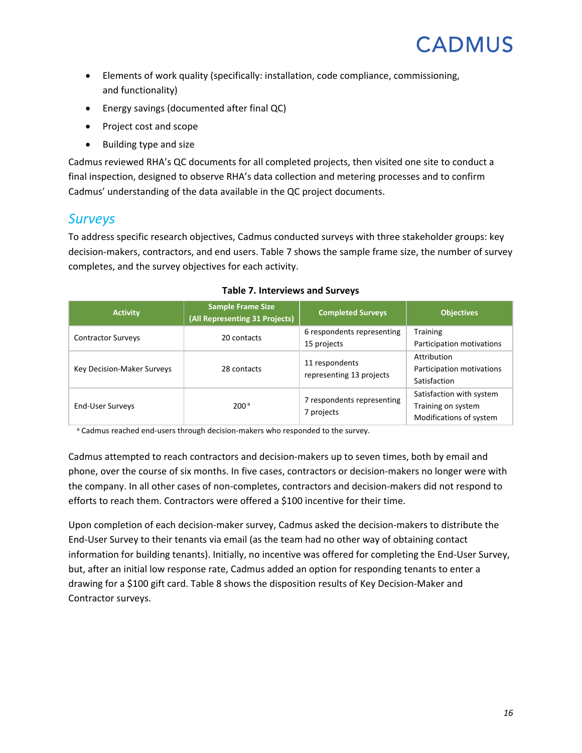- Elements of work quality (specifically: installation, code compliance, commissioning, and functionality)
- Energy savings (documented after final QC)
- Project cost and scope
- Building type and size

Cadmus reviewed RHA's QC documents for all completed projects, then visited one site to conduct a final inspection, designed to observe RHA's data collection and metering processes and to confirm Cadmus' understanding of the data available in the QC project documents.

### <span id="page-18-0"></span>*Surveys*

To address specific research objectives, Cadmus conducted surveys with three stakeholder groups: key decision-makers, contractors, and end users. [Table](#page-18-1) 7 shows the sample frame size, the number of survey completes, and the survey objectives for each activity.

<span id="page-18-1"></span>

| <b>Sample Frame Size</b><br><b>Activity</b><br>(All Representing 31 Projects) |                  | <b>Completed Surveys</b>                   | <b>Objectives</b>                                                         |
|-------------------------------------------------------------------------------|------------------|--------------------------------------------|---------------------------------------------------------------------------|
| <b>Contractor Surveys</b>                                                     | 20 contacts      | 6 respondents representing<br>15 projects  | Training<br>Participation motivations                                     |
| Key Decision-Maker Surveys                                                    | 28 contacts      | 11 respondents<br>representing 13 projects | Attribution<br>Participation motivations<br>Satisfaction                  |
| <b>End-User Surveys</b>                                                       | 200 <sup>a</sup> | 7 respondents representing<br>7 projects   | Satisfaction with system<br>Training on system<br>Modifications of system |

#### **Table 7. Interviews and Surveys**

a Cadmus reached end-users through decision-makers who responded to the survey.

Cadmus attempted to reach contractors and decision-makers up to seven times, both by email and phone, over the course of six months. In five cases, contractors or decision-makers no longer were with the company. In all other cases of non-completes, contractors and decision-makers did not respond to efforts to reach them. Contractors were offered a \$100 incentive for their time.

Upon completion of each decision-maker survey, Cadmus asked the decision-makers to distribute the End-User Survey to their tenants via email (as the team had no other way of obtaining contact information for building tenants). Initially, no incentive was offered for completing the End-User Survey, but, after an initial low response rate, Cadmus added an option for responding tenants to enter a drawing for a \$100 gift card. [Table 8](#page-19-0) shows the disposition results of Key Decision-Maker and Contractor surveys.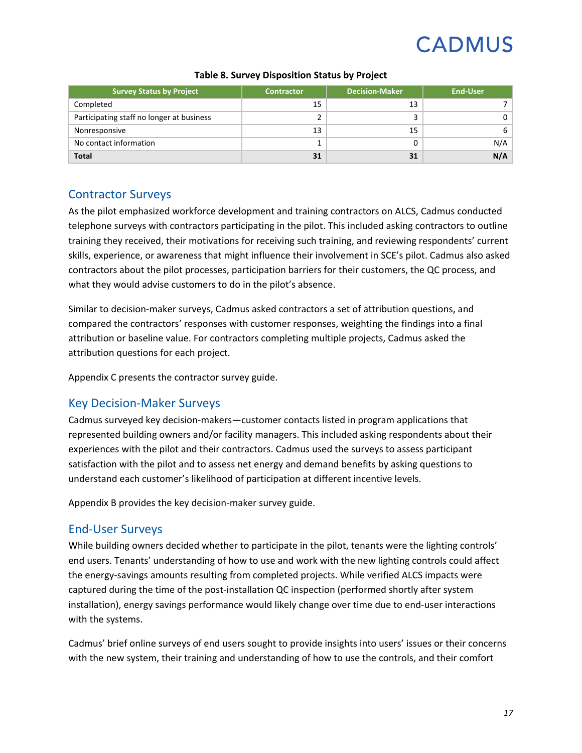<span id="page-19-0"></span>

| <b>Survey Status by Project</b>           | <b>Contractor</b> | <b>Decision-Maker</b> | <b>End-User</b> |
|-------------------------------------------|-------------------|-----------------------|-----------------|
| Completed                                 | 15                | 13                    |                 |
| Participating staff no longer at business | ┑                 |                       | 0               |
| Nonresponsive                             | 13                | 15                    | 6               |
| No contact information                    |                   |                       | N/A             |
| <b>Total</b>                              | 31                | 31                    | N/A             |

#### **Table 8. Survey Disposition Status by Project**

#### Contractor Surveys

As the pilot emphasized workforce development and training contractors on ALCS, Cadmus conducted telephone surveys with contractors participating in the pilot. This included asking contractors to outline training they received, their motivations for receiving such training, and reviewing respondents' current skills, experience, or awareness that might influence their involvement in SCE's pilot. Cadmus also asked contractors about the pilot processes, participation barriers for their customers, the QC process, and what they would advise customers to do in the pilot's absence.

Similar to decision-maker surveys, Cadmus asked contractors a set of attribution questions, and compared the contractors' responses with customer responses, weighting the findings into a final attribution or baseline value. For contractors completing multiple projects, Cadmus asked the attribution questions for each project.

Appendix C presents the contractor survey guide.

#### Key Decision-Maker Surveys

Cadmus surveyed key decision-makers—customer contacts listed in program applications that represented building owners and/or facility managers. This included asking respondents about their experiences with the pilot and their contractors. Cadmus used the surveys to assess participant satisfaction with the pilot and to assess net energy and demand benefits by asking questions to understand each customer's likelihood of participation at different incentive levels.

Appendix B provides the key decision-maker survey guide.

#### End-User Surveys

While building owners decided whether to participate in the pilot, tenants were the lighting controls' end users. Tenants' understanding of how to use and work with the new lighting controls could affect the energy-savings amounts resulting from completed projects. While verified ALCS impacts were captured during the time of the post-installation QC inspection (performed shortly after system installation), energy savings performance would likely change over time due to end-user interactions with the systems.

Cadmus' brief online surveys of end users sought to provide insights into users' issues or their concerns with the new system, their training and understanding of how to use the controls, and their comfort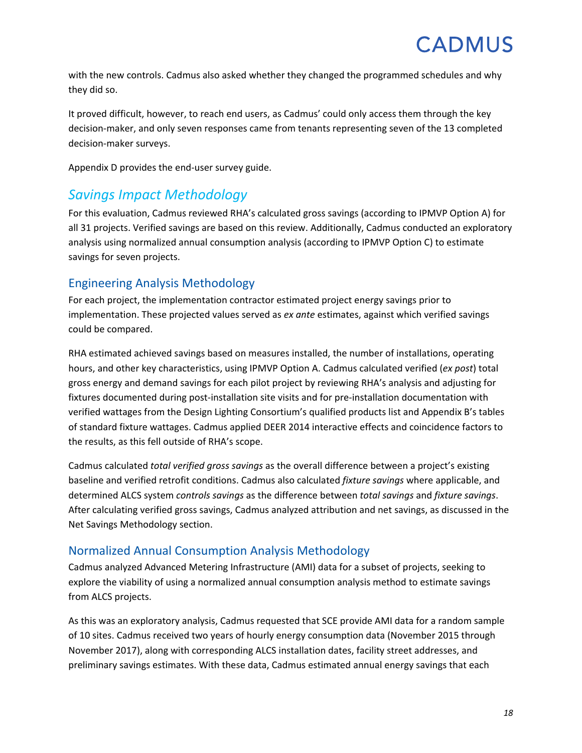with the new controls. Cadmus also asked whether they changed the programmed schedules and why they did so.

It proved difficult, however, to reach end users, as Cadmus' could only access them through the key decision-maker, and only seven responses came from tenants representing seven of the 13 completed decision-maker surveys.

Appendix D provides the end-user survey guide.

### <span id="page-20-0"></span>*Savings Impact Methodology*

For this evaluation, Cadmus reviewed RHA's calculated gross savings (according to IPMVP Option A) for all 31 projects. Verified savings are based on this review. Additionally, Cadmus conducted an exploratory analysis using normalized annual consumption analysis (according to IPMVP Option C) to estimate savings for seven projects.

### Engineering Analysis Methodology

For each project, the implementation contractor estimated project energy savings prior to implementation. These projected values served as *ex ante* estimates, against which verified savings could be compared.

RHA estimated achieved savings based on measures installed, the number of installations, operating hours, and other key characteristics, using IPMVP Option A. Cadmus calculated verified (*ex post*) total gross energy and demand savings for each pilot project by reviewing RHA's analysis and adjusting for fixtures documented during post-installation site visits and for pre-installation documentation with verified wattages from the Design Lighting Consortium's qualified products list and Appendix B's tables of standard fixture wattages. Cadmus applied DEER 2014 interactive effects and coincidence factors to the results, as this fell outside of RHA's scope.

Cadmus calculated *total verified gross savings* as the overall difference between a project's existing baseline and verified retrofit conditions. Cadmus also calculated *fixture savings* where applicable, and determined ALCS system *controls savings* as the difference between *total savings* and *fixture savings*. After calculating verified gross savings, Cadmus analyzed attribution and net savings, as discussed in the [Net Savings Methodology](#page-22-0) section.

### Normalized Annual Consumption Analysis Methodology

Cadmus analyzed Advanced Metering Infrastructure (AMI) data for a subset of projects, seeking to explore the viability of using a normalized annual consumption analysis method to estimate savings from ALCS projects.

As this was an exploratory analysis, Cadmus requested that SCE provide AMI data for a random sample of 10 sites. Cadmus received two years of hourly energy consumption data (November 2015 through November 2017), along with corresponding ALCS installation dates, facility street addresses, and preliminary savings estimates. With these data, Cadmus estimated annual energy savings that each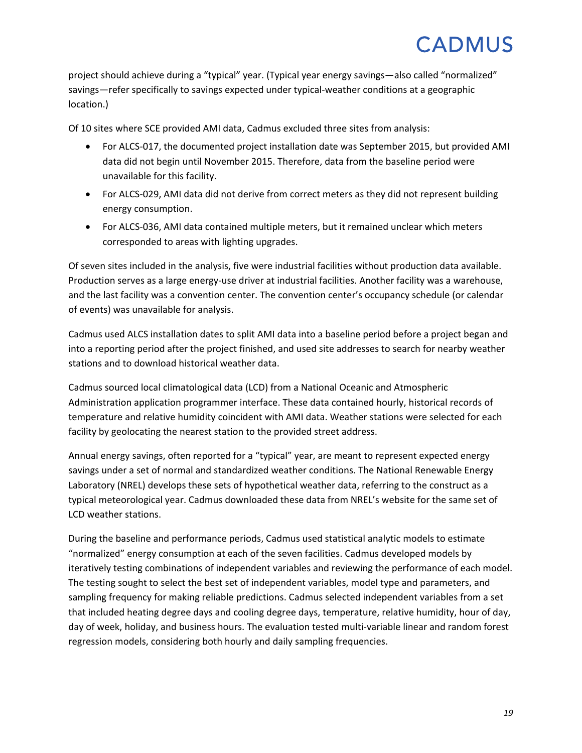project should achieve during a "typical" year. (Typical year energy savings—also called "normalized" savings—refer specifically to savings expected under typical-weather conditions at a geographic location.)

Of 10 sites where SCE provided AMI data, Cadmus excluded three sites from analysis:

- For ALCS-017, the documented project installation date was September 2015, but provided AMI data did not begin until November 2015. Therefore, data from the baseline period were unavailable for this facility.
- For ALCS-029, AMI data did not derive from correct meters as they did not represent building energy consumption.
- For ALCS-036, AMI data contained multiple meters, but it remained unclear which meters corresponded to areas with lighting upgrades.

Of seven sites included in the analysis, five were industrial facilities without production data available. Production serves as a large energy-use driver at industrial facilities. Another facility was a warehouse, and the last facility was a convention center. The convention center's occupancy schedule (or calendar of events) was unavailable for analysis.

Cadmus used ALCS installation dates to split AMI data into a baseline period before a project began and into a reporting period after the project finished, and used site addresses to search for nearby weather stations and to download historical weather data.

Cadmus sourced local climatological data (LCD) from a National Oceanic and Atmospheric Administration application programmer interface. These data contained hourly, historical records of temperature and relative humidity coincident with AMI data. Weather stations were selected for each facility by geolocating the nearest station to the provided street address.

Annual energy savings, often reported for a "typical" year, are meant to represent expected energy savings under a set of normal and standardized weather conditions. The National Renewable Energy Laboratory (NREL) develops these sets of hypothetical weather data, referring to the construct as a typical meteorological year. Cadmus downloaded these data from NREL's website for the same set of LCD weather stations.

During the baseline and performance periods, Cadmus used statistical analytic models to estimate "normalized" energy consumption at each of the seven facilities. Cadmus developed models by iteratively testing combinations of independent variables and reviewing the performance of each model. The testing sought to select the best set of independent variables, model type and parameters, and sampling frequency for making reliable predictions. Cadmus selected independent variables from a set that included heating degree days and cooling degree days, temperature, relative humidity, hour of day, day of week, holiday, and business hours. The evaluation tested multi-variable linear and random forest regression models, considering both hourly and daily sampling frequencies.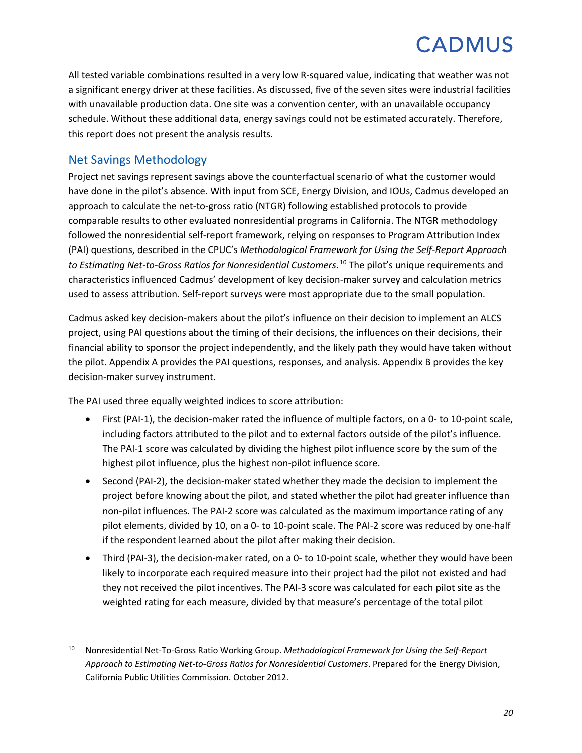All tested variable combinations resulted in a very low R-squared value, indicating that weather was not a significant energy driver at these facilities. As discussed, five of the seven sites were industrial facilities with unavailable production data. One site was a convention center, with an unavailable occupancy schedule. Without these additional data, energy savings could not be estimated accurately. Therefore, this report does not present the analysis results.

### <span id="page-22-0"></span>Net Savings Methodology

 $\overline{\phantom{a}}$ 

Project net savings represent savings above the counterfactual scenario of what the customer would have done in the pilot's absence. With input from SCE, Energy Division, and IOUs, Cadmus developed an approach to calculate the net-to-gross ratio (NTGR) following established protocols to provide comparable results to other evaluated nonresidential programs in California. The NTGR methodology followed the nonresidential self-report framework, relying on responses to Program Attribution Index (PAI) questions, described in the CPUC's *Methodological Framework for Using the Self-Report Approach to Estimating Net-to-Gross Ratios for Nonresidential Customers*. [10](#page-22-1) The pilot's unique requirements and characteristics influenced Cadmus' development of key decision-maker survey and calculation metrics used to assess attribution. Self-report surveys were most appropriate due to the small population.

Cadmus asked key decision-makers about the pilot's influence on their decision to implement an ALCS project, using PAI questions about the timing of their decisions, the influences on their decisions, their financial ability to sponsor the project independently, and the likely path they would have taken without the pilot. Appendix A provides the PAI questions, responses, and analysis. Appendix B provides the key decision-maker survey instrument.

The PAI used three equally weighted indices to score attribution:

- First (PAI-1), the decision-maker rated the influence of multiple factors, on a 0- to 10-point scale, including factors attributed to the pilot and to external factors outside of the pilot's influence. The PAI-1 score was calculated by dividing the highest pilot influence score by the sum of the highest pilot influence, plus the highest non-pilot influence score.
- Second (PAI-2), the decision-maker stated whether they made the decision to implement the project before knowing about the pilot, and stated whether the pilot had greater influence than non-pilot influences. The PAI-2 score was calculated as the maximum importance rating of any pilot elements, divided by 10, on a 0- to 10-point scale. The PAI-2 score was reduced by one-half if the respondent learned about the pilot after making their decision.
- Third (PAI-3), the decision-maker rated, on a 0- to 10-point scale, whether they would have been likely to incorporate each required measure into their project had the pilot not existed and had they not received the pilot incentives. The PAI-3 score was calculated for each pilot site as the weighted rating for each measure, divided by that measure's percentage of the total pilot

<span id="page-22-1"></span><sup>10</sup> Nonresidential Net-To-Gross Ratio Working Group. *Methodological Framework for Using the Self-Report Approach to Estimating Net-to-Gross Ratios for Nonresidential Customers*. Prepared for the Energy Division, California Public Utilities Commission. October 2012.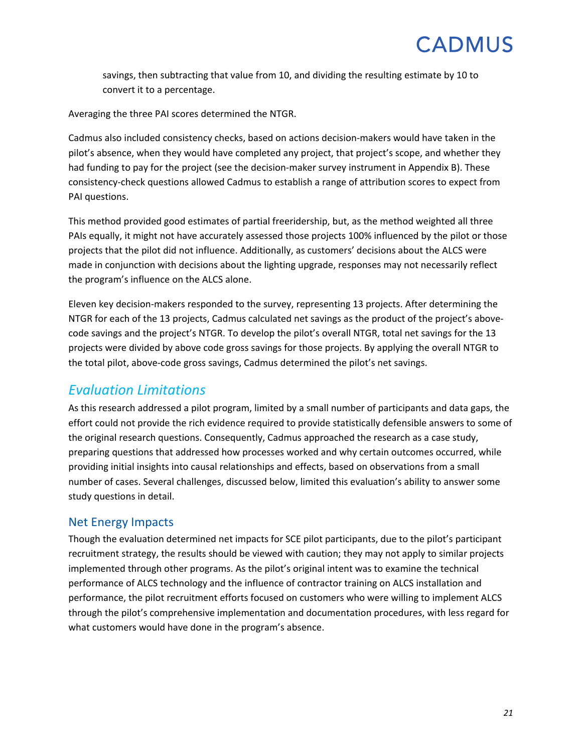savings, then subtracting that value from 10, and dividing the resulting estimate by 10 to convert it to a percentage.

Averaging the three PAI scores determined the NTGR.

Cadmus also included consistency checks, based on actions decision-makers would have taken in the pilot's absence, when they would have completed any project, that project's scope, and whether they had funding to pay for the project (see the decision-maker survey instrument in Appendix B). These consistency-check questions allowed Cadmus to establish a range of attribution scores to expect from PAI questions.

This method provided good estimates of partial freeridership, but, as the method weighted all three PAIs equally, it might not have accurately assessed those projects 100% influenced by the pilot or those projects that the pilot did not influence. Additionally, as customers' decisions about the ALCS were made in conjunction with decisions about the lighting upgrade, responses may not necessarily reflect the program's influence on the ALCS alone.

Eleven key decision-makers responded to the survey, representing 13 projects. After determining the NTGR for each of the 13 projects, Cadmus calculated net savings as the product of the project's abovecode savings and the project's NTGR. To develop the pilot's overall NTGR, total net savings for the 13 projects were divided by above code gross savings for those projects. By applying the overall NTGR to the total pilot, above-code gross savings, Cadmus determined the pilot's net savings.

### <span id="page-23-0"></span>*Evaluation Limitations*

As this research addressed a pilot program, limited by a small number of participants and data gaps, the effort could not provide the rich evidence required to provide statistically defensible answers to some of the original research questions. Consequently, Cadmus approached the research as a case study, preparing questions that addressed how processes worked and why certain outcomes occurred, while providing initial insights into causal relationships and effects, based on observations from a small number of cases. Several challenges, discussed below, limited this evaluation's ability to answer some study questions in detail.

### Net Energy Impacts

Though the evaluation determined net impacts for SCE pilot participants, due to the pilot's participant recruitment strategy, the results should be viewed with caution; they may not apply to similar projects implemented through other programs. As the pilot's original intent was to examine the technical performance of ALCS technology and the influence of contractor training on ALCS installation and performance, the pilot recruitment efforts focused on customers who were willing to implement ALCS through the pilot's comprehensive implementation and documentation procedures, with less regard for what customers would have done in the program's absence.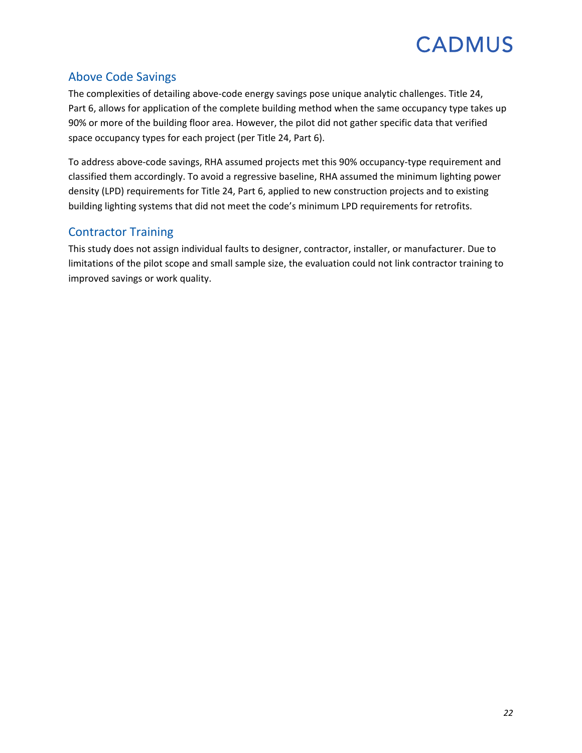### Above Code Savings

The complexities of detailing above-code energy savings pose unique analytic challenges. Title 24, Part 6, allows for application of the complete building method when the same occupancy type takes up 90% or more of the building floor area. However, the pilot did not gather specific data that verified space occupancy types for each project (per Title 24, Part 6).

To address above-code savings, RHA assumed projects met this 90% occupancy-type requirement and classified them accordingly. To avoid a regressive baseline, RHA assumed the minimum lighting power density (LPD) requirements for Title 24, Part 6, applied to new construction projects and to existing building lighting systems that did not meet the code's minimum LPD requirements for retrofits.

### Contractor Training

This study does not assign individual faults to designer, contractor, installer, or manufacturer. Due to limitations of the pilot scope and small sample size, the evaluation could not link contractor training to improved savings or work quality.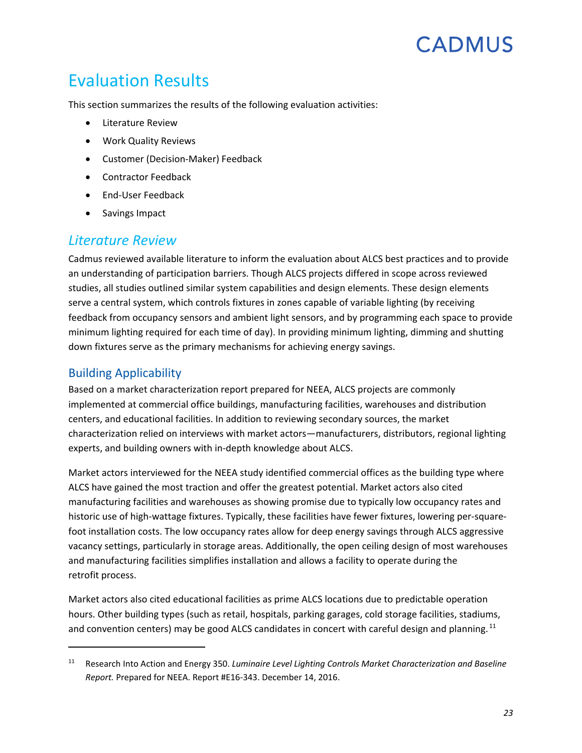## <span id="page-25-0"></span>Evaluation Results

This section summarizes the results of the following evaluation activities:

- [Literature Review](#page-25-1)
- [Work Quality Reviews](#page-28-0)
- [Customer \(Decision-Maker\) Feedback](#page-32-0)
- [Contractor Feedback](#page-36-0)
- [End-User Feedback](#page-39-0)
- Savings Impact

### <span id="page-25-1"></span>*Literature Review*

Cadmus reviewed available literature to inform the evaluation about ALCS best practices and to provide an understanding of participation barriers. Though ALCS projects differed in scope across reviewed studies, all studies outlined similar system capabilities and design elements. These design elements serve a central system, which controls fixtures in zones capable of variable lighting (by receiving feedback from occupancy sensors and ambient light sensors, and by programming each space to provide minimum lighting required for each time of day). In providing minimum lighting, dimming and shutting down fixtures serve as the primary mechanisms for achieving energy savings.

### Building Applicability

l

Based on a market characterization report prepared for NEEA, ALCS projects are commonly implemented at commercial office buildings, manufacturing facilities, warehouses and distribution centers, and educational facilities. In addition to reviewing secondary sources, the market characterization relied on interviews with market actors—manufacturers, distributors, regional lighting experts, and building owners with in-depth knowledge about ALCS.

Market actors interviewed for the NEEA study identified commercial offices as the building type where ALCS have gained the most traction and offer the greatest potential. Market actors also cited manufacturing facilities and warehouses as showing promise due to typically low occupancy rates and historic use of high-wattage fixtures. Typically, these facilities have fewer fixtures, lowering per-squarefoot installation costs. The low occupancy rates allow for deep energy savings through ALCS aggressive vacancy settings, particularly in storage areas. Additionally, the open ceiling design of most warehouses and manufacturing facilities simplifies installation and allows a facility to operate during the retrofit process.

Market actors also cited educational facilities as prime ALCS locations due to predictable operation hours. Other building types (such as retail, hospitals, parking garages, cold storage facilities, stadiums, and convention centers) may be good ALCS candidates in concert with careful design and planning.  $^{11}$  $^{11}$  $^{11}$ 

<span id="page-25-2"></span><sup>11</sup> Research Into Action and Energy 350. *Luminaire Level Lighting Controls Market Characterization and Baseline Report.* Prepared for NEEA. Report #E16-343. December 14, 2016.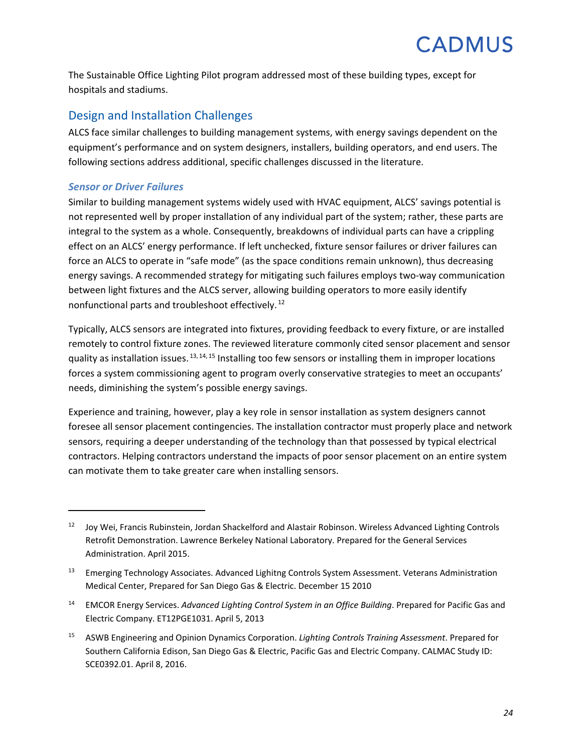The Sustainable Office Lighting Pilot program addressed most of these building types, except for hospitals and stadiums.

### Design and Installation Challenges

ALCS face similar challenges to building management systems, with energy savings dependent on the equipment's performance and on system designers, installers, building operators, and end users. The following sections address additional, specific challenges discussed in the literature.

#### *Sensor or Driver Failures*

 $\overline{a}$ 

Similar to building management systems widely used with HVAC equipment, ALCS' savings potential is not represented well by proper installation of any individual part of the system; rather, these parts are integral to the system as a whole. Consequently, breakdowns of individual parts can have a crippling effect on an ALCS' energy performance. If left unchecked, fixture sensor failures or driver failures can force an ALCS to operate in "safe mode" (as the space conditions remain unknown), thus decreasing energy savings. A recommended strategy for mitigating such failures employs two-way communication between light fixtures and the ALCS server, allowing building operators to more easily identify nonfunctional parts and troubleshoot effectively. [12](#page-26-0)

Typically, ALCS sensors are integrated into fixtures, providing feedback to every fixture, or are installed remotely to control fixture zones. The reviewed literature commonly cited sensor placement and sensor quality as installation issues. <sup>[13,](#page-26-1) [14,](#page-26-2) [15](#page-26-3)</sup> Installing too few sensors or installing them in improper locations forces a system commissioning agent to program overly conservative strategies to meet an occupants' needs, diminishing the system's possible energy savings.

Experience and training, however, play a key role in sensor installation as system designers cannot foresee all sensor placement contingencies. The installation contractor must properly place and network sensors, requiring a deeper understanding of the technology than that possessed by typical electrical contractors. Helping contractors understand the impacts of poor sensor placement on an entire system can motivate them to take greater care when installing sensors.

<span id="page-26-0"></span><sup>12</sup> Joy Wei, Francis Rubinstein, Jordan Shackelford and Alastair Robinson. Wireless Advanced Lighting Controls Retrofit Demonstration. Lawrence Berkeley National Laboratory. Prepared for the General Services Administration. April 2015.

<span id="page-26-1"></span><sup>&</sup>lt;sup>13</sup> Emerging Technology Associates. Advanced Lighitng Controls System Assessment. Veterans Administration Medical Center, Prepared for San Diego Gas & Electric. December 15 2010

<span id="page-26-2"></span><sup>14</sup> EMCOR Energy Services. *Advanced Lighting Control System in an Office Building*. Prepared for Pacific Gas and Electric Company. ET12PGE1031. April 5, 2013

<span id="page-26-3"></span><sup>15</sup> ASWB Engineering and Opinion Dynamics Corporation. *Lighting Controls Training Assessment*. Prepared for Southern California Edison, San Diego Gas & Electric, Pacific Gas and Electric Company. CALMAC Study ID: SCE0392.01. April 8, 2016.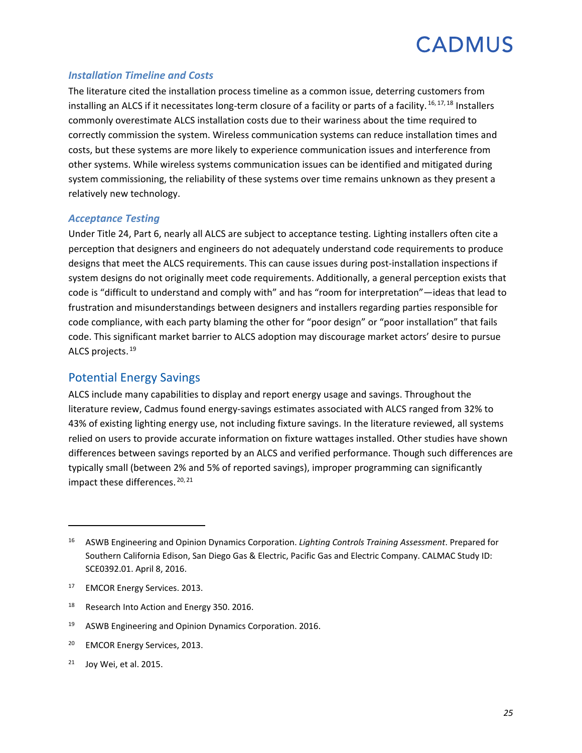#### *Installation Timeline and Costs*

The literature cited the installation process timeline as a common issue, deterring customers from installing an ALCS if it necessitates long-term closure of a facility or parts of a facility. <sup>[16](#page-27-0), [17](#page-27-1), [18](#page-27-2)</sup> Installers commonly overestimate ALCS installation costs due to their wariness about the time required to correctly commission the system. Wireless communication systems can reduce installation times and costs, but these systems are more likely to experience communication issues and interference from other systems. While wireless systems communication issues can be identified and mitigated during system commissioning, the reliability of these systems over time remains unknown as they present a relatively new technology.

#### *Acceptance Testing*

Under Title 24, Part 6, nearly all ALCS are subject to acceptance testing. Lighting installers often cite a perception that designers and engineers do not adequately understand code requirements to produce designs that meet the ALCS requirements. This can cause issues during post-installation inspections if system designs do not originally meet code requirements. Additionally, a general perception exists that code is "difficult to understand and comply with" and has "room for interpretation"—ideas that lead to frustration and misunderstandings between designers and installers regarding parties responsible for code compliance, with each party blaming the other for "poor design" or "poor installation" that fails code. This significant market barrier to ALCS adoption may discourage market actors' desire to pursue ALCS projects. [19](#page-27-3)

#### Potential Energy Savings

ALCS include many capabilities to display and report energy usage and savings. Throughout the literature review, Cadmus found energy-savings estimates associated with ALCS ranged from 32% to 43% of existing lighting energy use, not including fixture savings. In the literature reviewed, all systems relied on users to provide accurate information on fixture wattages installed. Other studies have shown differences between savings reported by an ALCS and verified performance. Though such differences are typically small (between 2% and 5% of reported savings), improper programming can significantly impact these differences.<sup>[20](#page-27-4),[21](#page-27-5)</sup>

<span id="page-27-3"></span><sup>19</sup> ASWB Engineering and Opinion Dynamics Corporation. 2016.

<span id="page-27-4"></span><sup>20</sup> EMCOR Energy Services, 2013.

 $\overline{\phantom{a}}$ 

<span id="page-27-0"></span><sup>16</sup> ASWB Engineering and Opinion Dynamics Corporation. *Lighting Controls Training Assessment*. Prepared for Southern California Edison, San Diego Gas & Electric, Pacific Gas and Electric Company. CALMAC Study ID: SCE0392.01. April 8, 2016.

<span id="page-27-1"></span><sup>&</sup>lt;sup>17</sup> EMCOR Energy Services. 2013.

<span id="page-27-2"></span><sup>&</sup>lt;sup>18</sup> Research Into Action and Energy 350. 2016.

<span id="page-27-5"></span> $21$  Joy Wei, et al. 2015.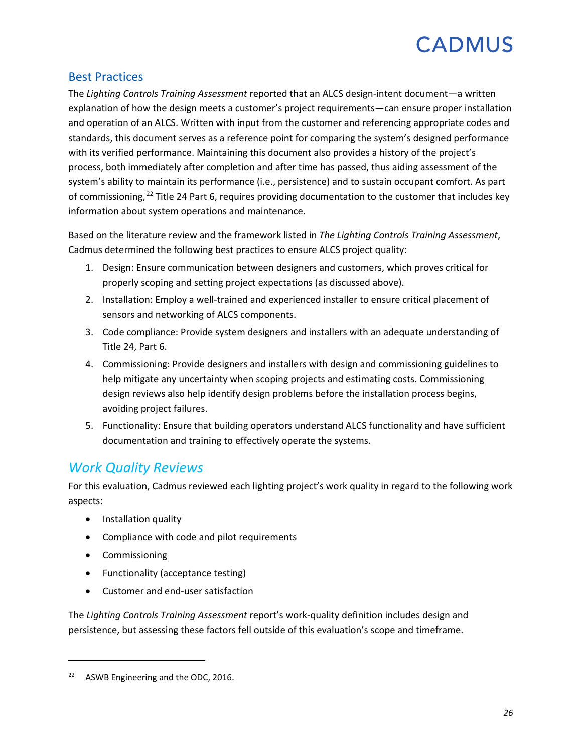#### Best Practices

The *Lighting Controls Training Assessment* reported that an ALCS design-intent document—a written explanation of how the design meets a customer's project requirements—can ensure proper installation and operation of an ALCS. Written with input from the customer and referencing appropriate codes and standards, this document serves as a reference point for comparing the system's designed performance with its verified performance. Maintaining this document also provides a history of the project's process, both immediately after completion and after time has passed, thus aiding assessment of the system's ability to maintain its performance (i.e., persistence) and to sustain occupant comfort. As part of commissioning, <sup>[22](#page-28-1)</sup> Title 24 Part 6, requires providing documentation to the customer that includes key information about system operations and maintenance.

Based on the literature review and the framework listed in *The Lighting Controls Training Assessment*, Cadmus determined the following best practices to ensure ALCS project quality:

- 1. Design: Ensure communication between designers and customers, which proves critical for properly scoping and setting project expectations (as discussed above).
- 2. Installation: Employ a well-trained and experienced installer to ensure critical placement of sensors and networking of ALCS components.
- 3. Code compliance: Provide system designers and installers with an adequate understanding of Title 24, Part 6.
- 4. Commissioning: Provide designers and installers with design and commissioning guidelines to help mitigate any uncertainty when scoping projects and estimating costs. Commissioning design reviews also help identify design problems before the installation process begins, avoiding project failures.
- 5. Functionality: Ensure that building operators understand ALCS functionality and have sufficient documentation and training to effectively operate the systems.

### <span id="page-28-0"></span>*Work Quality Reviews*

For this evaluation, Cadmus reviewed each lighting project's work quality in regard to the following work aspects:

- Installation quality
- Compliance with code and pilot requirements
- Commissioning

 $\overline{\phantom{a}}$ 

- Functionality (acceptance testing)
- Customer and end-user satisfaction

The *Lighting Controls Training Assessment* report's work-quality definition includes design and persistence, but assessing these factors fell outside of this evaluation's scope and timeframe.

<span id="page-28-1"></span><sup>&</sup>lt;sup>22</sup> ASWB Engineering and the ODC, 2016.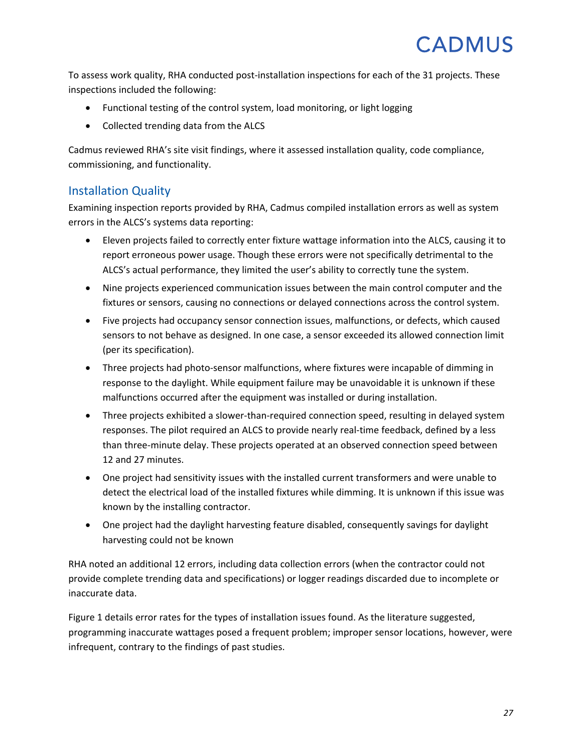To assess work quality, RHA conducted post-installation inspections for each of the 31 projects. These inspections included the following:

- Functional testing of the control system, load monitoring, or light logging
- Collected trending data from the ALCS

Cadmus reviewed RHA's site visit findings, where it assessed installation quality, code compliance, commissioning, and functionality.

#### Installation Quality

Examining inspection reports provided by RHA, Cadmus compiled installation errors as well as system errors in the ALCS's systems data reporting:

- Eleven projects failed to correctly enter fixture wattage information into the ALCS, causing it to report erroneous power usage. Though these errors were not specifically detrimental to the ALCS's actual performance, they limited the user's ability to correctly tune the system.
- Nine projects experienced communication issues between the main control computer and the fixtures or sensors, causing no connections or delayed connections across the control system.
- Five projects had occupancy sensor connection issues, malfunctions, or defects, which caused sensors to not behave as designed. In one case, a sensor exceeded its allowed connection limit (per its specification).
- Three projects had photo-sensor malfunctions, where fixtures were incapable of dimming in response to the daylight. While equipment failure may be unavoidable it is unknown if these malfunctions occurred after the equipment was installed or during installation.
- Three projects exhibited a slower-than-required connection speed, resulting in delayed system responses. The pilot required an ALCS to provide nearly real-time feedback, defined by a less than three-minute delay. These projects operated at an observed connection speed between 12 and 27 minutes.
- One project had sensitivity issues with the installed current transformers and were unable to detect the electrical load of the installed fixtures while dimming. It is unknown if this issue was known by the installing contractor.
- One project had the daylight harvesting feature disabled, consequently savings for daylight harvesting could not be known

RHA noted an additional 12 errors, including data collection errors (when the contractor could not provide complete trending data and specifications) or logger readings discarded due to incomplete or inaccurate data.

[Figure 1](#page-30-0) details error rates for the types of installation issues found. As the literature suggested, programming inaccurate wattages posed a frequent problem; improper sensor locations, however, were infrequent, contrary to the findings of past studies.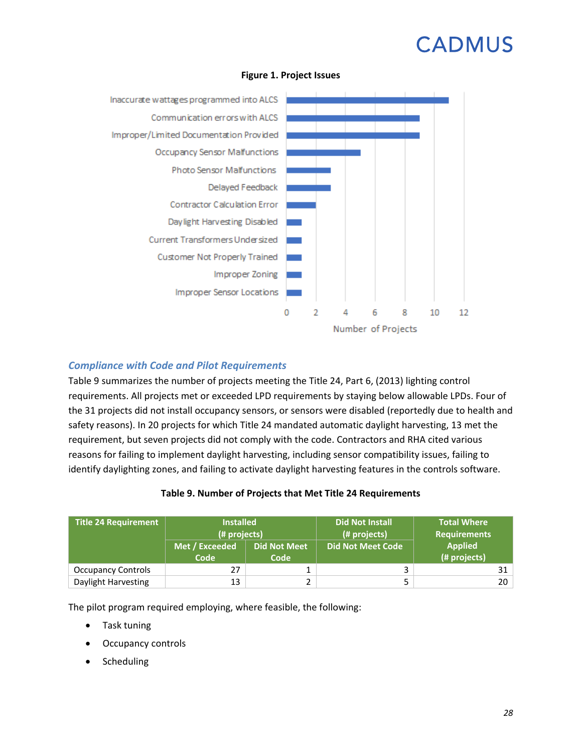<span id="page-30-0"></span>

#### **Figure 1. Project Issues**

#### *Compliance with Code and Pilot Requirements*

[Table](#page-30-1) 9 summarizes the number of projects meeting the Title 24, Part 6, (2013) lighting control requirements. All projects met or exceeded LPD requirements by staying below allowable LPDs. Four of the 31 projects did not install occupancy sensors, or sensors were disabled (reportedly due to health and safety reasons). In 20 projects for which Title 24 mandated automatic daylight harvesting, 13 met the requirement, but seven projects did not comply with the code. Contractors and RHA cited various reasons for failing to implement daylight harvesting, including sensor compatibility issues, failing to identify daylighting zones, and failing to activate daylight harvesting features in the controls software.

#### **Table 9. Number of Projects that Met Title 24 Requirements**

<span id="page-30-1"></span>

| <b>Title 24 Requirement</b> | <b>Installed</b><br>(# projects) |                             | <b>Did Not Install</b><br>(# projects) | <b>Total Where</b><br><b>Requirements</b> |
|-----------------------------|----------------------------------|-----------------------------|----------------------------------------|-------------------------------------------|
|                             | Met / Exceeded<br>Code           | <b>Did Not Meet</b><br>Code | <b>Did Not Meet Code</b>               | <b>Applied</b><br>(# projects)            |
| <b>Occupancy Controls</b>   | 27                               |                             |                                        | 31                                        |
| Daylight Harvesting         | 13                               |                             |                                        | 20                                        |

The pilot program required employing, where feasible, the following:

- Task tuning
- Occupancy controls
- **Scheduling**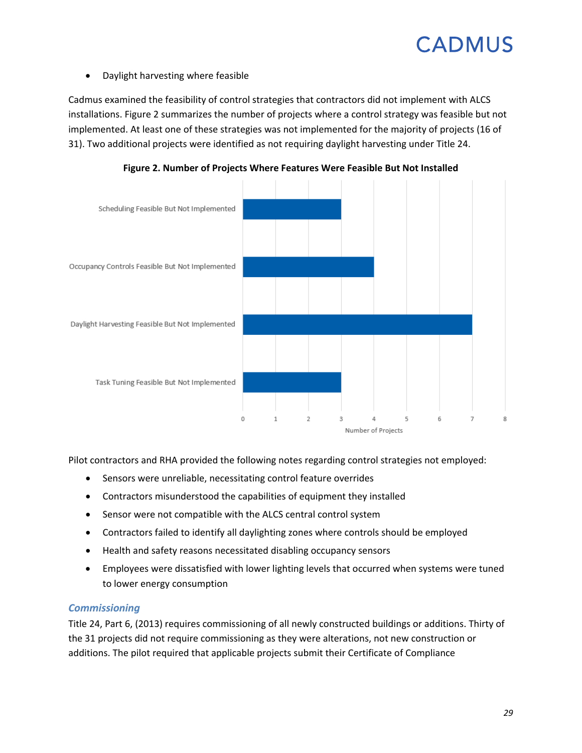• Daylight harvesting where feasible

Cadmus examined the feasibility of control strategies that contractors did not implement with ALCS installations. [Figure 2](#page-31-0) summarizes the number of projects where a control strategy was feasible but not implemented. At least one of these strategies was not implemented for the majority of projects (16 of 31). Two additional projects were identified as not requiring daylight harvesting under Title 24.

<span id="page-31-0"></span>

**Figure 2. Number of Projects Where Features Were Feasible But Not Installed**

Pilot contractors and RHA provided the following notes regarding control strategies not employed:

- Sensors were unreliable, necessitating control feature overrides
- Contractors misunderstood the capabilities of equipment they installed
- Sensor were not compatible with the ALCS central control system
- Contractors failed to identify all daylighting zones where controls should be employed
- Health and safety reasons necessitated disabling occupancy sensors
- Employees were dissatisfied with lower lighting levels that occurred when systems were tuned to lower energy consumption

#### *Commissioning*

Title 24, Part 6, (2013) requires commissioning of all newly constructed buildings or additions. Thirty of the 31 projects did not require commissioning as they were alterations, not new construction or additions. The pilot required that applicable projects submit their Certificate of Compliance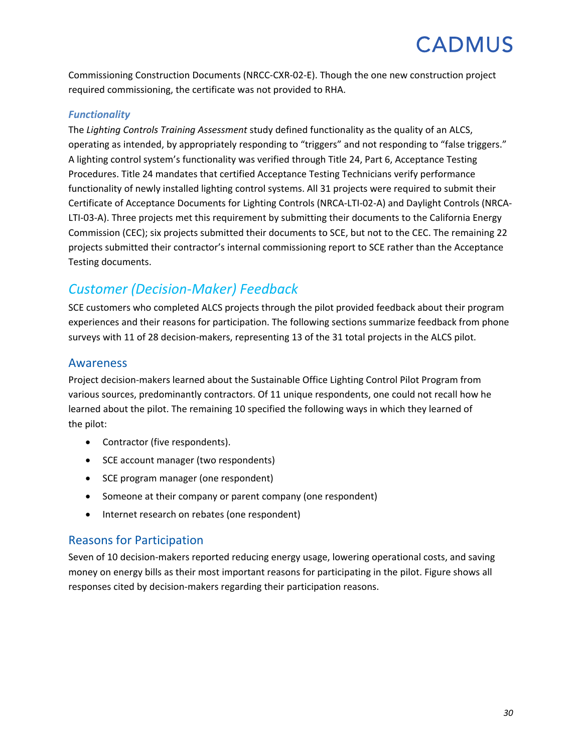Commissioning Construction Documents (NRCC-CXR-02-E). Though the one new construction project required commissioning, the certificate was not provided to RHA.

#### *Functionality*

The *Lighting Controls Training Assessment* study defined functionality as the quality of an ALCS, operating as intended, by appropriately responding to "triggers" and not responding to "false triggers." A lighting control system's functionality was verified through Title 24, Part 6, Acceptance Testing Procedures. Title 24 mandates that certified Acceptance Testing Technicians verify performance functionality of newly installed lighting control systems. All 31 projects were required to submit their Certificate of Acceptance Documents for Lighting Controls (NRCA-LTI-02-A) and Daylight Controls (NRCA-LTI-03-A). Three projects met this requirement by submitting their documents to the California Energy Commission (CEC); six projects submitted their documents to SCE, but not to the CEC. The remaining 22 projects submitted their contractor's internal commissioning report to SCE rather than the Acceptance Testing documents.

## <span id="page-32-0"></span>*Customer (Decision-Maker) Feedback*

SCE customers who completed ALCS projects through the pilot provided feedback about their program experiences and their reasons for participation. The following sections summarize feedback from phone surveys with 11 of 28 decision-makers, representing 13 of the 31 total projects in the ALCS pilot.

### Awareness

Project decision-makers learned about the Sustainable Office Lighting Control Pilot Program from various sources, predominantly contractors. Of 11 unique respondents, one could not recall how he learned about the pilot. The remaining 10 specified the following ways in which they learned of the pilot:

- Contractor (five respondents).
- SCE account manager (two respondents)
- SCE program manager (one respondent)
- Someone at their company or parent company (one respondent)
- Internet research on rebates (one respondent)

### Reasons for Participation

Seven of 10 decision-makers reported reducing energy usage, lowering operational costs, and saving money on energy bills as their most important reasons for participating in the pilot. Figure shows all responses cited by decision-makers regarding their participation reasons.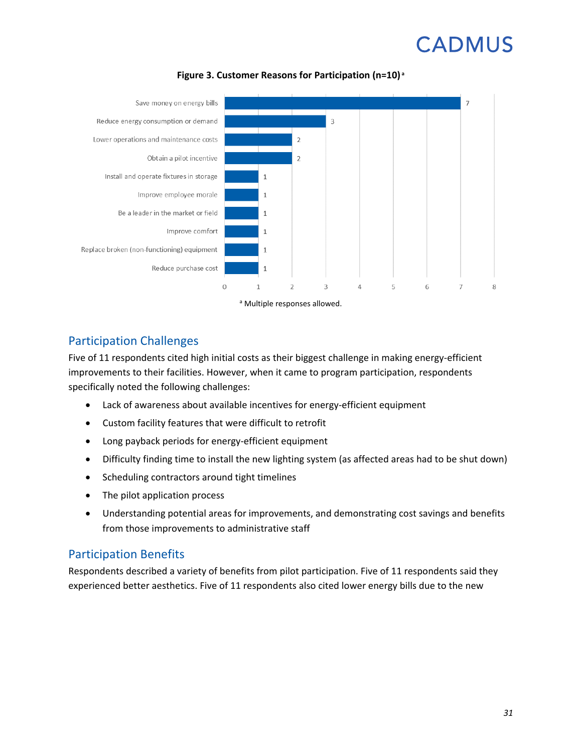

**Figure 3. Customer Reasons for Participation (n=10) <sup>a</sup>**

#### Participation Challenges

Five of 11 respondents cited high initial costs as their biggest challenge in making energy-efficient improvements to their facilities. However, when it came to program participation, respondents specifically noted the following challenges:

- Lack of awareness about available incentives for energy-efficient equipment
- Custom facility features that were difficult to retrofit
- Long payback periods for energy-efficient equipment
- Difficulty finding time to install the new lighting system (as affected areas had to be shut down)
- Scheduling contractors around tight timelines
- The pilot application process
- Understanding potential areas for improvements, and demonstrating cost savings and benefits from those improvements to administrative staff

#### Participation Benefits

Respondents described a variety of benefits from pilot participation. Five of 11 respondents said they experienced better aesthetics. Five of 11 respondents also cited lower energy bills due to the new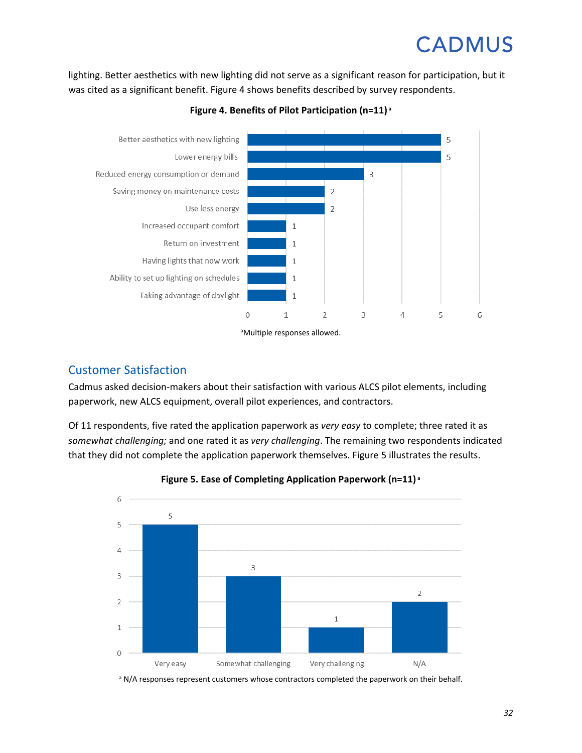<span id="page-34-0"></span>lighting. Better aesthetics with new lighting did not serve as a significant reason for participation, but it was cited as a significant benefit[. Figure](#page-34-0) 4 shows benefits described by survey respondents.





a Multiple responses allowed.

### Customer Satisfaction

Cadmus asked decision-makers about their satisfaction with various ALCS pilot elements, including paperwork, new ALCS equipment, overall pilot experiences, and contractors.

Of 11 respondents, five rated the application paperwork as *very easy* to complete; three rated it as *somewhat challenging;* and one rated it as *very challenging*. The remaining two respondents indicated that they did not complete the application paperwork themselves. [Figure](#page-34-1) 5 illustrates the results.

<span id="page-34-1"></span>



a N/A responses represent customers whose contractors completed the paperwork on their behalf.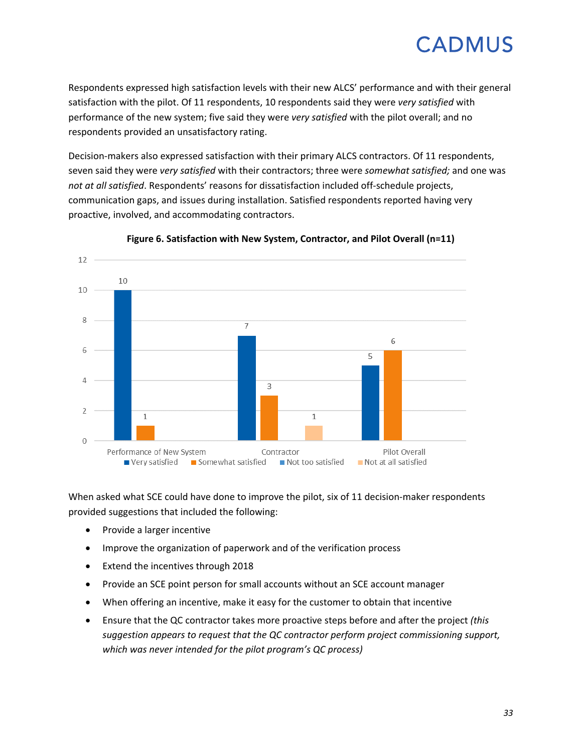Respondents expressed high satisfaction levels with their new ALCS' performance and with their general satisfaction with the pilot. Of 11 respondents, 10 respondents said they were *very satisfied* with performance of the new system; five said they were *very satisfied* with the pilot overall; and no respondents provided an unsatisfactory rating.

Decision-makers also expressed satisfaction with their primary ALCS contractors. Of 11 respondents, seven said they were *very satisfied* with their contractors; three were *somewhat satisfied;* and one was *not at all satisfied*. Respondents' reasons for dissatisfaction included off-schedule projects, communication gaps, and issues during installation. Satisfied respondents reported having very proactive, involved, and accommodating contractors.



**Figure 6. Satisfaction with New System, Contractor, and Pilot Overall (n=11)**

When asked what SCE could have done to improve the pilot, six of 11 decision-maker respondents provided suggestions that included the following:

- Provide a larger incentive
- Improve the organization of paperwork and of the verification process
- Extend the incentives through 2018
- Provide an SCE point person for small accounts without an SCE account manager
- When offering an incentive, make it easy for the customer to obtain that incentive
- Ensure that the QC contractor takes more proactive steps before and after the project *(this suggestion appears to request that the QC contractor perform project commissioning support, which was never intended for the pilot program's QC process)*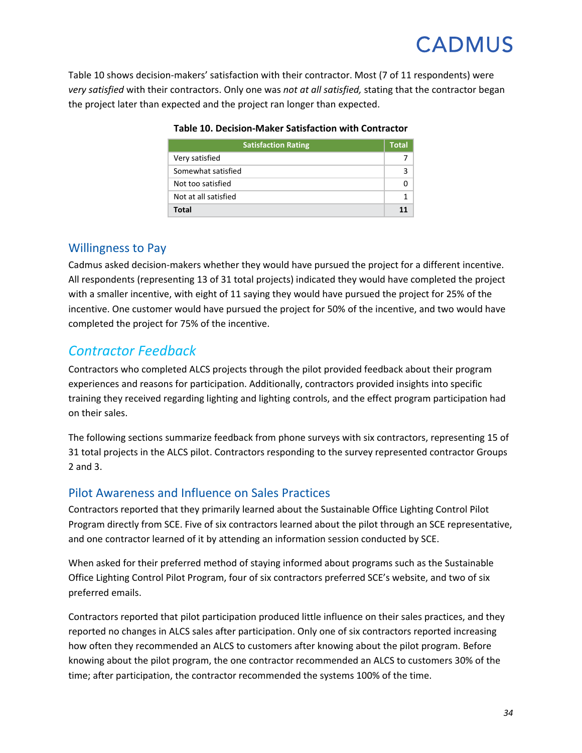<span id="page-36-0"></span>[Table 10](#page-36-0) shows decision-makers' satisfaction with their contractor. Most (7 of 11 respondents) were *very satisfied* with their contractors. Only one was *not at all satisfied,* stating that the contractor began the project later than expected and the project ran longer than expected.

| <b>Satisfaction Rating</b> | <b>Total</b> |
|----------------------------|--------------|
| Very satisfied             |              |
| Somewhat satisfied         |              |
| Not too satisfied          |              |
| Not at all satisfied       |              |
| Total                      | 11           |

#### **Table 10. Decision-Maker Satisfaction with Contractor**

#### Willingness to Pay

Cadmus asked decision-makers whether they would have pursued the project for a different incentive. All respondents (representing 13 of 31 total projects) indicated they would have completed the project with a smaller incentive, with eight of 11 saying they would have pursued the project for 25% of the incentive. One customer would have pursued the project for 50% of the incentive, and two would have completed the project for 75% of the incentive.

### *Contractor Feedback*

Contractors who completed ALCS projects through the pilot provided feedback about their program experiences and reasons for participation. Additionally, contractors provided insights into specific training they received regarding lighting and lighting controls, and the effect program participation had on their sales.

The following sections summarize feedback from phone surveys with six contractors, representing 15 of 31 total projects in the ALCS pilot. Contractors responding to the survey represented contractor Groups 2 and 3.

### Pilot Awareness and Influence on Sales Practices

Contractors reported that they primarily learned about the Sustainable Office Lighting Control Pilot Program directly from SCE. Five of six contractors learned about the pilot through an SCE representative, and one contractor learned of it by attending an information session conducted by SCE.

When asked for their preferred method of staying informed about programs such as the Sustainable Office Lighting Control Pilot Program, four of six contractors preferred SCE's website, and two of six preferred emails.

Contractors reported that pilot participation produced little influence on their sales practices, and they reported no changes in ALCS sales after participation. Only one of six contractors reported increasing how often they recommended an ALCS to customers after knowing about the pilot program. Before knowing about the pilot program, the one contractor recommended an ALCS to customers 30% of the time; after participation, the contractor recommended the systems 100% of the time.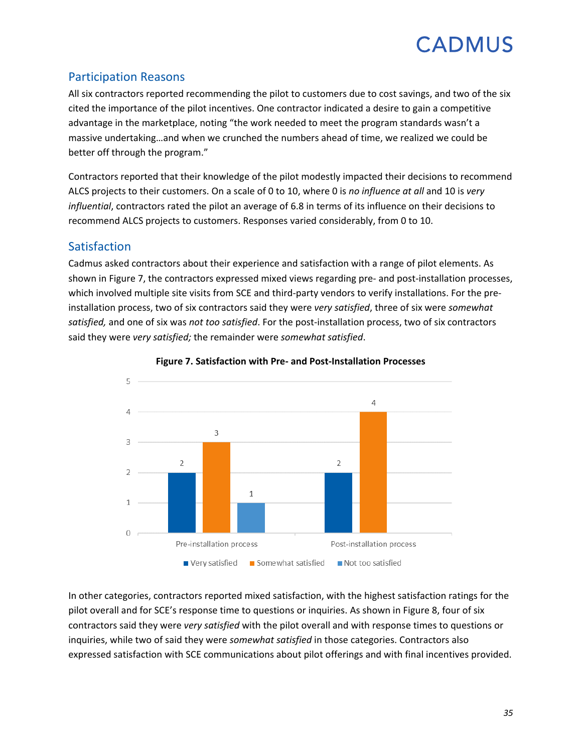### Participation Reasons

All six contractors reported recommending the pilot to customers due to cost savings, and two of the six cited the importance of the pilot incentives. One contractor indicated a desire to gain a competitive advantage in the marketplace, noting "the work needed to meet the program standards wasn't a massive undertaking…and when we crunched the numbers ahead of time, we realized we could be better off through the program."

Contractors reported that their knowledge of the pilot modestly impacted their decisions to recommend ALCS projects to their customers. On a scale of 0 to 10, where 0 is *no influence at all* and 10 is *very influential*, contractors rated the pilot an average of 6.8 in terms of its influence on their decisions to recommend ALCS projects to customers. Responses varied considerably, from 0 to 10.

### Satisfaction

Cadmus asked contractors about their experience and satisfaction with a range of pilot elements. As shown in [Figure](#page-37-0) 7, the contractors expressed mixed views regarding pre- and post-installation processes, which involved multiple site visits from SCE and third-party vendors to verify installations. For the preinstallation process, two of six contractors said they were *very satisfied*, three of six were *somewhat satisfied,* and one of six was *not too satisfied*. For the post-installation process, two of six contractors said they were *very satisfied;* the remainder were *somewhat satisfied*.

<span id="page-37-0"></span>

#### **Figure 7. Satisfaction with Pre- and Post-Installation Processes**

In other categories, contractors reported mixed satisfaction, with the highest satisfaction ratings for the pilot overall and for SCE's response time to questions or inquiries. As shown in [Figure](#page-38-0) 8, four of six contractors said they were *very satisfied* with the pilot overall and with response times to questions or inquiries, while two of said they were *somewhat satisfied* in those categories. Contractors also expressed satisfaction with SCE communications about pilot offerings and with final incentives provided.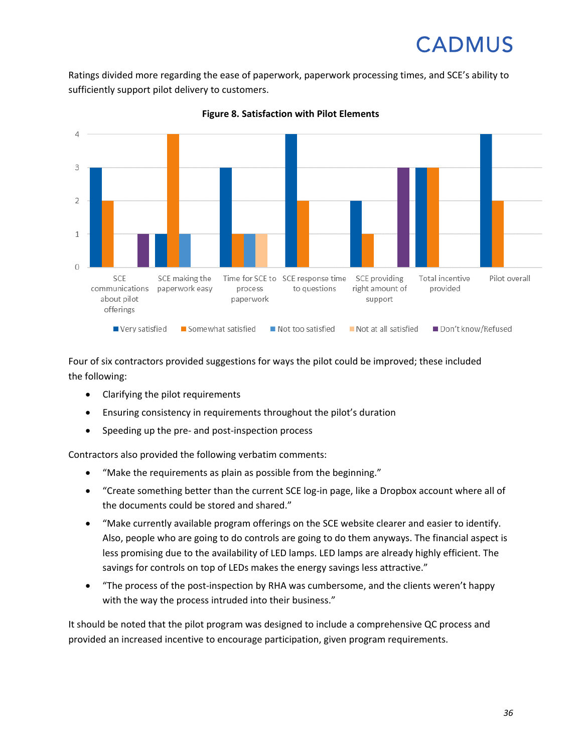Ratings divided more regarding the ease of paperwork, paperwork processing times, and SCE's ability to sufficiently support pilot delivery to customers.

<span id="page-38-0"></span>



Four of six contractors provided suggestions for ways the pilot could be improved; these included the following:

- Clarifying the pilot requirements
- Ensuring consistency in requirements throughout the pilot's duration
- Speeding up the pre- and post-inspection process

Contractors also provided the following verbatim comments:

- "Make the requirements as plain as possible from the beginning."
- "Create something better than the current SCE log-in page, like a Dropbox account where all of the documents could be stored and shared."
- "Make currently available program offerings on the SCE website clearer and easier to identify. Also, people who are going to do controls are going to do them anyways. The financial aspect is less promising due to the availability of LED lamps. LED lamps are already highly efficient. The savings for controls on top of LEDs makes the energy savings less attractive."
- "The process of the post-inspection by RHA was cumbersome, and the clients weren't happy with the way the process intruded into their business."

It should be noted that the pilot program was designed to include a comprehensive QC process and provided an increased incentive to encourage participation, given program requirements.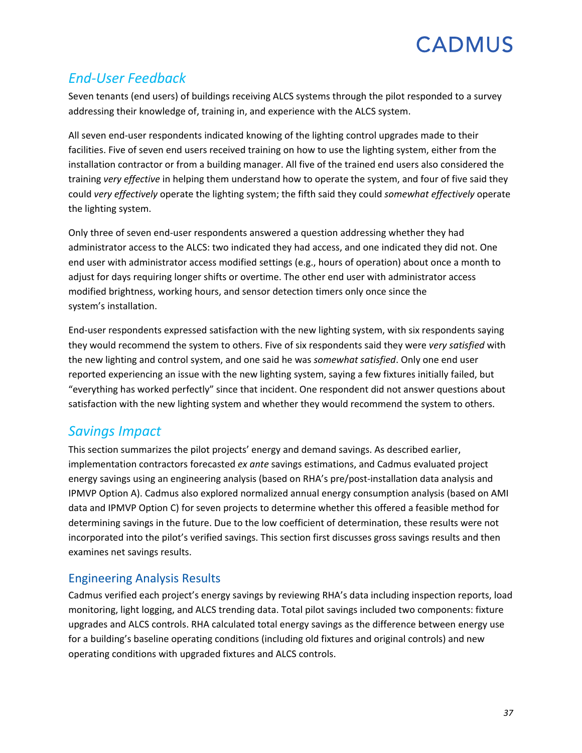## *End-User Feedback*

Seven tenants (end users) of buildings receiving ALCS systems through the pilot responded to a survey addressing their knowledge of, training in, and experience with the ALCS system.

All seven end-user respondents indicated knowing of the lighting control upgrades made to their facilities. Five of seven end users received training on how to use the lighting system, either from the installation contractor or from a building manager. All five of the trained end users also considered the training *very effective* in helping them understand how to operate the system, and four of five said they could *very effectively* operate the lighting system; the fifth said they could *somewhat effectively* operate the lighting system.

Only three of seven end-user respondents answered a question addressing whether they had administrator access to the ALCS: two indicated they had access, and one indicated they did not. One end user with administrator access modified settings (e.g., hours of operation) about once a month to adjust for days requiring longer shifts or overtime. The other end user with administrator access modified brightness, working hours, and sensor detection timers only once since the system's installation.

End-user respondents expressed satisfaction with the new lighting system, with six respondents saying they would recommend the system to others. Five of six respondents said they were *very satisfied* with the new lighting and control system, and one said he was *somewhat satisfied*. Only one end user reported experiencing an issue with the new lighting system, saying a few fixtures initially failed, but "everything has worked perfectly" since that incident. One respondent did not answer questions about satisfaction with the new lighting system and whether they would recommend the system to others.

### *Savings Impact*

This section summarizes the pilot projects' energy and demand savings. As described earlier, implementation contractors forecasted *ex ante* savings estimations, and Cadmus evaluated project energy savings using an engineering analysis (based on RHA's pre/post-installation data analysis and IPMVP Option A). Cadmus also explored normalized annual energy consumption analysis (based on AMI data and IPMVP Option C) for seven projects to determine whether this offered a feasible method for determining savings in the future. Due to the low coefficient of determination, these results were not incorporated into the pilot's verified savings. This section first discusses gross savings results and then examines net savings results.

### Engineering Analysis Results

Cadmus verified each project's energy savings by reviewing RHA's data including inspection reports, load monitoring, light logging, and ALCS trending data. Total pilot savings included two components: fixture upgrades and ALCS controls. RHA calculated total energy savings as the difference between energy use for a building's baseline operating conditions (including old fixtures and original controls) and new operating conditions with upgraded fixtures and ALCS controls.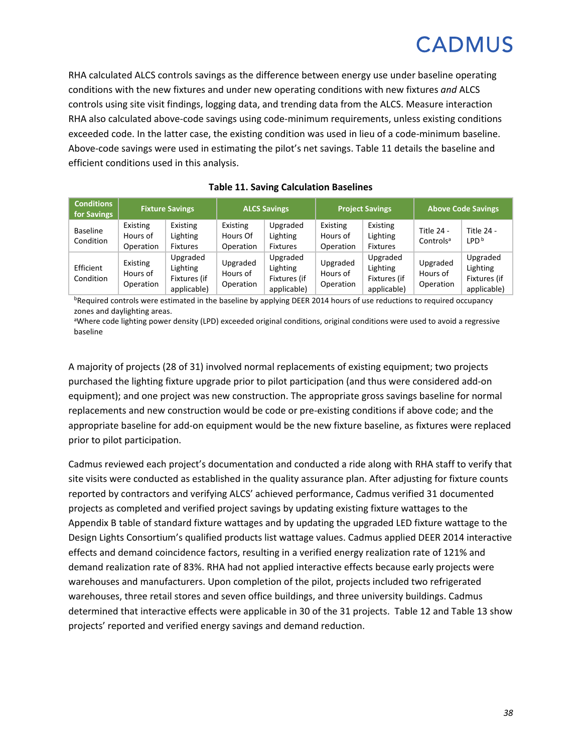RHA calculated ALCS controls savings as the difference between energy use under baseline operating conditions with the new fixtures and under new operating conditions with new fixtures *and* ALCS controls using site visit findings, logging data, and trending data from the ALCS. Measure interaction RHA also calculated above-code savings using code-minimum requirements, unless existing conditions exceeded code. In the latter case, the existing condition was used in lieu of a code-minimum baseline. Above-code savings were used in estimating the pilot's net savings. [Table 11](#page-40-0) details the baseline and efficient conditions used in this analysis.

<span id="page-40-0"></span>

| <b>Conditions</b><br>for Savings | <b>Fixture Savings</b>            |                                                     | <b>ALCS Savings</b>               |                                                     | <b>Project Savings</b>            |                                                     | <b>Above Code Savings</b>           |                                                     |
|----------------------------------|-----------------------------------|-----------------------------------------------------|-----------------------------------|-----------------------------------------------------|-----------------------------------|-----------------------------------------------------|-------------------------------------|-----------------------------------------------------|
| <b>Baseline</b><br>Condition     | Existing<br>Hours of<br>Operation | Existing<br>Lighting<br><b>Fixtures</b>             | Existing<br>Hours Of<br>Operation | Upgraded<br>Lighting<br><b>Fixtures</b>             | Existing<br>Hours of<br>Operation | Existing<br>Lighting<br><b>Fixtures</b>             | Title 24 -<br>Controls <sup>a</sup> | Title 24 -<br>LPD <sup>b</sup>                      |
| Efficient<br>Condition           | Existing<br>Hours of<br>Operation | Upgraded<br>Lighting<br>Fixtures (if<br>applicable) | Upgraded<br>Hours of<br>Operation | Upgraded<br>Lighting<br>Fixtures (if<br>applicable) | Upgraded<br>Hours of<br>Operation | Upgraded<br>Lighting<br>Fixtures (if<br>applicable) | Upgraded<br>Hours of<br>Operation   | Upgraded<br>Lighting<br>Fixtures (if<br>applicable) |

#### **Table 11. Saving Calculation Baselines**

bRequired controls were estimated in the baseline by applying DEER 2014 hours of use reductions to required occupancy zones and daylighting areas.

aWhere code lighting power density (LPD) exceeded original conditions, original conditions were used to avoid a regressive baseline

A majority of projects (28 of 31) involved normal replacements of existing equipment; two projects purchased the lighting fixture upgrade prior to pilot participation (and thus were considered add-on equipment); and one project was new construction. The appropriate gross savings baseline for normal replacements and new construction would be code or pre-existing conditions if above code; and the appropriate baseline for add-on equipment would be the new fixture baseline, as fixtures were replaced prior to pilot participation.

Cadmus reviewed each project's documentation and conducted a ride along with RHA staff to verify that site visits were conducted as established in the quality assurance plan. After adjusting for fixture counts reported by contractors and verifying ALCS' achieved performance, Cadmus verified 31 documented projects as completed and verified project savings by updating existing fixture wattages to the Appendix B table of standard fixture wattages and by updating the upgraded LED fixture wattage to the Design Lights Consortium's qualified products list wattage values. Cadmus applied DEER 2014 interactive effects and demand coincidence factors, resulting in a verified energy realization rate of 121% and demand realization rate of 83%. RHA had not applied interactive effects because early projects were warehouses and manufacturers. Upon completion of the pilot, projects included two refrigerated warehouses, three retail stores and seven office buildings, and three university buildings. Cadmus determined that interactive effects were applicable in 30 of the 31 projects. [Table](#page-41-0) 12 and [Table 13](#page-42-0) show projects' reported and verified energy savings and demand reduction.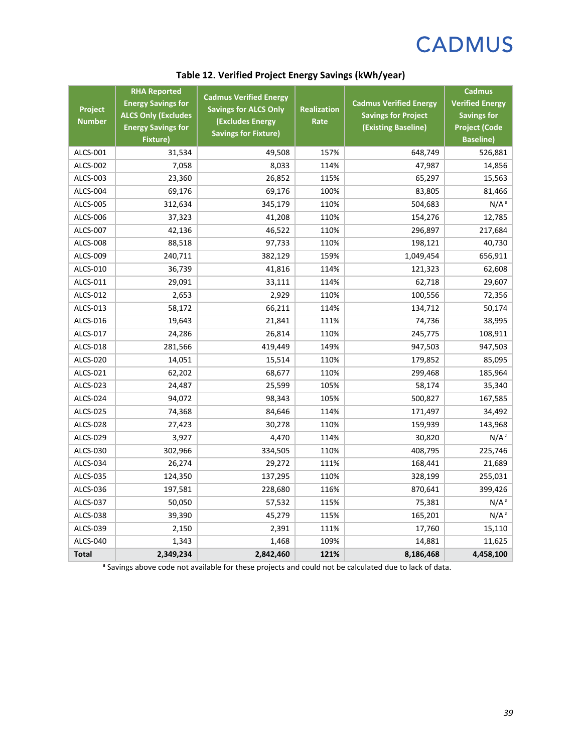<span id="page-41-0"></span>

| Project<br><b>Number</b> | <b>RHA Reported</b><br><b>Energy Savings for</b><br><b>ALCS Only (Excludes</b><br><b>Energy Savings for</b><br><b>Fixture)</b> | <b>Cadmus Verified Energy</b><br><b>Savings for ALCS Only</b><br><b>(Excludes Energy</b><br><b>Savings for Fixture)</b> | Realization<br>Rate | <b>Cadmus Verified Energy</b><br><b>Savings for Project</b><br>(Existing Baseline) | <b>Cadmus</b><br><b>Verified Energy</b><br><b>Savings for</b><br><b>Project (Code</b><br><b>Baseline)</b> |
|--------------------------|--------------------------------------------------------------------------------------------------------------------------------|-------------------------------------------------------------------------------------------------------------------------|---------------------|------------------------------------------------------------------------------------|-----------------------------------------------------------------------------------------------------------|
| <b>ALCS-001</b>          | 31,534                                                                                                                         | 49,508                                                                                                                  | 157%                | 648,749                                                                            | 526,881                                                                                                   |
| <b>ALCS-002</b>          | 7,058                                                                                                                          | 8,033                                                                                                                   | 114%                | 47,987                                                                             | 14,856                                                                                                    |
| ALCS-003                 | 23,360                                                                                                                         | 26,852                                                                                                                  | 115%                | 65,297                                                                             | 15,563                                                                                                    |
| <b>ALCS-004</b>          | 69,176                                                                                                                         | 69,176                                                                                                                  | 100%                | 83,805                                                                             | 81,466                                                                                                    |
| <b>ALCS-005</b>          | 312,634                                                                                                                        | 345,179                                                                                                                 | 110%                | 504,683                                                                            | N/A <sup>a</sup>                                                                                          |
| ALCS-006                 | 37,323                                                                                                                         | 41,208                                                                                                                  | 110%                | 154,276                                                                            | 12,785                                                                                                    |
| ALCS-007                 | 42,136                                                                                                                         | 46,522                                                                                                                  | 110%                | 296,897                                                                            | 217,684                                                                                                   |
| <b>ALCS-008</b>          | 88,518                                                                                                                         | 97,733                                                                                                                  | 110%                | 198,121                                                                            | 40,730                                                                                                    |
| ALCS-009                 | 240,711                                                                                                                        | 382,129                                                                                                                 | 159%                | 1,049,454                                                                          | 656,911                                                                                                   |
| ALCS-010                 | 36,739                                                                                                                         | 41,816                                                                                                                  | 114%                | 121,323                                                                            | 62,608                                                                                                    |
| ALCS-011                 | 29,091                                                                                                                         | 33,111                                                                                                                  | 114%                | 62,718                                                                             | 29,607                                                                                                    |
| ALCS-012                 | 2,653                                                                                                                          | 2,929                                                                                                                   | 110%                | 100,556                                                                            | 72,356                                                                                                    |
| ALCS-013                 | 58,172                                                                                                                         | 66,211                                                                                                                  | 114%                | 134,712                                                                            | 50,174                                                                                                    |
| ALCS-016                 | 19,643                                                                                                                         | 21,841                                                                                                                  | 111%                | 74,736                                                                             | 38,995                                                                                                    |
| ALCS-017                 | 24,286                                                                                                                         | 26,814                                                                                                                  | 110%                | 245,775                                                                            | 108,911                                                                                                   |
| ALCS-018                 | 281,566                                                                                                                        | 419,449                                                                                                                 | 149%                | 947,503                                                                            | 947,503                                                                                                   |
| <b>ALCS-020</b>          | 14,051                                                                                                                         | 15,514                                                                                                                  | 110%                | 179,852                                                                            | 85,095                                                                                                    |
| ALCS-021                 | 62,202                                                                                                                         | 68,677                                                                                                                  | 110%                | 299,468                                                                            | 185,964                                                                                                   |
| ALCS-023                 | 24,487                                                                                                                         | 25,599                                                                                                                  | 105%                | 58,174                                                                             | 35,340                                                                                                    |
| ALCS-024                 | 94,072                                                                                                                         | 98,343                                                                                                                  | 105%                | 500,827                                                                            | 167,585                                                                                                   |
| <b>ALCS-025</b>          | 74,368                                                                                                                         | 84,646                                                                                                                  | 114%                | 171,497                                                                            | 34,492                                                                                                    |
| ALCS-028                 | 27,423                                                                                                                         | 30,278                                                                                                                  | 110%                | 159,939                                                                            | 143,968                                                                                                   |
| ALCS-029                 | 3,927                                                                                                                          | 4,470                                                                                                                   | 114%                | 30,820                                                                             | N/A <sup>a</sup>                                                                                          |
| ALCS-030                 | 302,966                                                                                                                        | 334,505                                                                                                                 | 110%                | 408,795                                                                            | 225,746                                                                                                   |
| ALCS-034                 | 26,274                                                                                                                         | 29,272                                                                                                                  | 111%                | 168,441                                                                            | 21,689                                                                                                    |
| <b>ALCS-035</b>          | 124,350                                                                                                                        | 137,295                                                                                                                 | 110%                | 328,199                                                                            | 255,031                                                                                                   |
| ALCS-036                 | 197,581                                                                                                                        | 228,680                                                                                                                 | 116%                | 870,641                                                                            | 399,426                                                                                                   |
| <b>ALCS-037</b>          | 50,050                                                                                                                         | 57,532                                                                                                                  | 115%                | 75,381                                                                             | N/A <sup>a</sup>                                                                                          |
| <b>ALCS-038</b>          | 39,390                                                                                                                         | 45,279                                                                                                                  | 115%                | 165,201                                                                            | N/A <sup>a</sup>                                                                                          |
| ALCS-039                 | 2,150                                                                                                                          | 2,391                                                                                                                   | 111%                | 17,760                                                                             | 15,110                                                                                                    |
| <b>ALCS-040</b>          | 1,343                                                                                                                          | 1,468                                                                                                                   | 109%                | 14,881                                                                             | 11,625                                                                                                    |
| <b>Total</b>             | 2,349,234                                                                                                                      | 2,842,460                                                                                                               | 121%                | 8,186,468                                                                          | 4,458,100                                                                                                 |

### **Table 12. Verified Project Energy Savings (kWh/year)**

<sup>a</sup> Savings above code not available for these projects and could not be calculated due to lack of data.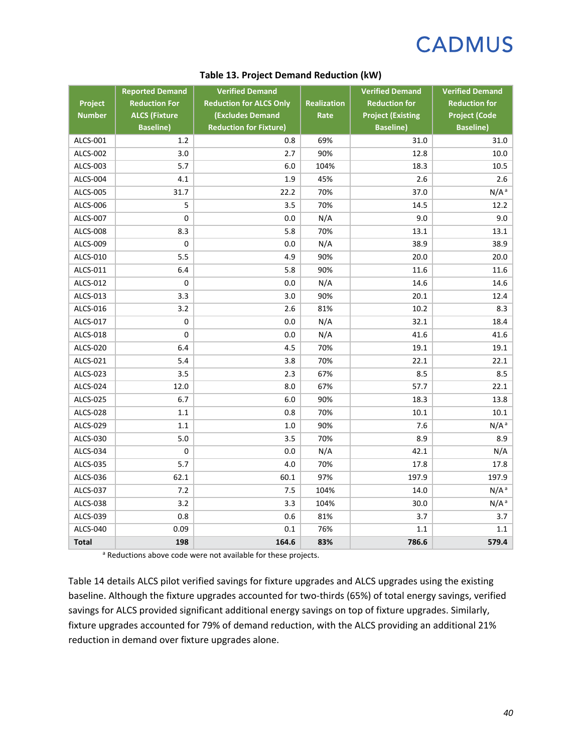<span id="page-42-0"></span>

|                 | <b>Reported Demand</b>                   | <b>Verified Demand</b>                                   |                    | <b>Verified Demand</b>                       | <b>Verified Demand</b>                   |
|-----------------|------------------------------------------|----------------------------------------------------------|--------------------|----------------------------------------------|------------------------------------------|
| Project         | <b>Reduction For</b>                     | <b>Reduction for ALCS Only</b>                           | <b>Realization</b> | <b>Reduction for</b>                         | <b>Reduction for</b>                     |
| <b>Number</b>   | <b>ALCS (Fixture</b><br><b>Baseline)</b> | <b>(Excludes Demand</b><br><b>Reduction for Fixture)</b> | Rate               | <b>Project (Existing</b><br><b>Baseline)</b> | <b>Project (Code</b><br><b>Baseline)</b> |
| ALCS-001        | 1.2                                      | 0.8                                                      | 69%                | 31.0                                         | 31.0                                     |
| ALCS-002        | 3.0                                      | 2.7                                                      | 90%                | 12.8                                         | 10.0                                     |
| ALCS-003        | 5.7                                      | 6.0                                                      | 104%               | 18.3                                         | 10.5                                     |
| ALCS-004        | 4.1                                      | 1.9                                                      | 45%                | 2.6                                          | 2.6                                      |
| ALCS-005        | 31.7                                     | 22.2                                                     | 70%                | 37.0                                         | N/A <sup>a</sup>                         |
| ALCS-006        | 5                                        | 3.5                                                      | 70%                | 14.5                                         | 12.2                                     |
| <b>ALCS-007</b> | 0                                        | 0.0                                                      | N/A                | 9.0                                          | 9.0                                      |
| ALCS-008        | 8.3                                      | 5.8                                                      | 70%                | 13.1                                         | 13.1                                     |
| ALCS-009        | 0                                        | 0.0                                                      | N/A                | 38.9                                         | 38.9                                     |
| ALCS-010        | 5.5                                      | 4.9                                                      | 90%                | 20.0                                         | 20.0                                     |
| ALCS-011        | 6.4                                      | 5.8                                                      | 90%                | 11.6                                         | 11.6                                     |
| ALCS-012        | 0                                        | 0.0                                                      | N/A                | 14.6                                         | 14.6                                     |
| ALCS-013        | 3.3                                      | 3.0                                                      | 90%                | 20.1                                         | 12.4                                     |
| ALCS-016        | 3.2                                      | 2.6                                                      | 81%                | 10.2                                         | 8.3                                      |
| ALCS-017        | 0                                        | 0.0                                                      | N/A                | 32.1                                         | 18.4                                     |
| ALCS-018        | 0                                        | 0.0                                                      | N/A                | 41.6                                         | 41.6                                     |
| ALCS-020        | 6.4                                      | 4.5                                                      | 70%                | 19.1                                         | 19.1                                     |
| ALCS-021        | 5.4                                      | 3.8                                                      | 70%                | 22.1                                         | 22.1                                     |
| ALCS-023        | 3.5                                      | 2.3                                                      | 67%                | 8.5                                          | 8.5                                      |
| ALCS-024        | 12.0                                     | 8.0                                                      | 67%                | 57.7                                         | 22.1                                     |
| ALCS-025        | 6.7                                      | 6.0                                                      | 90%                | 18.3                                         | 13.8                                     |
| <b>ALCS-028</b> | 1.1                                      | 0.8                                                      | 70%                | 10.1                                         | 10.1                                     |
| ALCS-029        | 1.1                                      | 1.0                                                      | 90%                | 7.6                                          | $N/A^a$                                  |
| ALCS-030        | 5.0                                      | 3.5                                                      | 70%                | 8.9                                          | 8.9                                      |
| ALCS-034        | $\mathbf 0$                              | 0.0                                                      | N/A                | 42.1                                         | N/A                                      |
| ALCS-035        | 5.7                                      | 4.0                                                      | 70%                | 17.8                                         | 17.8                                     |
| ALCS-036        | 62.1                                     | 60.1                                                     | 97%                | 197.9                                        | 197.9                                    |
| ALCS-037        | 7.2                                      | 7.5                                                      | 104%               | 14.0                                         | N/A <sup>a</sup>                         |
| ALCS-038        | 3.2                                      | 3.3                                                      | 104%               | 30.0                                         | $N/A^a$                                  |
| ALCS-039        | 0.8                                      | 0.6                                                      | 81%                | 3.7                                          | 3.7                                      |
| ALCS-040        | 0.09                                     | 0.1                                                      | 76%                | 1.1                                          | 1.1                                      |
| <b>Total</b>    | 198                                      | 164.6                                                    | 83%                | 786.6                                        | 579.4                                    |

#### **Table 13. Project Demand Reduction (kW)**

a Reductions above code were not available for these projects.

[Table](#page-43-0) 14 details ALCS pilot verified savings for fixture upgrades and ALCS upgrades using the existing baseline. Although the fixture upgrades accounted for two-thirds (65%) of total energy savings, verified savings for ALCS provided significant additional energy savings on top of fixture upgrades. Similarly, fixture upgrades accounted for 79% of demand reduction, with the ALCS providing an additional 21% reduction in demand over fixture upgrades alone.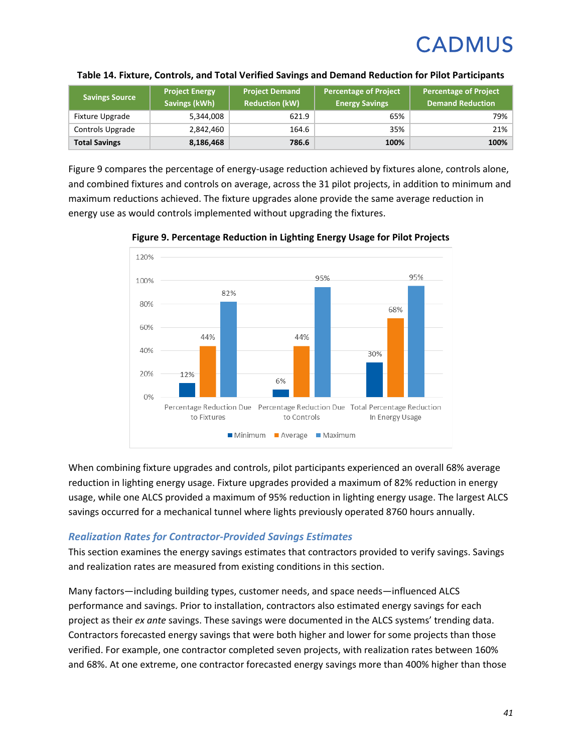| <b>Savings Source</b> | <b>Project Energy</b><br>Savings (kWh) | <b>Project Demand</b><br><b>Reduction (kW)</b> | <b>Percentage of Project</b><br><b>Energy Savings</b> | <b>Percentage of Project</b><br><b>Demand Reduction</b> |
|-----------------------|----------------------------------------|------------------------------------------------|-------------------------------------------------------|---------------------------------------------------------|
| Fixture Upgrade       | 5,344,008                              | 621.9                                          | 65%                                                   | 79%                                                     |
| Controls Upgrade      | 2,842,460                              | 164.6                                          | 35%                                                   | 21%                                                     |
| <b>Total Savings</b>  | 8,186,468                              | 786.6                                          | 100%                                                  | 100%                                                    |

#### <span id="page-43-0"></span>**Table 14. Fixture, Controls, and Total Verified Savings and Demand Reduction for Pilot Participants**

[Figure 9](#page-43-1) compares the percentage of energy-usage reduction achieved by fixtures alone, controls alone, and combined fixtures and controls on average, across the 31 pilot projects, in addition to minimum and maximum reductions achieved. The fixture upgrades alone provide the same average reduction in energy use as would controls implemented without upgrading the fixtures.



<span id="page-43-1"></span>**Figure 9. Percentage Reduction in Lighting Energy Usage for Pilot Projects**

When combining fixture upgrades and controls, pilot participants experienced an overall 68% average reduction in lighting energy usage. Fixture upgrades provided a maximum of 82% reduction in energy usage, while one ALCS provided a maximum of 95% reduction in lighting energy usage. The largest ALCS savings occurred for a mechanical tunnel where lights previously operated 8760 hours annually.

#### *Realization Rates for Contractor-Provided Savings Estimates*

This section examines the energy savings estimates that contractors provided to verify savings. Savings and realization rates are measured from existing conditions in this section.

Many factors—including building types, customer needs, and space needs—influenced ALCS performance and savings. Prior to installation, contractors also estimated energy savings for each project as their *ex ante* savings. These savings were documented in the ALCS systems' trending data. Contractors forecasted energy savings that were both higher and lower for some projects than those verified. For example, one contractor completed seven projects, with realization rates between 160% and 68%. At one extreme, one contractor forecasted energy savings more than 400% higher than those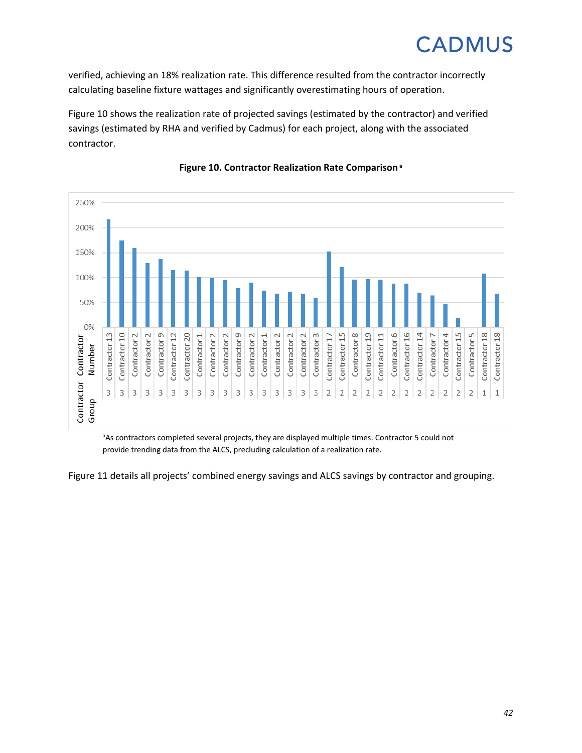verified, achieving an 18% realization rate. This difference resulted from the contractor incorrectly calculating baseline fixture wattages and significantly overestimating hours of operation.

[Figure 10](#page-44-0) shows the realization rate of projected savings (estimated by the contractor) and verified savings (estimated by RHA and verified by Cadmus) for each project, along with the associated contractor.

<span id="page-44-0"></span>

#### **Figure 10. Contractor Realization Rate Comparisona**

<sup>a</sup>As contractors completed several projects, they are displayed multiple times. Contractor 5 could not provide trending data from the ALCS, precluding calculation of a realization rate.

[Figure](#page-45-0) 11 details all projects' combined energy savings and ALCS savings by contractor and grouping.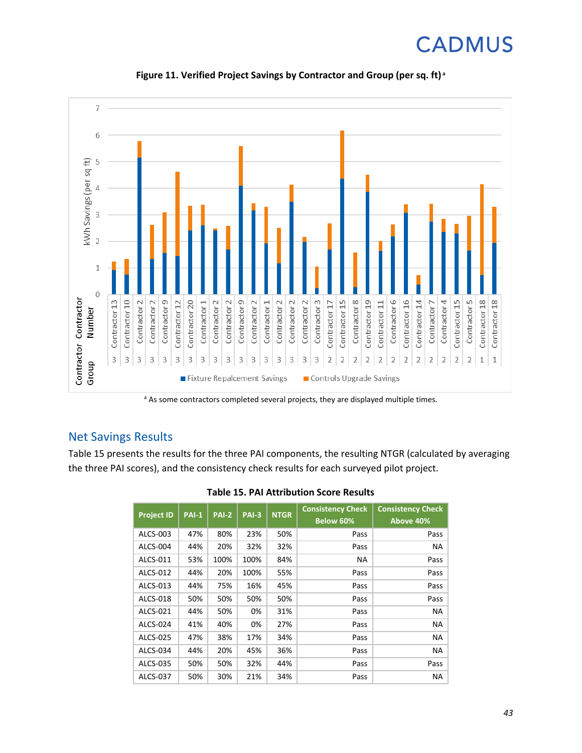<span id="page-45-0"></span>

**Figure 11. Verified Project Savings by Contractor and Group (per sq. ft) <sup>a</sup>**

<sup>a</sup> As some contractors completed several projects, they are displayed multiple times.

### Net Savings Results

<span id="page-45-1"></span>[Table](#page-45-1) 15 presents the results for the three PAI components, the resulting NTGR (calculated by averaging the three PAI scores), and the consistency check results for each surveyed pilot project.

| <b>Project ID</b> | <b>PAI-1</b> | <b>PAI-2</b> | <b>PAI-3</b> | <b>NTGR</b> | <b>Consistency Check</b><br>Below 60% | <b>Consistency Check</b><br>Above 40% |
|-------------------|--------------|--------------|--------------|-------------|---------------------------------------|---------------------------------------|
| ALCS-003          | 47%          | 80%          | 23%          | 50%         | Pass                                  | Pass                                  |
| ALCS-004          | 44%          | 20%          | 32%          | 32%         | Pass                                  | NA                                    |
| ALCS-011          | 53%          | 100%         | 100%         | 84%         | NA.                                   | Pass                                  |
| ALCS-012          | 44%          | 20%          | 100%         | 55%         | Pass                                  | Pass                                  |
| ALCS-013          | 44%          | 75%          | 16%          | 45%         | Pass                                  | Pass                                  |
| ALCS-018          | 50%          | 50%          | 50%          | 50%         | Pass                                  | Pass                                  |
| ALCS-021          | 44%          | 50%          | 0%           | 31%         | Pass                                  | ΝA                                    |
| ALCS-024          | 41%          | 40%          | 0%           | 27%         | Pass                                  | NA                                    |
| ALCS-025          | 47%          | 38%          | 17%          | 34%         | Pass                                  | ΝA                                    |
| ALCS-034          | 44%          | 20%          | 45%          | 36%         | Pass                                  | NA                                    |
| ALCS-035          | 50%          | 50%          | 32%          | 44%         | Pass                                  | Pass                                  |
| <b>ALCS-037</b>   | 50%          | 30%          | 21%          | 34%         | Pass                                  | NA                                    |

**Table 15. PAI Attribution Score Results**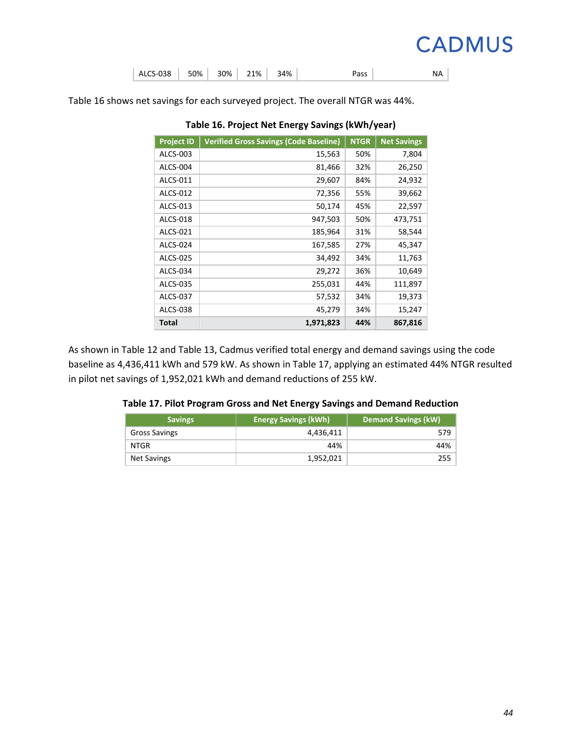|  | ALCS-038   50%   30%   21% |  |  |  | 34% | Pass | NA |  |
|--|----------------------------|--|--|--|-----|------|----|--|
|--|----------------------------|--|--|--|-----|------|----|--|

<span id="page-46-0"></span>[Table](#page-46-0) 16 shows net savings for each surveyed project. The overall NTGR was 44%.

| <b>Project ID</b> | <b>Verified Gross Savings (Code Baseline)</b> | <b>NTGR</b> | <b>Net Savings</b> |
|-------------------|-----------------------------------------------|-------------|--------------------|
| ALCS-003          | 15,563                                        | 50%         | 7,804              |
| ALCS-004          | 81,466                                        | 32%         | 26,250             |
| ALCS-011          | 29,607                                        | 84%         | 24,932             |
| ALCS-012          | 72,356                                        | 55%         | 39,662             |
| ALCS-013          | 50,174                                        | 45%         | 22,597             |
| ALCS-018          | 947,503                                       | 50%         | 473,751            |
| ALCS-021          | 185,964                                       | 31%         | 58,544             |
| ALCS-024          | 167,585                                       | 27%         | 45,347             |
| ALCS-025          | 34,492                                        | 34%         | 11,763             |
| ALCS-034          | 29,272                                        | 36%         | 10,649             |
| ALCS-035          | 255,031                                       | 44%         | 111,897            |
| ALCS-037          | 57,532                                        | 34%         | 19,373             |
| ALCS-038          | 45,279                                        | 34%         | 15,247             |
| Total             | 1,971,823                                     | 44%         | 867,816            |

**Table 16. Project Net Energy Savings (kWh/year)**

<span id="page-46-1"></span>As shown in [Table](#page-41-0) 12 and [Table 13,](#page-42-0) Cadmus verified total energy and demand savings using the code baseline as 4,436,411 kWh and 579 kW. As shown in [Table](#page-46-1) 17, applying an estimated 44% NTGR resulted in pilot net savings of 1,952,021 kWh and demand reductions of 255 kW.

|  | Table 17. Pilot Program Gross and Net Energy Savings and Demand Reduction |
|--|---------------------------------------------------------------------------|
|--|---------------------------------------------------------------------------|

| <b>Savings</b>     | <b>Energy Savings (kWh)</b> | <b>Demand Savings (kW)</b> |
|--------------------|-----------------------------|----------------------------|
| Gross Savings      | 4,436,411                   | 579                        |
| NTGR               | 44%                         | 44%                        |
| <b>Net Savings</b> | 1,952,021                   | 255                        |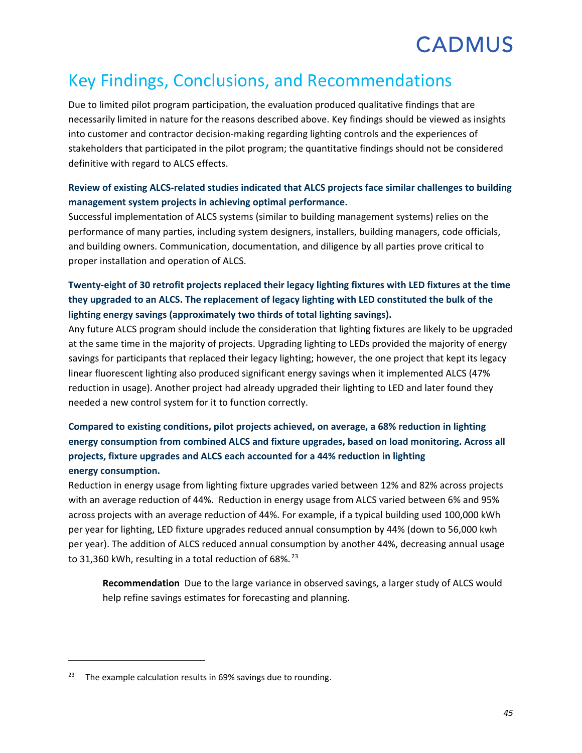## Key Findings, Conclusions, and Recommendations

Due to limited pilot program participation, the evaluation produced qualitative findings that are necessarily limited in nature for the reasons described above. Key findings should be viewed as insights into customer and contractor decision-making regarding lighting controls and the experiences of stakeholders that participated in the pilot program; the quantitative findings should not be considered definitive with regard to ALCS effects.

#### **Review of existing ALCS-related studies indicated that ALCS projects face similar challenges to building management system projects in achieving optimal performance.**

Successful implementation of ALCS systems (similar to building management systems) relies on the performance of many parties, including system designers, installers, building managers, code officials, and building owners. Communication, documentation, and diligence by all parties prove critical to proper installation and operation of ALCS.

### **Twenty-eight of 30 retrofit projects replaced their legacy lighting fixtures with LED fixtures at the time they upgraded to an ALCS. The replacement of legacy lighting with LED constituted the bulk of the lighting energy savings (approximately two thirds of total lighting savings).**

Any future ALCS program should include the consideration that lighting fixtures are likely to be upgraded at the same time in the majority of projects. Upgrading lighting to LEDs provided the majority of energy savings for participants that replaced their legacy lighting; however, the one project that kept its legacy linear fluorescent lighting also produced significant energy savings when it implemented ALCS (47% reduction in usage). Another project had already upgraded their lighting to LED and later found they needed a new control system for it to function correctly.

### **Compared to existing conditions, pilot projects achieved, on average, a 68% reduction in lighting energy consumption from combined ALCS and fixture upgrades, based on load monitoring. Across all projects, fixture upgrades and ALCS each accounted for a 44% reduction in lighting energy consumption.**

Reduction in energy usage from lighting fixture upgrades varied between 12% and 82% across projects with an average reduction of 44%. Reduction in energy usage from ALCS varied between 6% and 95% across projects with an average reduction of 44%. For example, if a typical building used 100,000 kWh per year for lighting, LED fixture upgrades reduced annual consumption by 44% (down to 56,000 kwh per year). The addition of ALCS reduced annual consumption by another 44%, decreasing annual usage to 31,360 kWh, resulting in a total reduction of 68%.<sup>[23](#page-47-0)</sup>

**Recommendation** Due to the large variance in observed savings, a larger study of ALCS would help refine savings estimates for forecasting and planning.

 $\overline{\phantom{a}}$ 

<span id="page-47-0"></span> $23$  The example calculation results in 69% savings due to rounding.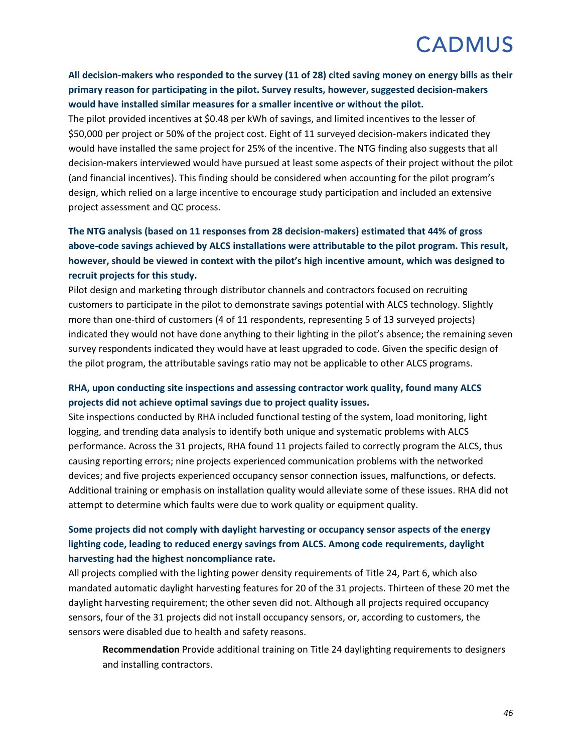**All decision-makers who responded to the survey (11 of 28) cited saving money on energy bills as their primary reason for participating in the pilot. Survey results, however, suggested decision-makers would have installed similar measures for a smaller incentive or without the pilot.** 

The pilot provided incentives at \$0.48 per kWh of savings, and limited incentives to the lesser of \$50,000 per project or 50% of the project cost. Eight of 11 surveyed decision-makers indicated they would have installed the same project for 25% of the incentive. The NTG finding also suggests that all decision-makers interviewed would have pursued at least some aspects of their project without the pilot (and financial incentives). This finding should be considered when accounting for the pilot program's design, which relied on a large incentive to encourage study participation and included an extensive project assessment and QC process.

### **The NTG analysis (based on 11 responses from 28 decision-makers) estimated that 44% of gross above-code savings achieved by ALCS installations were attributable to the pilot program. This result, however, should be viewed in context with the pilot's high incentive amount, which was designed to recruit projects for this study.**

Pilot design and marketing through distributor channels and contractors focused on recruiting customers to participate in the pilot to demonstrate savings potential with ALCS technology. Slightly more than one-third of customers (4 of 11 respondents, representing 5 of 13 surveyed projects) indicated they would not have done anything to their lighting in the pilot's absence; the remaining seven survey respondents indicated they would have at least upgraded to code. Given the specific design of the pilot program, the attributable savings ratio may not be applicable to other ALCS programs.

#### **RHA, upon conducting site inspections and assessing contractor work quality, found many ALCS projects did not achieve optimal savings due to project quality issues.**

Site inspections conducted by RHA included functional testing of the system, load monitoring, light logging, and trending data analysis to identify both unique and systematic problems with ALCS performance. Across the 31 projects, RHA found 11 projects failed to correctly program the ALCS, thus causing reporting errors; nine projects experienced communication problems with the networked devices; and five projects experienced occupancy sensor connection issues, malfunctions, or defects. Additional training or emphasis on installation quality would alleviate some of these issues. RHA did not attempt to determine which faults were due to work quality or equipment quality.

### **Some projects did not comply with daylight harvesting or occupancy sensor aspects of the energy lighting code, leading to reduced energy savings from ALCS. Among code requirements, daylight harvesting had the highest noncompliance rate.**

All projects complied with the lighting power density requirements of Title 24, Part 6, which also mandated automatic daylight harvesting features for 20 of the 31 projects. Thirteen of these 20 met the daylight harvesting requirement; the other seven did not. Although all projects required occupancy sensors, four of the 31 projects did not install occupancy sensors, or, according to customers, the sensors were disabled due to health and safety reasons.

**Recommendation** Provide additional training on Title 24 daylighting requirements to designers and installing contractors.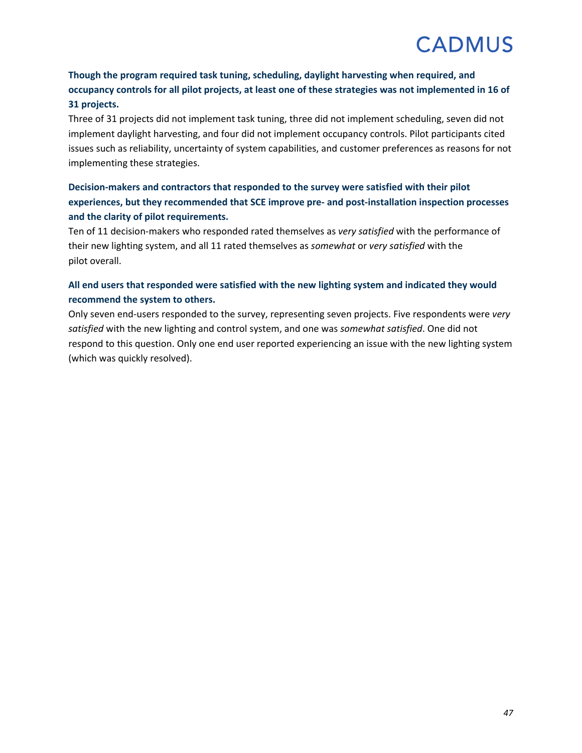### **Though the program required task tuning, scheduling, daylight harvesting when required, and occupancy controls for all pilot projects, at least one of these strategies was not implemented in 16 of 31 projects.**

Three of 31 projects did not implement task tuning, three did not implement scheduling, seven did not implement daylight harvesting, and four did not implement occupancy controls. Pilot participants cited issues such as reliability, uncertainty of system capabilities, and customer preferences as reasons for not implementing these strategies.

### **Decision-makers and contractors that responded to the survey were satisfied with their pilot experiences, but they recommended that SCE improve pre- and post-installation inspection processes and the clarity of pilot requirements.**

Ten of 11 decision-makers who responded rated themselves as *very satisfied* with the performance of their new lighting system, and all 11 rated themselves as *somewhat* or *very satisfied* with the pilot overall.

#### **All end users that responded were satisfied with the new lighting system and indicated they would recommend the system to others.**

Only seven end-users responded to the survey, representing seven projects. Five respondents were *very satisfied* with the new lighting and control system, and one was *somewhat satisfied*. One did not respond to this question. Only one end user reported experiencing an issue with the new lighting system (which was quickly resolved).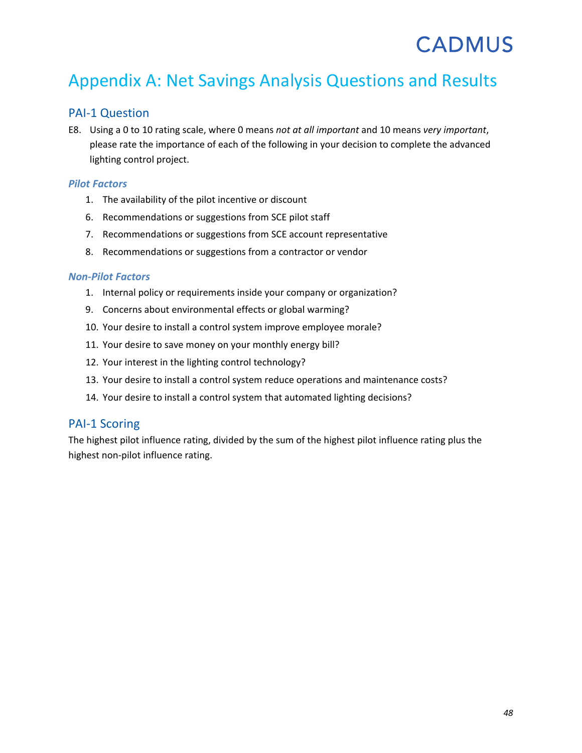## Appendix A: Net Savings Analysis Questions and Results

### PAI-1 Question

E8. Using a 0 to 10 rating scale, where 0 means *not at all important* and 10 means *very important*, please rate the importance of each of the following in your decision to complete the advanced lighting control project.

#### *Pilot Factors*

- 1. The availability of the pilot incentive or discount
- 6. Recommendations or suggestions from SCE pilot staff
- 7. Recommendations or suggestions from SCE account representative
- 8. Recommendations or suggestions from a contractor or vendor

#### *Non-Pilot Factors*

- 1. Internal policy or requirements inside your company or organization?
- 9. Concerns about environmental effects or global warming?
- 10. Your desire to install a control system improve employee morale?
- 11. Your desire to save money on your monthly energy bill?
- 12. Your interest in the lighting control technology?
- 13. Your desire to install a control system reduce operations and maintenance costs?
- 14. Your desire to install a control system that automated lighting decisions?

#### PAI-1 Scoring

The highest pilot influence rating, divided by the sum of the highest pilot influence rating plus the highest non-pilot influence rating.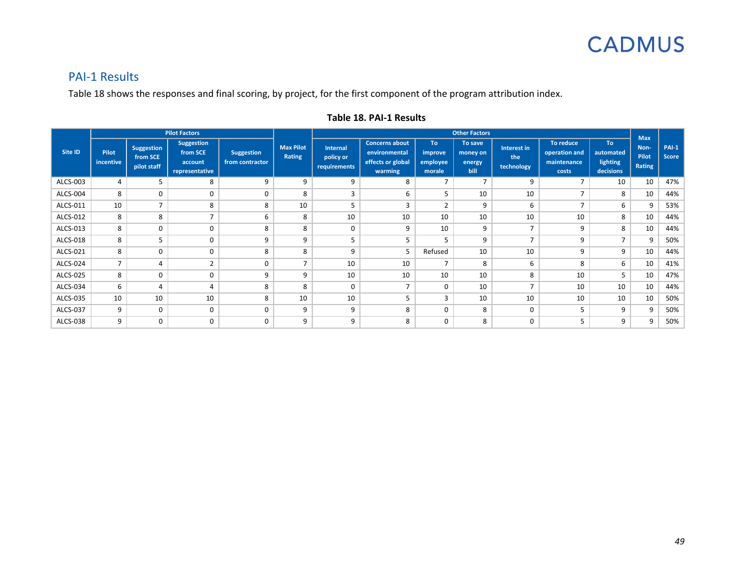

### PAI-1 Results

[Table 18](#page-51-0) shows the responses and final scoring, by project, for the first component of the program attribution index.

<span id="page-51-0"></span>

| <b>Pilot Factors</b> |                    |                                              |                                                     |                                      |                            |                                              | <b>Other Factors</b>                                                   |                                             |                                       |                                  |                                                    |                                           |                                       |                              |
|----------------------|--------------------|----------------------------------------------|-----------------------------------------------------|--------------------------------------|----------------------------|----------------------------------------------|------------------------------------------------------------------------|---------------------------------------------|---------------------------------------|----------------------------------|----------------------------------------------------|-------------------------------------------|---------------------------------------|------------------------------|
| Site ID              | Pilot<br>incentive | <b>Suggestion</b><br>from SCE<br>pilot staff | Suggestion<br>from SCE<br>account<br>representative | <b>Suggestion</b><br>from contractor | <b>Max Pilot</b><br>Rating | <b>Internal</b><br>policy or<br>requirements | <b>Concerns about</b><br>environmental<br>effects or global<br>warming | To:<br><i>improve</i><br>employee<br>morale | To save<br>money on<br>energy<br>bill | Interest in<br>the<br>technology | To reduce<br>operation and<br>maintenance<br>costs | To:<br>automated<br>lighting<br>decisions | <b>Max</b><br>Non-<br>Pilot<br>Rating | <b>PAI-1</b><br><b>Score</b> |
| ALCS-003             | 4                  | 5                                            | 8                                                   | 9                                    | 9                          | 9                                            | 8                                                                      | $\overline{7}$                              | $\overline{7}$                        | 9                                | $\overline{ }$                                     | 10                                        | 10                                    | 47%                          |
| ALCS-004             | 8                  | 0                                            | 0                                                   | $\Omega$                             | 8                          | 3                                            | 6                                                                      | 5                                           | 10                                    | 10                               |                                                    | 8                                         | 10                                    | 44%                          |
| ALCS-011             | 10                 | $\overline{ }$                               | 8                                                   | 8                                    | 10                         | 5                                            | 3                                                                      | 2                                           | 9                                     | 6                                | $\overline{ }$                                     | 6                                         | 9                                     | 53%                          |
| ALCS-012             | 8                  | 8                                            | $\overline{ }$                                      | 6                                    | 8                          | 10                                           | 10                                                                     | 10                                          | 10                                    | 10                               | 10                                                 | 8                                         | 10                                    | 44%                          |
| ALCS-013             | 8                  | 0                                            | 0                                                   | 8                                    | 8                          | 0                                            | 9                                                                      | 10                                          | 9                                     | $\overline{ }$                   | 9                                                  | 8                                         | 10                                    | 44%                          |
| ALCS-018             | 8                  | 5                                            | 0                                                   | 9                                    | 9                          | 5                                            | 5                                                                      | 5                                           | 9                                     | $\overline{\phantom{0}}$         | 9                                                  | $\overline{7}$                            | 9                                     | 50%                          |
| ALCS-021             | 8                  | $\Omega$                                     | $\Omega$                                            | 8                                    | 8                          | 9                                            | 5                                                                      | Refused                                     | 10                                    | 10                               | q                                                  | 9                                         | 10                                    | 44%                          |
| ALCS-024             | $\overline{7}$     | 4                                            | $\overline{2}$                                      | $\Omega$                             | 7                          | 10                                           | 10                                                                     | $\overline{7}$                              | 8                                     | 6                                | 8                                                  | 6                                         | 10                                    | 41%                          |
| ALCS-025             | 8                  | 0                                            | $\Omega$                                            | 9                                    | 9                          | 10                                           | 10                                                                     | 10                                          | 10                                    | 8                                | 10                                                 | 5                                         | 10                                    | 47%                          |
| ALCS-034             | 6                  | $\overline{a}$                               |                                                     | 8                                    | 8                          | $\mathbf 0$                                  | $\overline{7}$                                                         | $\Omega$                                    | 10                                    | $\overline{ }$                   | 10                                                 | 10                                        | 10                                    | 44%                          |
| ALCS-035             | 10                 | 10                                           | 10                                                  | 8                                    | 10                         | 10                                           | 5                                                                      | 3                                           | 10                                    | 10                               | 10                                                 | 10                                        | 10                                    | 50%                          |
| ALCS-037             | 9                  | 0                                            | 0                                                   | $\mathbf 0$                          | 9                          | 9                                            | 8                                                                      | 0                                           | 8                                     | $\mathbf 0$                      |                                                    | 9                                         | 9                                     | 50%                          |
| ALCS-038             | 9                  | 0                                            | $\Omega$                                            | $\Omega$                             | 9                          | 9                                            | 8                                                                      | $\Omega$                                    | 8                                     | $\Omega$                         |                                                    | 9                                         | 9                                     | 50%                          |

#### **Table 18. PAI-1 Results**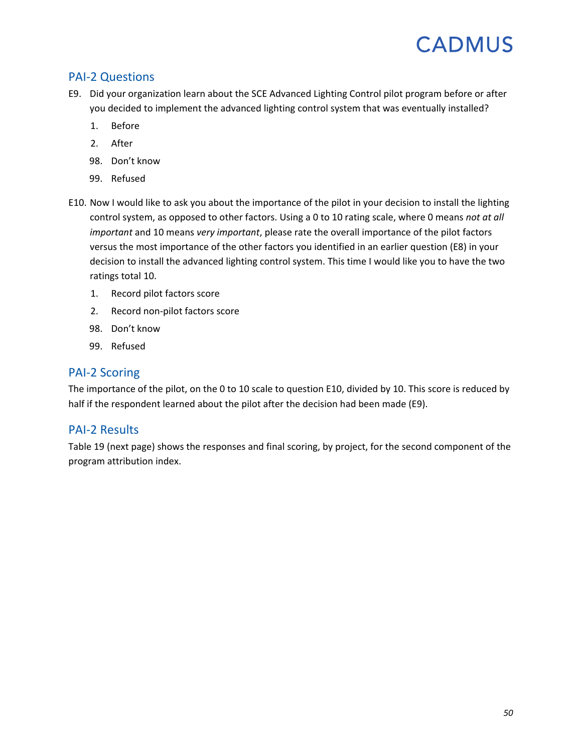### PAI-2 Questions

- E9. Did your organization learn about the SCE Advanced Lighting Control pilot program before or after you decided to implement the advanced lighting control system that was eventually installed?
	- 1. Before
	- 2. After
	- 98. Don't know
	- 99. Refused
- E10. Now I would like to ask you about the importance of the pilot in your decision to install the lighting control system, as opposed to other factors. Using a 0 to 10 rating scale, where 0 means *not at all important* and 10 means *very important*, please rate the overall importance of the pilot factors versus the most importance of the other factors you identified in an earlier question (E8) in your decision to install the advanced lighting control system. This time I would like you to have the two ratings total 10.
	- 1. Record pilot factors score
	- 2. Record non-pilot factors score
	- 98. Don't know
	- 99. Refused

#### PAI-2 Scoring

The importance of the pilot, on the 0 to 10 scale to question E10, divided by 10. This score is reduced by half if the respondent learned about the pilot after the decision had been made (E9).

#### PAI-2 Results

[Table 19](#page-53-0) (next page) shows the responses and final scoring, by project, for the second component of the program attribution index.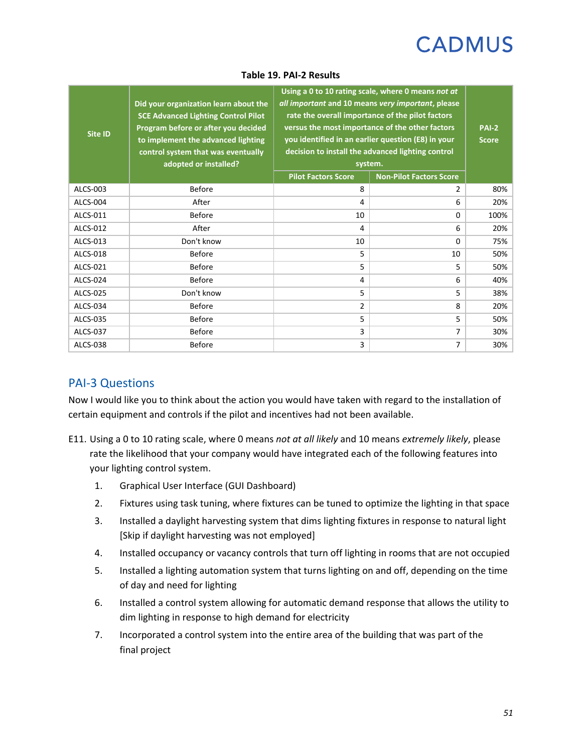<span id="page-53-0"></span>

| Site ID         | Did your organization learn about the<br><b>SCE Advanced Lighting Control Pilot</b><br>Program before or after you decided<br>to implement the advanced lighting<br>control system that was eventually<br>adopted or installed? | Using a 0 to 10 rating scale, where 0 means not at<br>all important and 10 means very important, please<br>rate the overall importance of the pilot factors<br>versus the most importance of the other factors<br>you identified in an earlier question (E8) in your<br>decision to install the advanced lighting control<br>system.<br><b>Pilot Factors Score</b> | <b>PAI-2</b><br><b>Score</b> |      |
|-----------------|---------------------------------------------------------------------------------------------------------------------------------------------------------------------------------------------------------------------------------|--------------------------------------------------------------------------------------------------------------------------------------------------------------------------------------------------------------------------------------------------------------------------------------------------------------------------------------------------------------------|------------------------------|------|
| ALCS-003        | <b>Before</b>                                                                                                                                                                                                                   | 8                                                                                                                                                                                                                                                                                                                                                                  | 2                            | 80%  |
| <b>ALCS-004</b> | After                                                                                                                                                                                                                           | 4                                                                                                                                                                                                                                                                                                                                                                  | 6                            | 20%  |
| ALCS-011        | <b>Before</b>                                                                                                                                                                                                                   | 10                                                                                                                                                                                                                                                                                                                                                                 | 0                            | 100% |
| ALCS-012        | After                                                                                                                                                                                                                           | 4                                                                                                                                                                                                                                                                                                                                                                  | 6                            | 20%  |
| ALCS-013        | Don't know                                                                                                                                                                                                                      | 10                                                                                                                                                                                                                                                                                                                                                                 | $\Omega$                     | 75%  |
| ALCS-018        | <b>Before</b>                                                                                                                                                                                                                   | 5                                                                                                                                                                                                                                                                                                                                                                  | 10                           | 50%  |
| ALCS-021        | <b>Before</b>                                                                                                                                                                                                                   | 5                                                                                                                                                                                                                                                                                                                                                                  | 5                            | 50%  |
| ALCS-024        | <b>Before</b>                                                                                                                                                                                                                   | 4                                                                                                                                                                                                                                                                                                                                                                  | 6                            | 40%  |
| ALCS-025        | Don't know                                                                                                                                                                                                                      | 5                                                                                                                                                                                                                                                                                                                                                                  | 5                            | 38%  |
| ALCS-034        | <b>Before</b>                                                                                                                                                                                                                   | $\overline{2}$                                                                                                                                                                                                                                                                                                                                                     | 8                            | 20%  |
| ALCS-035        | <b>Before</b>                                                                                                                                                                                                                   | 5                                                                                                                                                                                                                                                                                                                                                                  | 5                            | 50%  |
| <b>ALCS-037</b> | <b>Before</b>                                                                                                                                                                                                                   | 3                                                                                                                                                                                                                                                                                                                                                                  | 7                            | 30%  |
| ALCS-038        | <b>Before</b>                                                                                                                                                                                                                   | 3                                                                                                                                                                                                                                                                                                                                                                  | 7                            | 30%  |

#### **Table 19. PAI-2 Results**

### PAI-3 Questions

Now I would like you to think about the action you would have taken with regard to the installation of certain equipment and controls if the pilot and incentives had not been available.

- E11. Using a 0 to 10 rating scale, where 0 means *not at all likely* and 10 means *extremely likely*, please rate the likelihood that your company would have integrated each of the following features into your lighting control system.
	- 1. Graphical User Interface (GUI Dashboard)
	- 2. Fixtures using task tuning, where fixtures can be tuned to optimize the lighting in that space
	- 3. Installed a daylight harvesting system that dims lighting fixtures in response to natural light [Skip if daylight harvesting was not employed]
	- 4. Installed occupancy or vacancy controls that turn off lighting in rooms that are not occupied
	- 5. Installed a lighting automation system that turns lighting on and off, depending on the time of day and need for lighting
	- 6. Installed a control system allowing for automatic demand response that allows the utility to dim lighting in response to high demand for electricity
	- 7. Incorporated a control system into the entire area of the building that was part of the final project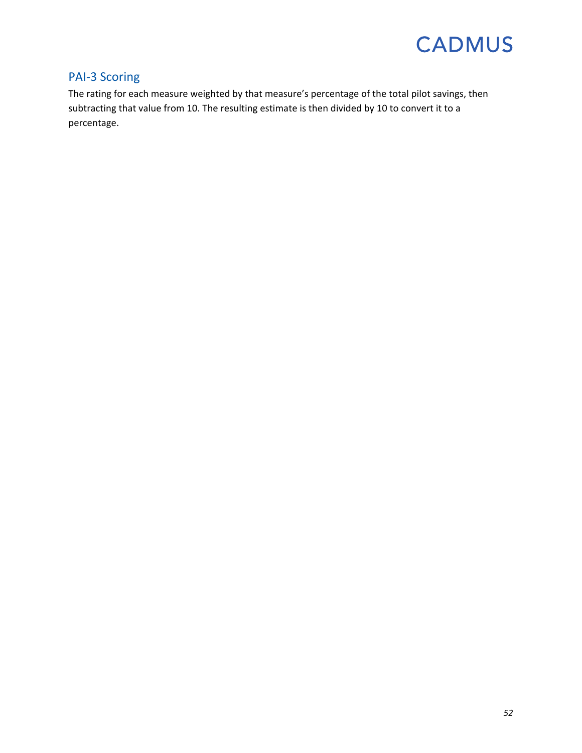### PAI-3 Scoring

The rating for each measure weighted by that measure's percentage of the total pilot savings, then subtracting that value from 10. The resulting estimate is then divided by 10 to convert it to a percentage.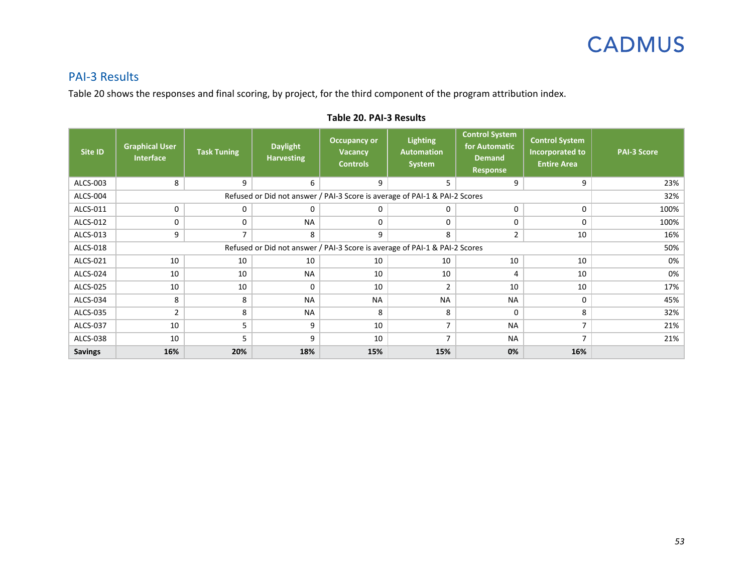

### PAI-3 Results

[Table 20](#page-55-0) shows the responses and final scoring, by project, for the third component of the program attribution index.

<span id="page-55-0"></span>

| Site ID         | <b>Graphical User</b><br><b>Interface</b>                                  | <b>Task Tuning</b> | <b>Daylight</b><br><b>Harvesting</b> | <b>Occupancy or</b><br><b>Vacancy</b><br><b>Controls</b> | <b>Lighting</b><br><b>Automation</b><br><b>System</b> | <b>Control System</b><br>for Automatic<br><b>Demand</b><br>Response | <b>Control System</b><br>Incorporated to<br><b>Entire Area</b> | <b>PAI-3 Score</b> |
|-----------------|----------------------------------------------------------------------------|--------------------|--------------------------------------|----------------------------------------------------------|-------------------------------------------------------|---------------------------------------------------------------------|----------------------------------------------------------------|--------------------|
| ALCS-003        | 8                                                                          | 9                  | 6                                    | 9                                                        | 5                                                     | 9                                                                   | 9                                                              | 23%                |
| ALCS-004        | Refused or Did not answer / PAI-3 Score is average of PAI-1 & PAI-2 Scores |                    |                                      |                                                          |                                                       |                                                                     |                                                                | 32%                |
| ALCS-011        | 0                                                                          | 0                  | 0                                    | 0                                                        | 0                                                     | 0                                                                   | 0                                                              | 100%               |
| ALCS-012        | 0                                                                          | 0                  | <b>NA</b>                            | $\Omega$                                                 | 0                                                     | $\mathbf 0$                                                         | 0                                                              | 100%               |
| ALCS-013        | 9                                                                          | 7                  | 8                                    | 9                                                        | 8                                                     | $\overline{2}$                                                      | 10                                                             | 16%                |
| ALCS-018        | Refused or Did not answer / PAI-3 Score is average of PAI-1 & PAI-2 Scores |                    |                                      |                                                          |                                                       |                                                                     |                                                                |                    |
| ALCS-021        | 10                                                                         | 10                 | 10                                   | 10                                                       | 10                                                    | 10                                                                  | 10                                                             | 0%                 |
| ALCS-024        | 10                                                                         | 10                 | <b>NA</b>                            | 10                                                       | 10                                                    | 4                                                                   | 10                                                             | 0%                 |
| <b>ALCS-025</b> | 10                                                                         | 10                 | 0                                    | 10                                                       | $\overline{2}$                                        | 10                                                                  | 10                                                             | 17%                |
| ALCS-034        | 8                                                                          | 8                  | <b>NA</b>                            | <b>NA</b>                                                | <b>NA</b>                                             | <b>NA</b>                                                           | $\Omega$                                                       | 45%                |
| ALCS-035        | $\overline{2}$                                                             | 8                  | <b>NA</b>                            | 8                                                        | 8                                                     | $\Omega$                                                            | 8                                                              | 32%                |
| ALCS-037        | 10                                                                         | 5                  | 9                                    | 10                                                       | 7                                                     | <b>NA</b>                                                           | 7                                                              | 21%                |
| ALCS-038        | 10                                                                         | 5                  | 9                                    | 10                                                       | $\overline{7}$                                        | <b>NA</b>                                                           | $\overline{7}$                                                 | 21%                |
| <b>Savings</b>  | 16%                                                                        | 20%                | 18%                                  | 15%                                                      | 15%                                                   | 0%                                                                  | 16%                                                            |                    |

#### **Table 20. PAI-3 Results**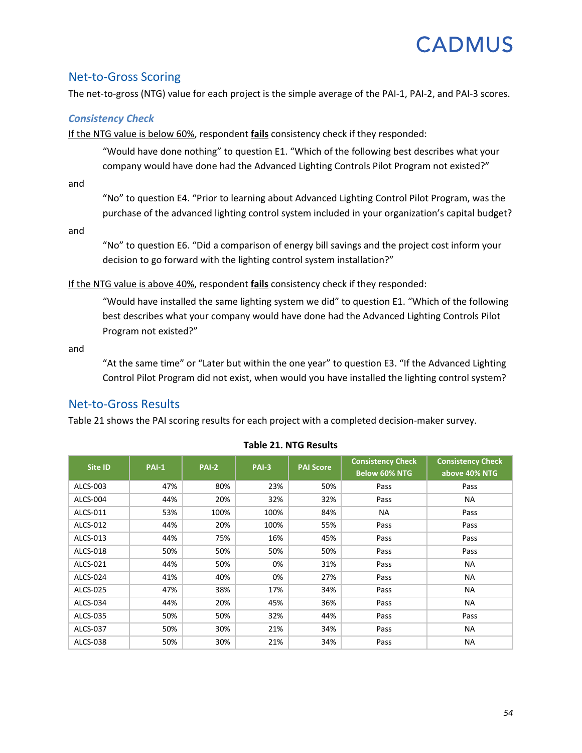### Net-to-Gross Scoring

The net-to-gross (NTG) value for each project is the simple average of the PAI-1, PAI-2, and PAI-3 scores.

#### *Consistency Check*

If the NTG value is below 60%, respondent **fails** consistency check if they responded:

"Would have done nothing" to question E1. "Which of the following best describes what your company would have done had the Advanced Lighting Controls Pilot Program not existed?"

and

"No" to question E4. "Prior to learning about Advanced Lighting Control Pilot Program, was the purchase of the advanced lighting control system included in your organization's capital budget?

and

"No" to question E6. "Did a comparison of energy bill savings and the project cost inform your decision to go forward with the lighting control system installation?"

If the NTG value is above 40%, respondent **fails** consistency check if they responded:

"Would have installed the same lighting system we did" to question E1. "Which of the following best describes what your company would have done had the Advanced Lighting Controls Pilot Program not existed?"

and

"At the same time" or "Later but within the one year" to question E3. "If the Advanced Lighting Control Pilot Program did not exist, when would you have installed the lighting control system?

### Net-to-Gross Results

[Table 21](#page-56-0) shows the PAI scoring results for each project with a completed decision-maker survey.

<span id="page-56-0"></span>

| Site ID  | <b>PAI-1</b> | <b>PAI-2</b> | $PAI-3$ | <b>PAI Score</b> | <b>Consistency Check</b><br><b>Below 60% NTG</b> | <b>Consistency Check</b><br>above 40% NTG |
|----------|--------------|--------------|---------|------------------|--------------------------------------------------|-------------------------------------------|
| ALCS-003 | 47%          | 80%          | 23%     | 50%              | Pass                                             | Pass                                      |
| ALCS-004 | 44%          | 20%          | 32%     | 32%              | Pass                                             | <b>NA</b>                                 |
| ALCS-011 | 53%          | 100%         | 100%    | 84%              | <b>NA</b>                                        | Pass                                      |
| ALCS-012 | 44%          | 20%          | 100%    | 55%              | Pass                                             | Pass                                      |
| ALCS-013 | 44%          | 75%          | 16%     | 45%              | Pass                                             | Pass                                      |
| ALCS-018 | 50%          | 50%          | 50%     | 50%              | Pass                                             | Pass                                      |
| ALCS-021 | 44%          | 50%          | 0%      | 31%              | Pass                                             | <b>NA</b>                                 |
| ALCS-024 | 41%          | 40%          | 0%      | 27%              | Pass                                             | <b>NA</b>                                 |
| ALCS-025 | 47%          | 38%          | 17%     | 34%              | Pass                                             | <b>NA</b>                                 |
| ALCS-034 | 44%          | 20%          | 45%     | 36%              | Pass                                             | <b>NA</b>                                 |
| ALCS-035 | 50%          | 50%          | 32%     | 44%              | Pass                                             | Pass                                      |
| ALCS-037 | 50%          | 30%          | 21%     | 34%              | Pass                                             | <b>NA</b>                                 |
| ALCS-038 | 50%          | 30%          | 21%     | 34%              | Pass                                             | <b>NA</b>                                 |

#### **Table 21. NTG Results**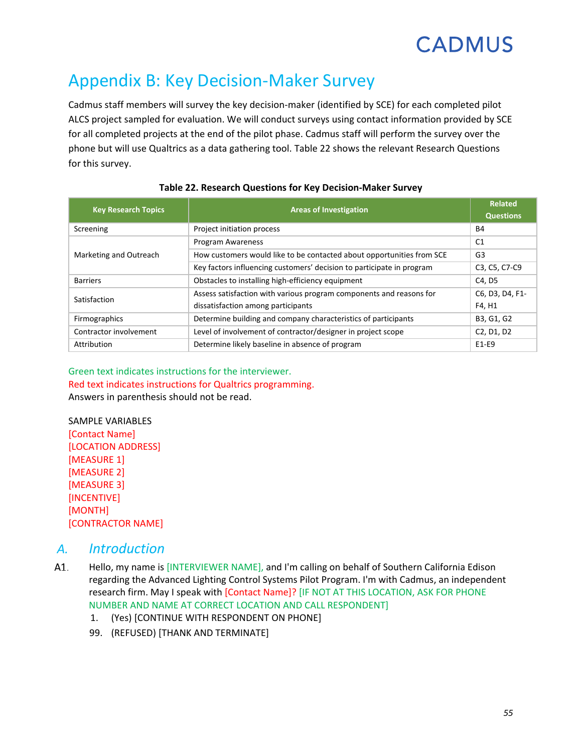## Appendix B: Key Decision-Maker Survey

Cadmus staff members will survey the key decision-maker (identified by SCE) for each completed pilot ALCS project sampled for evaluation. We will conduct surveys using contact information provided by SCE for all completed projects at the end of the pilot phase. Cadmus staff will perform the survey over the phone but will use Qualtrics as a data gathering tool. [Table 22](#page-57-0) shows the relevant Research Questions for this survey.

<span id="page-57-0"></span>

| <b>Key Research Topics</b> | <b>Areas of Investigation</b>                                         | <b>Related</b><br><b>Questions</b>               |
|----------------------------|-----------------------------------------------------------------------|--------------------------------------------------|
| Screening                  | Project initiation process                                            | <b>B4</b>                                        |
|                            | <b>Program Awareness</b>                                              | C <sub>1</sub>                                   |
| Marketing and Outreach     | How customers would like to be contacted about opportunities from SCE | G3                                               |
|                            | Key factors influencing customers' decision to participate in program | C3, C5, C7-C9                                    |
| <b>Barriers</b>            | Obstacles to installing high-efficiency equipment                     | C4. D5                                           |
| Satisfaction               | Assess satisfaction with various program components and reasons for   | C6, D3, D4, F1-                                  |
|                            | dissatisfaction among participants                                    | F4, H1                                           |
| Firmographics              | Determine building and company characteristics of participants        | B3, G1, G2                                       |
| Contractor involvement     | Level of involvement of contractor/designer in project scope          | C <sub>2</sub> , D <sub>1</sub> , D <sub>2</sub> |
| Attribution                | Determine likely baseline in absence of program                       | E1-E9                                            |

#### **Table 22. Research Questions for Key Decision-Maker Survey**

#### Green text indicates instructions for the interviewer. Red text indicates instructions for Qualtrics programming. Answers in parenthesis should not be read.

SAMPLE VARIABLES [Contact Name] [LOCATION ADDRESS] [MEASURE 1] [MEASURE 2] [MEASURE 3] [INCENTIVE] [MONTH] [CONTRACTOR NAME]

### *A. Introduction*

- A1. Hello, my name is [INTERVIEWER NAME], and I'm calling on behalf of Southern California Edison regarding the Advanced Lighting Control Systems Pilot Program. I'm with Cadmus, an independent research firm. May I speak with [Contact Name]? [IF NOT AT THIS LOCATION, ASK FOR PHONE NUMBER AND NAME AT CORRECT LOCATION AND CALL RESPONDENT]
	- 1. (Yes) [CONTINUE WITH RESPONDENT ON PHONE]
	- 99. (REFUSED) [THANK AND TERMINATE]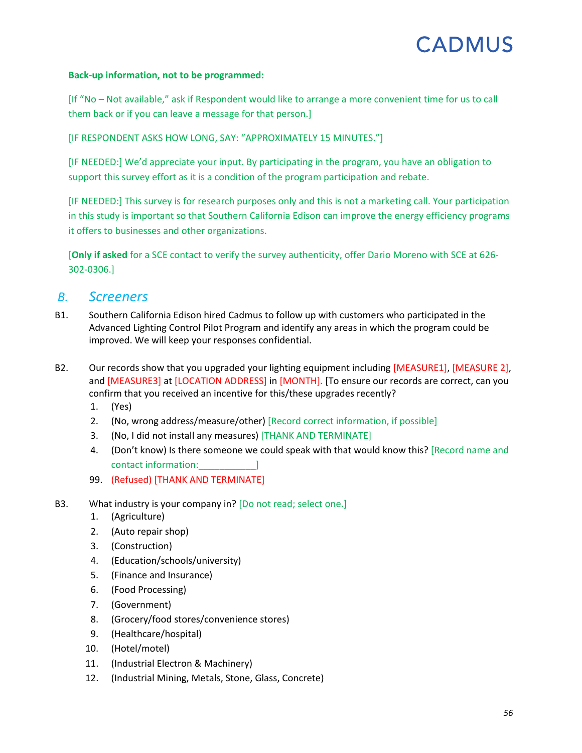#### **Back-up information, not to be programmed:**

[If "No – Not available," ask if Respondent would like to arrange a more convenient time for us to call them back or if you can leave a message for that person.]

[IF RESPONDENT ASKS HOW LONG, SAY: "APPROXIMATELY 15 MINUTES."]

[IF NEEDED:] We'd appreciate your input. By participating in the program, you have an obligation to support this survey effort as it is a condition of the program participation and rebate.

[IF NEEDED:] This survey is for research purposes only and this is not a marketing call. Your participation in this study is important so that Southern California Edison can improve the energy efficiency programs it offers to businesses and other organizations.

[**Only if asked** for a SCE contact to verify the survey authenticity, offer Dario Moreno with SCE at 626- 302-0306.]

### *B. Screeners*

- B1. Southern California Edison hired Cadmus to follow up with customers who participated in the Advanced Lighting Control Pilot Program and identify any areas in which the program could be improved. We will keep your responses confidential.
- B2. Our records show that you upgraded your lighting equipment including [MEASURE1], [MEASURE 2], and [MEASURE3] at [LOCATION ADDRESS] in [MONTH]. [To ensure our records are correct, can you confirm that you received an incentive for this/these upgrades recently?
	- 1. (Yes)
	- 2. (No, wrong address/measure/other) [Record correct information, if possible]
	- 3. (No, I did not install any measures) [THANK AND TERMINATE]
	- 4. (Don't know) Is there someone we could speak with that would know this? [Record name and contact information:
	- 99. (Refused) [THANK AND TERMINATE]
- B3. What industry is your company in? [Do not read; select one.]
	- 1. (Agriculture)
	- 2. (Auto repair shop)
	- 3. (Construction)
	- 4. (Education/schools/university)
	- 5. (Finance and Insurance)
	- 6. (Food Processing)
	- 7. (Government)
	- 8. (Grocery/food stores/convenience stores)
	- 9. (Healthcare/hospital)
	- 10. (Hotel/motel)
	- 11. (Industrial Electron & Machinery)
	- 12. (Industrial Mining, Metals, Stone, Glass, Concrete)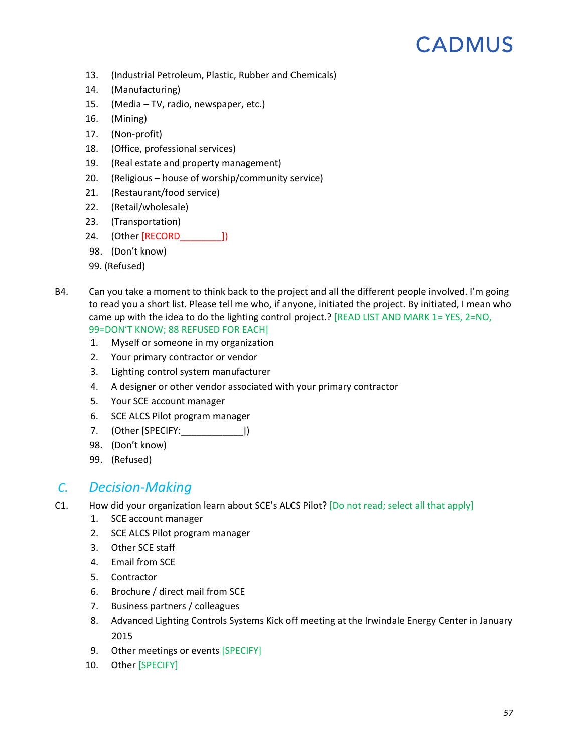- 13. (Industrial Petroleum, Plastic, Rubber and Chemicals)
- 14. (Manufacturing)
- 15. (Media TV, radio, newspaper, etc.)
- 16. (Mining)
- 17. (Non-profit)
- 18. (Office, professional services)
- 19. (Real estate and property management)
- 20. (Religious house of worship/community service)
- 21. (Restaurant/food service)
- 22. (Retail/wholesale)
- 23. (Transportation)
- 24. (Other [RECORD\_\_\_\_\_\_\_\_])
- 98. (Don't know)
- 99. (Refused)
- B4. Can you take a moment to think back to the project and all the different people involved. I'm going to read you a short list. Please tell me who, if anyone, initiated the project. By initiated, I mean who came up with the idea to do the lighting control project.? [READ LIST AND MARK 1= YES, 2=NO, 99=DON'T KNOW; 88 REFUSED FOR EACH]
	- 1. Myself or someone in my organization
	- 2. Your primary contractor or vendor
	- 3. Lighting control system manufacturer
	- 4. A designer or other vendor associated with your primary contractor
	- 5. Your SCE account manager
	- 6. SCE ALCS Pilot program manager
	- 7. (Other [SPECIFY:\_\_\_\_\_\_\_\_\_\_\_\_])
	- 98. (Don't know)
	- 99. (Refused)

### *C. Decision-Making*

- C1. How did your organization learn about SCE's ALCS Pilot? [Do not read; select all that apply]
	- 1. SCE account manager
	- 2. SCE ALCS Pilot program manager
	- 3. Other SCE staff
	- 4. Email from SCE
	- 5. Contractor
	- 6. Brochure / direct mail from SCE
	- 7. Business partners / colleagues
	- 8. Advanced Lighting Controls Systems Kick off meeting at the Irwindale Energy Center in January 2015
	- 9. Other meetings or events [SPECIFY]
	- 10. Other [SPECIFY]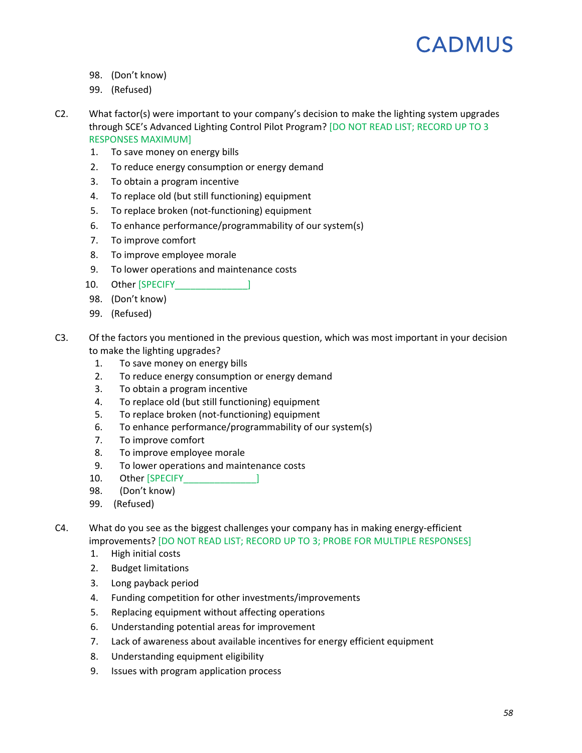- 98. (Don't know)
- 99. (Refused)
- C2. What factor(s) were important to your company's decision to make the lighting system upgrades through SCE's Advanced Lighting Control Pilot Program? [DO NOT READ LIST; RECORD UP TO 3 RESPONSES MAXIMUM]
	- 1. To save money on energy bills
	- 2. To reduce energy consumption or energy demand
	- 3. To obtain a program incentive
	- 4. To replace old (but still functioning) equipment
	- 5. To replace broken (not-functioning) equipment
	- 6. To enhance performance/programmability of our system(s)
	- 7. To improve comfort
	- 8. To improve employee morale
	- 9. To lower operations and maintenance costs
	- 10. Other [SPECIFY |
	- 98. (Don't know)
	- 99. (Refused)
- C3. Of the factors you mentioned in the previous question, which was most important in your decision to make the lighting upgrades?
	- 1. To save money on energy bills
	- 2. To reduce energy consumption or energy demand
	- 3. To obtain a program incentive
	- 4. To replace old (but still functioning) equipment
	- 5. To replace broken (not-functioning) equipment
	- 6. To enhance performance/programmability of our system(s)
	- 7. To improve comfort
	- 8. To improve employee morale
	- 9. To lower operations and maintenance costs
	- 10. Other [SPECIFY ]
	- 98. (Don't know)
	- 99. (Refused)

C4. What do you see as the biggest challenges your company has in making energy-efficient improvements? [DO NOT READ LIST; RECORD UP TO 3; PROBE FOR MULTIPLE RESPONSES]

- 1. High initial costs
- 2. Budget limitations
- 3. Long payback period
- 4. Funding competition for other investments/improvements
- 5. Replacing equipment without affecting operations
- 6. Understanding potential areas for improvement
- 7. Lack of awareness about available incentives for energy efficient equipment
- 8. Understanding equipment eligibility
- 9. Issues with program application process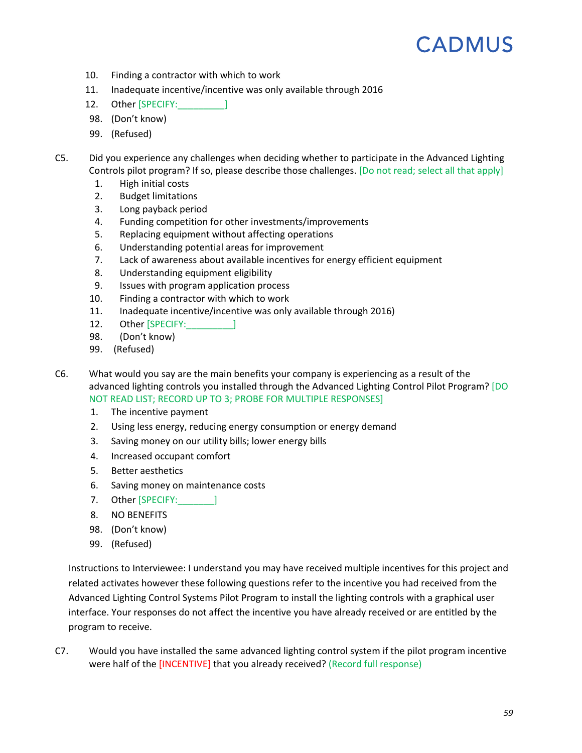- 10. Finding a contractor with which to work
- 11. Inadequate incentive/incentive was only available through 2016
- 12. Other [SPECIFY: 12.
- 98. (Don't know)
- 99. (Refused)
- C5. Did you experience any challenges when deciding whether to participate in the Advanced Lighting Controls pilot program? If so, please describe those challenges. [Do not read; select all that apply]
	- 1. High initial costs
	- 2. Budget limitations
	- 3. Long payback period
	- 4. Funding competition for other investments/improvements
	- 5. Replacing equipment without affecting operations
	- 6. Understanding potential areas for improvement
	- 7. Lack of awareness about available incentives for energy efficient equipment
	- 8. Understanding equipment eligibility
	- 9. Issues with program application process
	- 10. Finding a contractor with which to work
	- 11. Inadequate incentive/incentive was only available through 2016)
	- 12. Other [SPECIFY: 12.
	- 98. (Don't know)
	- 99. (Refused)

C6. What would you say are the main benefits your company is experiencing as a result of the advanced lighting controls you installed through the Advanced Lighting Control Pilot Program? [DO NOT READ LIST; RECORD UP TO 3; PROBE FOR MULTIPLE RESPONSES]

- 1. The incentive payment
- 2. Using less energy, reducing energy consumption or energy demand
- 3. Saving money on our utility bills; lower energy bills
- 4. Increased occupant comfort
- 5. Better aesthetics
- 6. Saving money on maintenance costs
- 7. Other [SPECIFY: 1
- 8. NO BENEFITS
- 98. (Don't know)
- 99. (Refused)

Instructions to Interviewee: I understand you may have received multiple incentives for this project and related activates however these following questions refer to the incentive you had received from the Advanced Lighting Control Systems Pilot Program to install the lighting controls with a graphical user interface. Your responses do not affect the incentive you have already received or are entitled by the program to receive.

<span id="page-61-0"></span>C7. Would you have installed the same advanced lighting control system if the pilot program incentive were half of the [INCENTIVE] that you already received? (Record full response)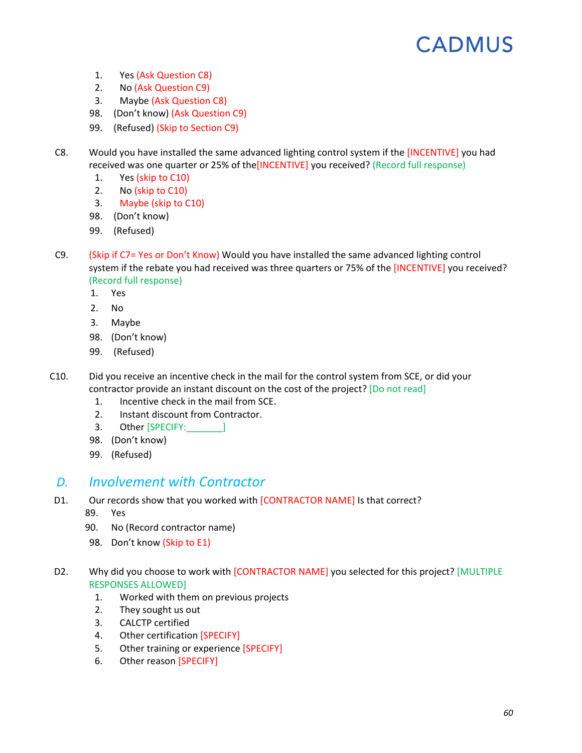- 1. Yes (Ask Question [C8\)](#page-62-0)
- 2. No (Ask Question [C9\)](#page-62-1)
- 3. Maybe (Ask Question [C8\)](#page-62-0)
- 98. (Don't know) (Ask Question [C9\)](#page-62-1)
- 99. (Refused) (Skip to Section [C9\)](#page-62-1)
- <span id="page-62-0"></span>C8. Would you have installed the same advanced lighting control system if the [INCENTIVE] you had received was one quarter or 25% of the[INCENTIVE] you received? (Record full response)
	- 1. Yes (skip to [C10\)](#page-62-2)
	- 2. No (skip to [C10\)](#page-62-2)
	- 3. Maybe (skip to [C10\)](#page-62-2)
	- 98. (Don't know)
	- 99. (Refused)
- <span id="page-62-1"></span>C9. (Skip if [C7=](#page-61-0) Yes or Don't Know) Would you have installed the same advanced lighting control system if the rebate you had received was three quarters or 75% of the [INCENTIVE] you received? (Record full response)
	- 1. Yes
	- 2. No
	- 3. Maybe
	- 98. (Don't know)
	- 99. (Refused)
- <span id="page-62-2"></span>C10. Did you receive an incentive check in the mail for the control system from SCE, or did your contractor provide an instant discount on the cost of the project? [Do not read]
	- 1. Incentive check in the mail from SCE.
	- 2. Instant discount from Contractor.
	- 3. Other [SPECIFY:\_\_\_\_\_\_\_]
	- 98. (Don't know)
	- 99. (Refused)

### *D. Involvement with Contractor*

- D1. Our records show that you worked with [CONTRACTOR NAME] Is that correct?
	- 89. Yes
	- 90. No (Record contractor name)
	- 98. Don't know (Skip to [E1\)](#page-64-0)
- D2. Why did you choose to work with [CONTRACTOR NAME] you selected for this project? [MULTIPLE RESPONSES ALLOWED]
	- 1. Worked with them on previous projects
	- 2. They sought us out
	- 3. CALCTP certified
	- 4. Other certification [SPECIFY]
	- 5. Other training or experience [SPECIFY]
	- 6. Other reason [SPECIFY]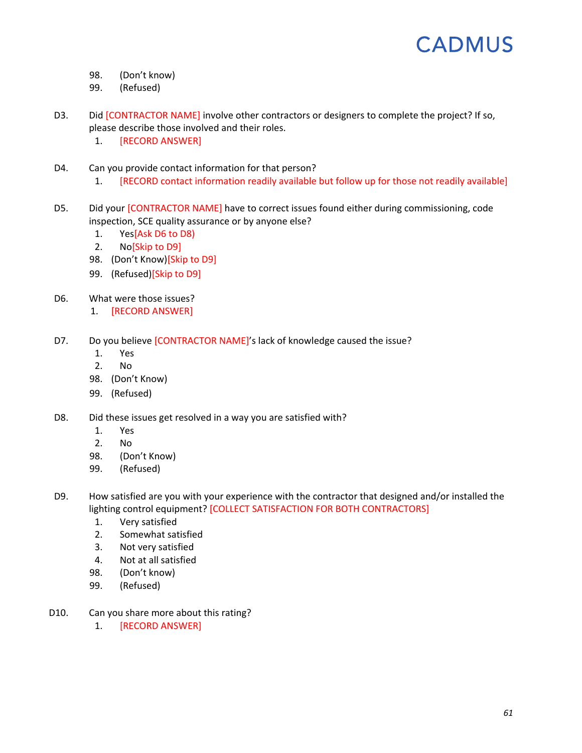- 98. (Don't know)
- 99. (Refused)
- D3. Did [CONTRACTOR NAME] involve other contractors or designers to complete the project? If so, please describe those involved and their roles.
	- 1. [RECORD ANSWER]
- D4. Can you provide contact information for that person?
	- 1. [RECORD contact information readily available but follow up for those not readily available]
- D5. Did your [CONTRACTOR NAME] have to correct issues found either during commissioning, code inspection, SCE quality assurance or by anyone else?
	- 1. Yes[As[k D6](#page-63-0) to [D8\)](#page-63-1)
	- 2. No[Skip to [D9\]](#page-63-2)
	- 98. (Don't Know)[Skip to [D9\]](#page-63-2)
	- 99. (Refused)[Skip to [D9\]](#page-63-2)
- <span id="page-63-0"></span>D6. What were those issues?
	- 1. [RECORD ANSWER]
- D7. Do you believe [CONTRACTOR NAME]'s lack of knowledge caused the issue?
	- 1. Yes
	- 2. No
	- 98. (Don't Know)
	- 99. (Refused)
- <span id="page-63-1"></span>D8. Did these issues get resolved in a way you are satisfied with?
	- 1. Yes
	- 2. No
	- 98. (Don't Know)
	- 99. (Refused)
- <span id="page-63-2"></span>D9. How satisfied are you with your experience with the contractor that designed and/or installed the lighting control equipment? [COLLECT SATISFACTION FOR BOTH CONTRACTORS]
	- 1. Very satisfied
	- 2. Somewhat satisfied
	- 3. Not very satisfied
	- 4. Not at all satisfied
	- 98. (Don't know)
	- 99. (Refused)
- D10. Can you share more about this rating?
	- 1. [RECORD ANSWER]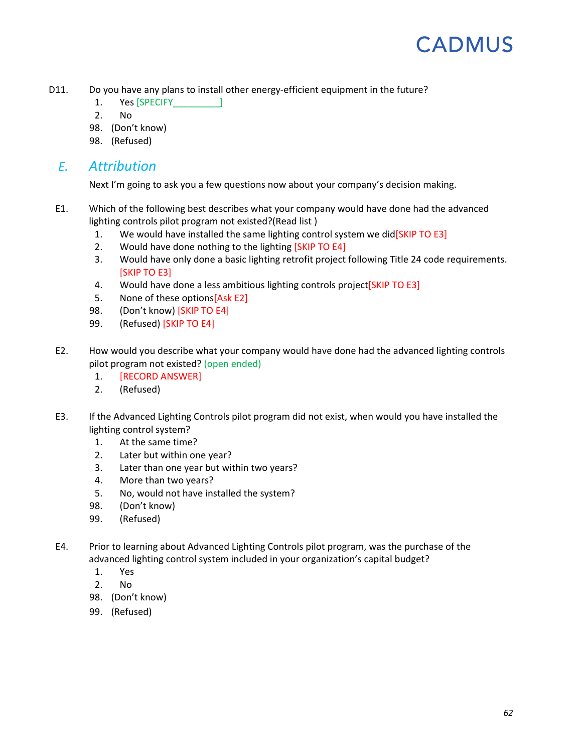- D11. Do you have any plans to install other energy-efficient equipment in the future?
	- 1. Yes [SPECIFY ]
	- 2. No
	- 98. (Don't know)
	- 98. (Refused)

### *E. Attribution*

Next I'm going to ask you a few questions now about your company's decision making.

- <span id="page-64-0"></span>E1. Which of the following best describes what your company would have done had the advanced lighting controls pilot program not existed?(Read list )
	- 1. We would have installed the same lighting control system we did[SKIP TO [E3\]](#page-64-1)
	- 2. Would have done nothing to the lighting [SKIP T[O E4\]](#page-64-2)
	- 3. Would have only done a basic lighting retrofit project following Title 24 code requirements. [SKIP TO [E3\]](#page-64-1)
	- 4. Would have done a less ambitious lighting controls project [SKIP TO [E3\]](#page-64-1)
	- 5. None of these options[As[k E2\]](#page-64-3)
	- 98. (Don't know) [SKIP TO [E4\]](#page-64-2)
	- 99. (Refused) [SKIP TO [E4\]](#page-64-2)
- <span id="page-64-3"></span>E2. How would you describe what your company would have done had the advanced lighting controls pilot program not existed? (open ended)
	- 1. [RECORD ANSWER]
	- 2. (Refused)
- <span id="page-64-1"></span>E3. If the Advanced Lighting Controls pilot program did not exist, when would you have installed the lighting control system?
	- 1. At the same time?
	- 2. Later but within one year?
	- 3. Later than one year but within two years?
	- 4. More than two years?
	- 5. No, would not have installed the system?
	- 98. (Don't know)
	- 99. (Refused)
- <span id="page-64-2"></span>E4. Prior to learning about Advanced Lighting Controls pilot program, was the purchase of the advanced lighting control system included in your organization's capital budget?
	- 1. Yes
	- 2. No
	- 98. (Don't know)
	- 99. (Refused)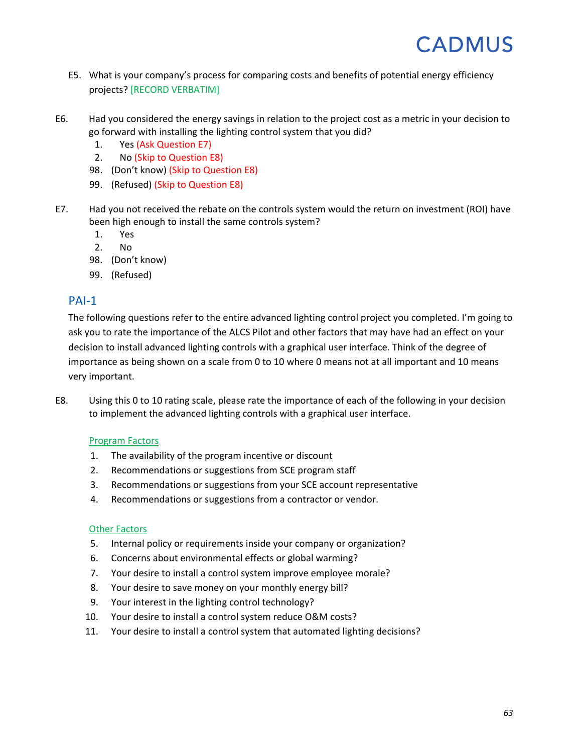- E5. What is your company's process for comparing costs and benefits of potential energy efficiency projects? [RECORD VERBATIM]
- E6. Had you considered the energy savings in relation to the project cost as a metric in your decision to go forward with installing the lighting control system that you did?
	- 1. Yes (Ask Question [E7\)](#page-65-0)
	- 2. No (Skip to Question [E8\)](#page-65-1)
	- 98. (Don't know) (Skip to Question [E8\)](#page-65-1)
	- 99. (Refused) (Skip to Questio[n E8\)](#page-65-1)
- <span id="page-65-0"></span>E7. Had you not received the rebate on the controls system would the return on investment (ROI) have been high enough to install the same controls system?
	- 1. Yes
	- 2. No
	- 98. (Don't know)
	- 99. (Refused)

#### PAI-1

The following questions refer to the entire advanced lighting control project you completed. I'm going to ask you to rate the importance of the ALCS Pilot and other factors that may have had an effect on your decision to install advanced lighting controls with a graphical user interface. Think of the degree of importance as being shown on a scale from 0 to 10 where 0 means not at all important and 10 means very important.

<span id="page-65-1"></span>E8. Using this 0 to 10 rating scale, please rate the importance of each of the following in your decision to implement the advanced lighting controls with a graphical user interface.

#### Program Factors

- 1. The availability of the program incentive or discount
- 2. Recommendations or suggestions from SCE program staff
- 3. Recommendations or suggestions from your SCE account representative
- 4. Recommendations or suggestions from a contractor or vendor.

#### Other Factors

- 5. Internal policy or requirements inside your company or organization?
- 6. Concerns about environmental effects or global warming?
- 7. Your desire to install a control system improve employee morale?
- 8. Your desire to save money on your monthly energy bill?
- 9. Your interest in the lighting control technology?
- 10. Your desire to install a control system reduce O&M costs?
- 11. Your desire to install a control system that automated lighting decisions?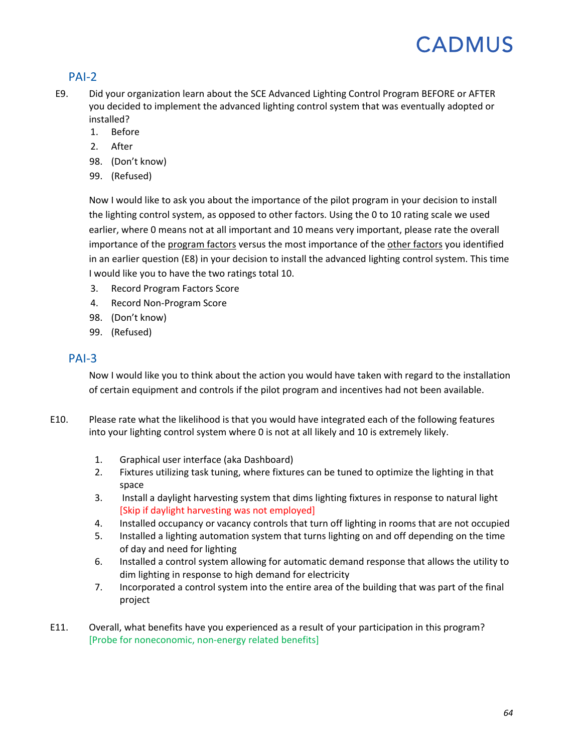### PAI-2

- <span id="page-66-0"></span>E9. Did your organization learn about the SCE Advanced Lighting Control Program BEFORE or AFTER you decided to implement the advanced lighting control system that was eventually adopted or installed?
	- 1. Before
	- 2. After
	- 98. (Don't know)
	- 99. (Refused)

Now I would like to ask you about the importance of the pilot program in your decision to install the lighting control system, as opposed to other factors. Using the 0 to 10 rating scale we used earlier, where 0 means not at all important and 10 means very important, please rate the overall importance of the program factors versus the most importance of the other factors you identified in an earlier question [\(E8\)](#page-65-1) in your decision to install the advanced lighting control system. This time I would like you to have the two ratings total 10.

- 3. Record Program Factors Score
- 4. Record Non-Program Score
- 98. (Don't know)
- 99. (Refused)

#### PAI-3

Now I would like you to think about the action you would have taken with regard to the installation of certain equipment and controls if the pilot program and incentives had not been available.

- E10. Please rate what the likelihood is that you would have integrated each of the following features into your lighting control system where 0 is not at all likely and 10 is extremely likely.
	- 1. Graphical user interface (aka Dashboard)
	- 2. Fixtures utilizing task tuning, where fixtures can be tuned to optimize the lighting in that space
	- 3. Install a daylight harvesting system that dims lighting fixtures in response to natural light [Skip if daylight harvesting was not employed]
	- 4. Installed occupancy or vacancy controls that turn off lighting in rooms that are not occupied
	- 5. Installed a lighting automation system that turns lighting on and off depending on the time of day and need for lighting
	- 6. Installed a control system allowing for automatic demand response that allows the utility to dim lighting in response to high demand for electricity
	- 7. Incorporated a control system into the entire area of the building that was part of the final project
- E11. Overall, what benefits have you experienced as a result of your participation in this program? [Probe for noneconomic, non-energy related benefits]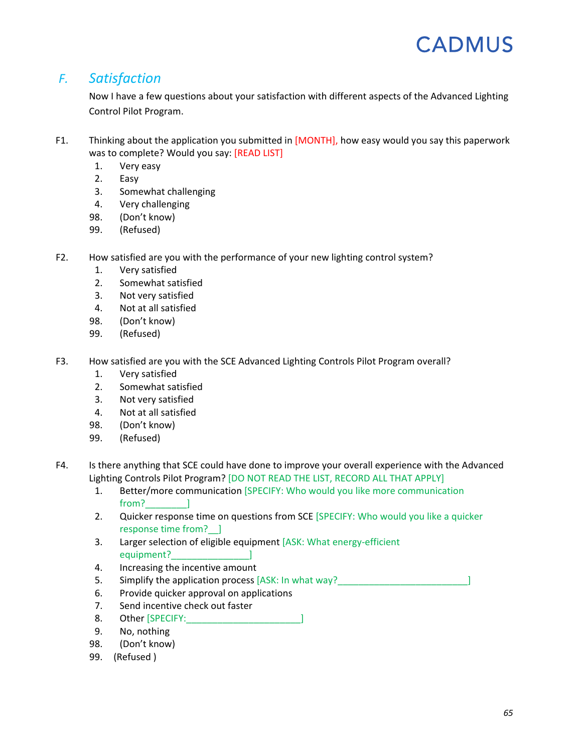### *F. Satisfaction*

Now I have a few questions about your satisfaction with different aspects of the Advanced Lighting Control Pilot Program.

- F1. Thinking about the application you submitted in [MONTH], how easy would you say this paperwork was to complete? Would you say: [READ LIST]
	- 1. Very easy
	- 2. Easy
	- 3. Somewhat challenging
	- 4. Very challenging
	- 98. (Don't know)
	- 99. (Refused)
- F2. How satisfied are you with the performance of your new lighting control system?
	- 1. Very satisfied
	- 2. Somewhat satisfied
	- 3. Not very satisfied
	- 4. Not at all satisfied
	- 98. (Don't know)
	- 99. (Refused)
- F3. How satisfied are you with the SCE Advanced Lighting Controls Pilot Program overall?
	- 1. Very satisfied
	- 2. Somewhat satisfied
	- 3. Not very satisfied
	- 4. Not at all satisfied
	- 98. (Don't know)
	- 99. (Refused)
- F4. Is there anything that SCE could have done to improve your overall experience with the Advanced Lighting Controls Pilot Program? [DO NOT READ THE LIST, RECORD ALL THAT APPLY]
	- 1. Better/more communication [SPECIFY: Who would you like more communication from? 1
	- 2. Quicker response time on questions from SCE [SPECIFY: Who would you like a quicker response time from?\_\_]
	- 3. Larger selection of eligible equipment [ASK: What energy-efficient equipment?
	- 4. Increasing the incentive amount
	- 5. Simplify the application process [ASK: In what way?
	- 6. Provide quicker approval on applications
	- 7. Send incentive check out faster
	- 8. Other [SPECIFY: 1999]
	- 9. No, nothing
	- 98. (Don't know)
	- 99. (Refused )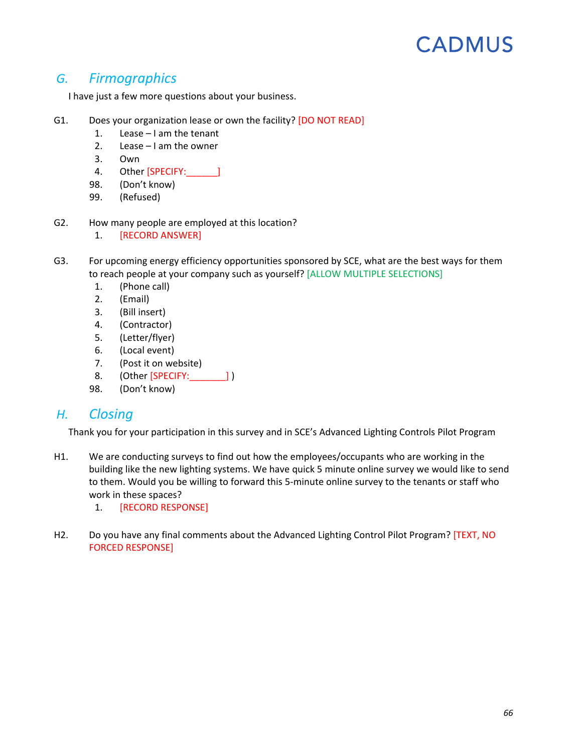### *G. Firmographics*

I have just a few more questions about your business.

- G1. Does your organization lease or own the facility? [DO NOT READ]
	- 1. Lease I am the tenant
	- 2. Lease I am the owner
	- 3. Own
	- 4. Other [SPECIFY: ]
	- 98. (Don't know)
	- 99. (Refused)
- G2. How many people are employed at this location?
	- 1. [RECORD ANSWER]
- G3. For upcoming energy efficiency opportunities sponsored by SCE, what are the best ways for them to reach people at your company such as yourself? [ALLOW MULTIPLE SELECTIONS]
	- 1. (Phone call)
	- 2. (Email)
	- 3. (Bill insert)
	- 4. (Contractor)
	- 5. (Letter/flyer)
	- 6. (Local event)
	- 7. (Post it on website)
	- 8. (Other [SPECIFY: \_\_\_\_\_\_\_\_] )
	- 98. (Don't know)

### *H. Closing*

Thank you for your participation in this survey and in SCE's Advanced Lighting Controls Pilot Program

- H1. We are conducting surveys to find out how the employees/occupants who are working in the building like the new lighting systems. We have quick 5 minute online survey we would like to send to them. Would you be willing to forward this 5-minute online survey to the tenants or staff who work in these spaces?
	- 1. [RECORD RESPONSE]
- H2. Do you have any final comments about the Advanced Lighting Control Pilot Program? [TEXT, NO FORCED RESPONSE]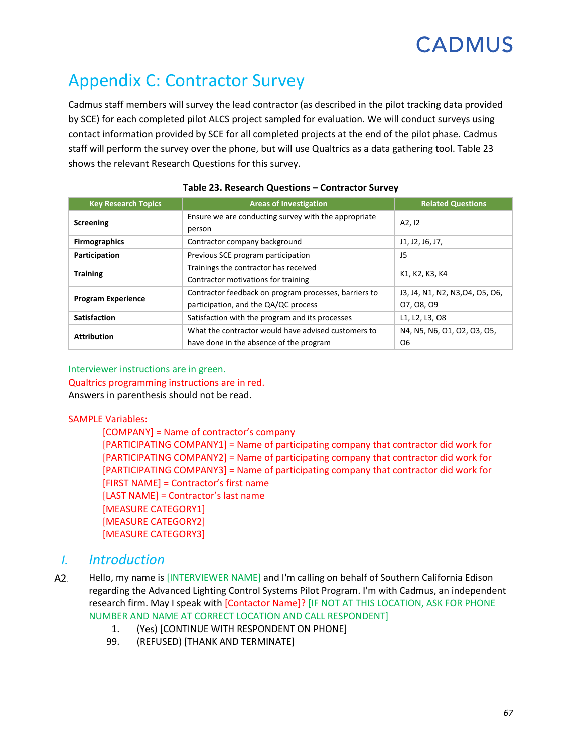# Appendix C: Contractor Survey

Cadmus staff members will survey the lead contractor (as described in the pilot tracking data provided by SCE) for each completed pilot ALCS project sampled for evaluation. We will conduct surveys using contact information provided by SCE for all completed projects at the end of the pilot phase. Cadmus staff will perform the survey over the phone, but will use Qualtrics as a data gathering tool. [Table 23](#page-69-0) shows the relevant Research Questions for this survey.

<span id="page-69-0"></span>

| <b>Key Research Topics</b> | <b>Areas of Investigation</b>                                                                  | <b>Related Questions</b>                      |  |
|----------------------------|------------------------------------------------------------------------------------------------|-----------------------------------------------|--|
| Screening                  | Ensure we are conducting survey with the appropriate<br>person                                 | A <sub>2</sub> , 1 <sub>2</sub>               |  |
| <b>Firmographics</b>       | Contractor company background                                                                  | J1, J2, J6, J7,                               |  |
| Participation              | Previous SCE program participation                                                             | J5                                            |  |
| <b>Training</b>            | Trainings the contractor has received<br>Contractor motivations for training                   | K1, K2, K3, K4                                |  |
| <b>Program Experience</b>  | Contractor feedback on program processes, barriers to<br>participation, and the QA/QC process  | J3, J4, N1, N2, N3, O4, O5, O6,<br>07, 08, 09 |  |
| <b>Satisfaction</b>        | Satisfaction with the program and its processes                                                | L1, L2, L3, O8                                |  |
| <b>Attribution</b>         | What the contractor would have advised customers to<br>have done in the absence of the program | N4, N5, N6, O1, O2, O3, O5,<br>O <sub>6</sub> |  |

#### **Table 23. Research Questions – Contractor Survey**

#### Interviewer instructions are in green. Qualtrics programming instructions are in red. Answers in parenthesis should not be read.

#### SAMPLE Variables:

[COMPANY] = Name of contractor's company [PARTICIPATING COMPANY1] = Name of participating company that contractor did work for [PARTICIPATING COMPANY2] = Name of participating company that contractor did work for [PARTICIPATING COMPANY3] = Name of participating company that contractor did work for [FIRST NAME] = Contractor's first name [LAST NAME] = Contractor's last name [MEASURE CATEGORY1] [MEASURE CATEGORY2] [MEASURE CATEGORY3]

### *I. Introduction*

- <span id="page-69-1"></span>A2. Hello, my name is [INTERVIEWER NAME] and I'm calling on behalf of Southern California Edison regarding the Advanced Lighting Control Systems Pilot Program. I'm with Cadmus, an independent research firm. May I speak with [Contactor Name]? [IF NOT AT THIS LOCATION, ASK FOR PHONE NUMBER AND NAME AT CORRECT LOCATION AND CALL RESPONDENT]
	- 1. (Yes) [CONTINUE WITH RESPONDENT ON PHONE]
	- 99. (REFUSED) [THANK AND TERMINATE]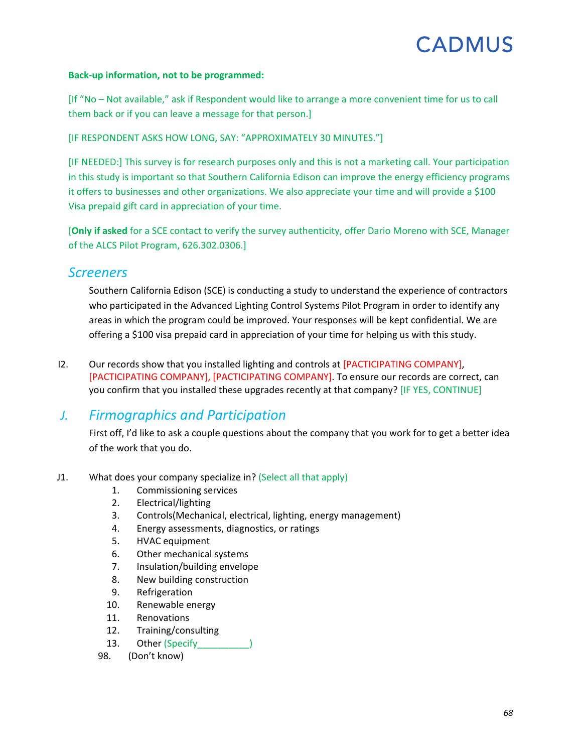#### **Back-up information, not to be programmed:**

[If "No – Not available," ask if Respondent would like to arrange a more convenient time for us to call them back or if you can leave a message for that person.]

[IF RESPONDENT ASKS HOW LONG, SAY: "APPROXIMATELY 30 MINUTES."]

[IF NEEDED:] This survey is for research purposes only and this is not a marketing call. Your participation in this study is important so that Southern California Edison can improve the energy efficiency programs it offers to businesses and other organizations. We also appreciate your time and will provide a \$100 Visa prepaid gift card in appreciation of your time.

[**Only if asked** for a SCE contact to verify the survey authenticity, offer Dario Moreno with SCE, Manager of the ALCS Pilot Program, 626.302.0306.]

### *Screeners*

Southern California Edison (SCE) is conducting a study to understand the experience of contractors who participated in the Advanced Lighting Control Systems Pilot Program in order to identify any areas in which the program could be improved. Your responses will be kept confidential. We are offering a \$100 visa prepaid card in appreciation of your time for helping us with this study.

<span id="page-70-0"></span>I2. Our records show that you installed lighting and controls at [PACTICIPATING COMPANY], [PACTICIPATING COMPANY], [PACTICIPATING COMPANY]. To ensure our records are correct, can you confirm that you installed these upgrades recently at that company? [IF YES, CONTINUE]

### *J. Firmographics and Participation*

First off, I'd like to ask a couple questions about the company that you work for to get a better idea of the work that you do.

- <span id="page-70-1"></span>J1. What does your company specialize in? (Select all that apply)
	- 1. Commissioning services
	- 2. Electrical/lighting
	- 3. Controls(Mechanical, electrical, lighting, energy management)
	- 4. Energy assessments, diagnostics, or ratings
	- 5. HVAC equipment
	- 6. Other mechanical systems
	- 7. Insulation/building envelope
	- 8. New building construction
	- 9. Refrigeration
	- 10. Renewable energy
	- 11. Renovations
	- 12. Training/consulting
	- 13. Other (Specify
	- 98. (Don't know)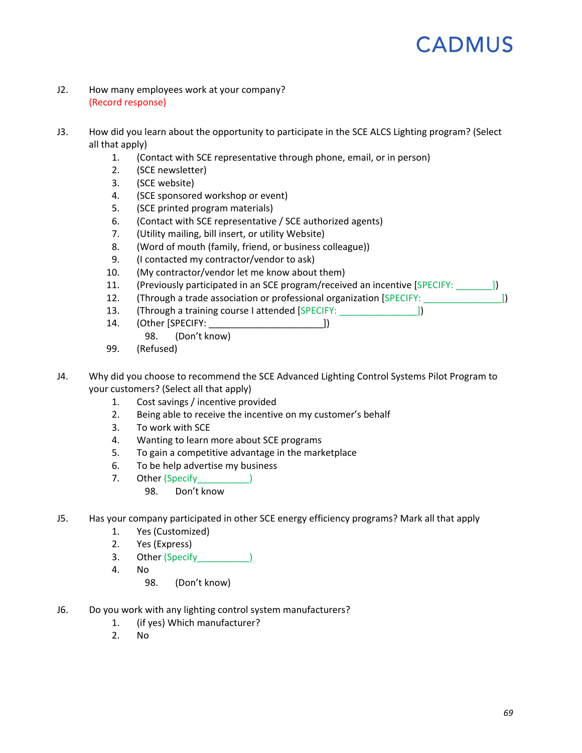- <span id="page-71-0"></span>J2. How many employees work at your company? (Record response)
- <span id="page-71-3"></span>J3. How did you learn about the opportunity to participate in the SCE ALCS Lighting program? (Select all that apply)
	- 1. (Contact with SCE representative through phone, email, or in person)
	- 2. (SCE newsletter)
	- 3. (SCE website)
	- 4. (SCE sponsored workshop or event)
	- 5. (SCE printed program materials)
	- 6. (Contact with SCE representative / SCE authorized agents)
	- 7. (Utility mailing, bill insert, or utility Website)
	- 8. (Word of mouth (family, friend, or business colleague))
	- 9. (I contacted my contractor/vendor to ask)
	- 10. (My contractor/vendor let me know about them)
	- 11. (Previously participated in an SCE program/received an incentive [SPECIFY:  $\qquad$  ])
	- 12. (Through a trade association or professional organization [SPECIFY:  $\vert$ ])
	- 13. (Through a training course I attended [SPECIFY:  $\qquad$ ])
	- 14. (Other [SPECIFY: \_\_\_\_\_\_\_\_\_\_\_\_\_\_\_\_\_\_\_\_\_\_])
		- 98. (Don't know)
	- 99. (Refused)
- <span id="page-71-4"></span>J4. Why did you choose to recommend the SCE Advanced Lighting Control Systems Pilot Program to your customers? (Select all that apply)
	- 1. Cost savings / incentive provided
	- 2. Being able to receive the incentive on my customer's behalf
	- 3. To work with SCE
	- 4. Wanting to learn more about SCE programs
	- 5. To gain a competitive advantage in the marketplace
	- 6. To be help advertise my business
	- 7. Other (Specify and Specify and Specify and Specify and Specify and Specify and Specify and Specify and Specify and Specify and Specify and Specify and Specify and Specify and Specify and Specify and Specify and Specify
		- 98. Don't know
- <span id="page-71-2"></span>J5. Has your company participated in other SCE energy efficiency programs? Mark all that apply
	- 1. Yes (Customized)
	- 2. Yes (Express)
	- 3. Other (Specify and Supply 2013)
	- 4. No
		- 98. (Don't know)
- <span id="page-71-1"></span>J6. Do you work with any lighting control system manufacturers?
	- 1. (if yes) Which manufacturer?
	- 2. No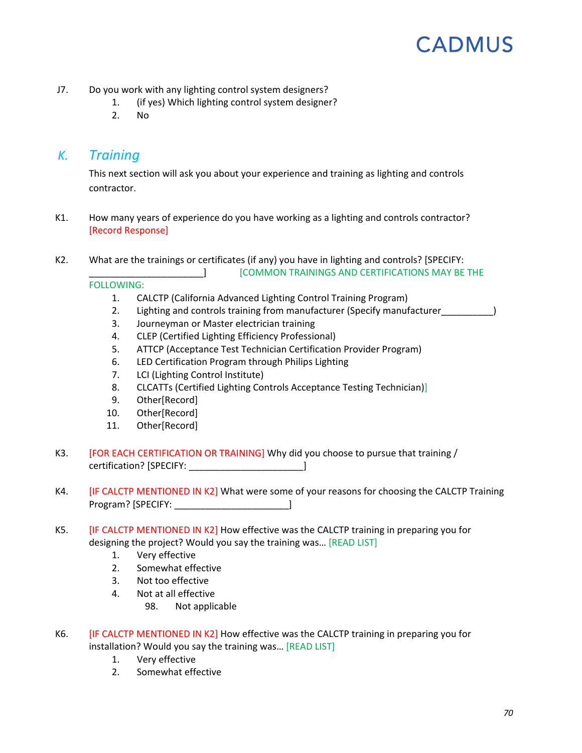- J7. Do you work with any lighting control system designers?
	- 1. (if yes) Which lighting control system designer?
	- 2. No

#### *K. Training*

This next section will ask you about your experience and training as lighting and controls contractor.

- K1. How many years of experience do you have working as a lighting and controls contractor? [Record Response]
- <span id="page-72-0"></span>K2. What are the trainings or certificates (if any) you have in lighting and controls? [SPECIFY: \_\_\_\_\_\_\_\_\_\_\_\_\_\_\_\_\_\_\_\_\_\_] [COMMON TRAININGS AND CERTIFICATIONS MAY BE THE

FOLLOWING:

- 1. CALCTP (California Advanced Lighting Control Training Program)
- 2. Lighting and controls training from manufacturer (Specify manufacturer  $\qquad \qquad$ )
- 3. Journeyman or Master electrician training
- 4. CLEP (Certified Lighting Efficiency Professional)
- 5. ATTCP (Acceptance Test Technician Certification Provider Program)
- 6. LED Certification Program through Philips Lighting
- 7. LCI (Lighting Control Institute)
- 8. CLCATTs (Certified Lighting Controls Acceptance Testing Technician)]
- 9. Other[Record]
- 10. Other[Record]
- 11. Other[Record]
- K3. [FOR EACH CERTIFICATION OR TRAINING] Why did you choose to pursue that training / certification? [SPECIFY: \_\_\_\_\_\_\_\_\_\_\_\_\_\_\_\_\_\_\_\_\_\_]
- K4. [IF CALCTP MENTIONED IN [K2\]](#page-72-0) What were some of your reasons for choosing the CALCTP Training Program? [SPECIFY: \_\_\_\_\_\_\_\_\_\_\_\_\_\_\_\_\_\_\_\_\_\_]
- K5. [IF CALCTP MENTIONED IN [K2\]](#page-72-0) How effective was the CALCTP training in preparing you for designing the project? Would you say the training was… [READ LIST]
	- 1. Very effective
	- 2. Somewhat effective
	- 3. Not too effective
	- 4. Not at all effective
		- 98. Not applicable
- K6. **[IF CALCTP MENTIONED IN [K2\]](#page-72-0) How effective was the CALCTP training in preparing you for** installation? Would you say the training was… [READ LIST]
	- 1. Very effective
	- 2. Somewhat effective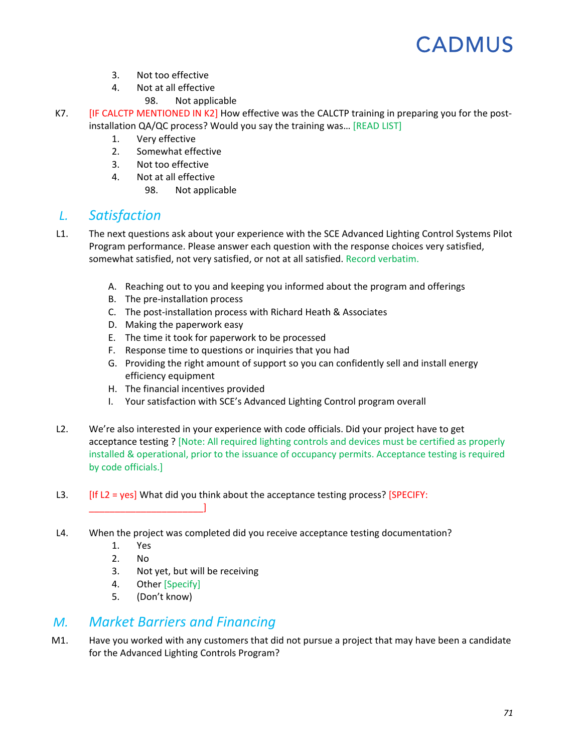- 3. Not too effective
- 4. Not at all effective
	- 98. Not applicable
- K7. **[IF CALCTP MENTIONED IN [K2\]](#page-72-0) How effective was the CALCTP training in preparing you for the post**installation QA/QC process? Would you say the training was… [READ LIST]
	- 1. Very effective
	- 2. Somewhat effective
	- 3. Not too effective
	- 4. Not at all effective
		- 98. Not applicable

### *L. Satisfaction*

- L1. The next questions ask about your experience with the SCE Advanced Lighting Control Systems Pilot Program performance. Please answer each question with the response choices very satisfied, somewhat satisfied, not very satisfied, or not at all satisfied. Record verbatim.
	- A. Reaching out to you and keeping you informed about the program and offerings
	- B. The pre-installation process
	- C. The post-installation process with Richard Heath & Associates
	- D. Making the paperwork easy
	- E. The time it took for paperwork to be processed
	- F. Response time to questions or inquiries that you had
	- G. Providing the right amount of support so you can confidently sell and install energy efficiency equipment
	- H. The financial incentives provided
	- I. Your satisfaction with SCE's Advanced Lighting Control program overall
- <span id="page-73-0"></span>L2. We're also interested in your experience with code officials. Did your project have to get acceptance testing ? [Note: All required lighting controls and devices must be certified as properly installed & operational, prior to the issuance of occupancy permits. Acceptance testing is required by code officials.]
- L3.  $[If L2 = yes] What did you think about the acceptance testing process? [SPECTY: ]$  $[If L2 = yes] What did you think about the acceptance testing process? [SPECTY: ]$  $[If L2 = yes] What did you think about the acceptance testing process? [SPECTY: ]$
- L4. When the project was completed did you receive acceptance testing documentation?
	- 1. Yes

\_\_\_\_\_\_\_\_\_\_\_\_\_\_\_\_\_\_\_\_\_\_]

- 2. No
- 3. Not yet, but will be receiving
- 4. Other [Specify]
- 5. (Don't know)

### *M. Market Barriers and Financing*

M1. Have you worked with any customers that did not pursue a project that may have been a candidate for the Advanced Lighting Controls Program?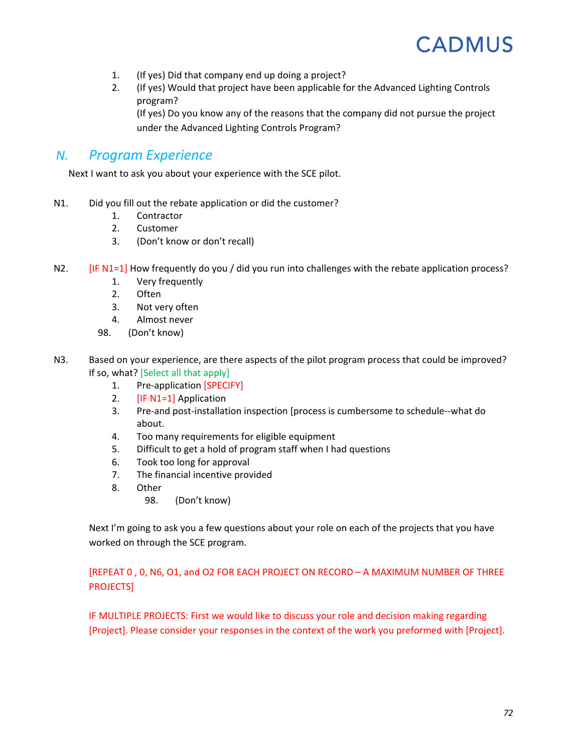- 1. (If yes) Did that company end up doing a project?
- 2. (If yes) Would that project have been applicable for the Advanced Lighting Controls program?

(If yes) Do you know any of the reasons that the company did not pursue the project under the Advanced Lighting Controls Program?

### *N. Program Experience*

Next I want to ask you about your experience with the SCE pilot.

- <span id="page-74-0"></span>N1. Did you fill out the rebate application or did the customer?
	- 1. Contractor
	- 2. Customer
	- 3. (Don't know or don't recall)
- N2. [IF [N1=](#page-74-0)1] How frequently do you / did you run into challenges with the rebate application process?
	- 1. Very frequently
	- 2. Often
	- 3. Not very often
	- 4. Almost never
	- 98. (Don't know)
- N3. Based on your experience, are there aspects of the pilot program process that could be improved? If so, what? [Select all that apply]
	- 1. Pre-application [SPECIFY]
	- 2. [I[F N1=](#page-74-0)1] Application
	- 3. Pre-and post-installation inspection [process is cumbersome to schedule--what do about.
	- 4. Too many requirements for eligible equipment
	- 5. Difficult to get a hold of program staff when I had questions
	- 6. Took too long for approval
	- 7. The financial incentive provided
	- 8. Other
		- 98. (Don't know)

Next I'm going to ask you a few questions about your role on each of the projects that you have worked on through the SCE program.

#### [REPEA[T 0](#page-74-1) , [0,](#page-75-0) [N6,](#page-75-1) [O1,](#page-75-2) and [O2](#page-75-3) FOR EACH PROJECT ON RECORD – A MAXIMUM NUMBER OF THREE PROJECTS]

<span id="page-74-1"></span>IF MULTIPLE PROJECTS: First we would like to discuss your role and decision making regarding [Project]. Please consider your responses in the context of the work you preformed with [Project].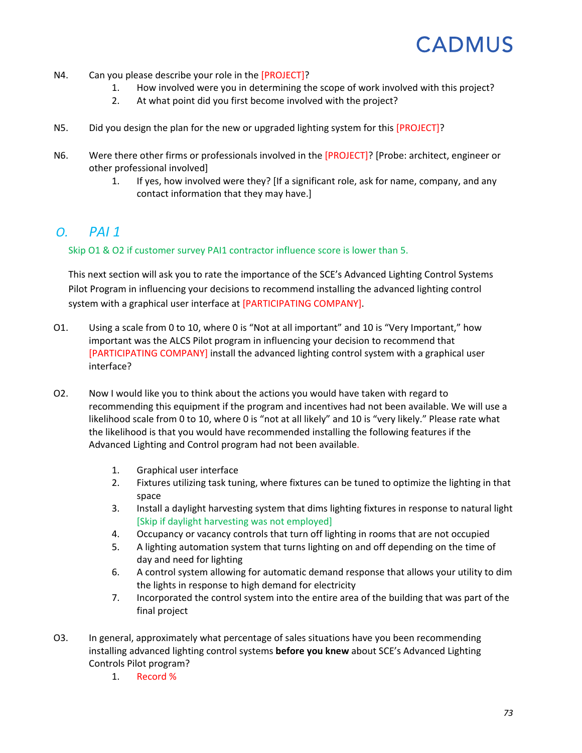- N4. Can you please describe your role in the [PROJECT]?
	- 1. How involved were you in determining the scope of work involved with this project?
	- 2. At what point did you first become involved with the project?
- <span id="page-75-0"></span>N5. Did you design the plan for the new or upgraded lighting system for this [PROJECT]?
- <span id="page-75-1"></span>N6. Were there other firms or professionals involved in the [PROJECT]? [Probe: architect, engineer or other professional involved]
	- 1. If yes, how involved were they? [If a significant role, ask for name, company, and any contact information that they may have.]

### *O. PAI 1*

Skip [O1](#page-75-2) & [O2](#page-75-3) if customer survey PAI1 contractor influence score is lower than 5.

This next section will ask you to rate the importance of the SCE's Advanced Lighting Control Systems Pilot Program in influencing your decisions to recommend installing the advanced lighting control system with a graphical user interface at [PARTICIPATING COMPANY].

- <span id="page-75-2"></span>O1. Using a scale from 0 to 10, where 0 is "Not at all important" and 10 is "Very Important," how important was the ALCS Pilot program in influencing your decision to recommend that [PARTICIPATING COMPANY] install the advanced lighting control system with a graphical user interface?
- <span id="page-75-3"></span>O2. Now I would like you to think about the actions you would have taken with regard to recommending this equipment if the program and incentives had not been available. We will use a likelihood scale from 0 to 10, where 0 is "not at all likely" and 10 is "very likely." Please rate what the likelihood is that you would have recommended installing the following features if the Advanced Lighting and Control program had not been available.
	- 1. Graphical user interface
	- 2. Fixtures utilizing task tuning, where fixtures can be tuned to optimize the lighting in that space
	- 3. Install a daylight harvesting system that dims lighting fixtures in response to natural light [Skip if daylight harvesting was not employed]
	- 4. Occupancy or vacancy controls that turn off lighting in rooms that are not occupied
	- 5. A lighting automation system that turns lighting on and off depending on the time of day and need for lighting
	- 6. A control system allowing for automatic demand response that allows your utility to dim the lights in response to high demand for electricity
	- 7. Incorporated the control system into the entire area of the building that was part of the final project
- <span id="page-75-4"></span>O3. In general, approximately what percentage of sales situations have you been recommending installing advanced lighting control systems **before you knew** about SCE's Advanced Lighting Controls Pilot program?
	- 1. Record %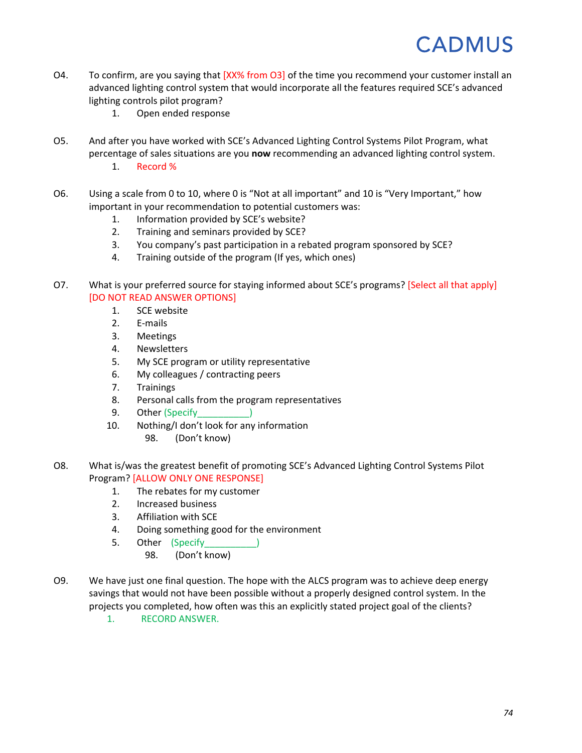- O4. To confirm, are you saying that [XX% from [O3\]](#page-75-4) of the time you recommend your customer install an advanced lighting control system that would incorporate all the features required SCE's advanced lighting controls pilot program?
	- 1. Open ended response
- O5. And after you have worked with SCE's Advanced Lighting Control Systems Pilot Program, what percentage of sales situations are you **now** recommending an advanced lighting control system.
	- 1. Record %
- O6. Using a scale from 0 to 10, where 0 is "Not at all important" and 10 is "Very Important," how important in your recommendation to potential customers was:
	- 1. Information provided by SCE's website?
	- 2. Training and seminars provided by SCE?
	- 3. You company's past participation in a rebated program sponsored by SCE?
	- 4. Training outside of the program (If yes, which ones)
- O7. What is your preferred source for staying informed about SCE's programs? [Select all that apply] [DO NOT READ ANSWER OPTIONS]
	- 1. SCE website
	- 2. E-mails
	- 3. Meetings
	- 4. Newsletters
	- 5. My SCE program or utility representative
	- 6. My colleagues / contracting peers
	- 7. Trainings
	- 8. Personal calls from the program representatives
	- 9. Other (Specify
	- 10. Nothing/I don't look for any information
		- 98. (Don't know)
- O8. What is/was the greatest benefit of promoting SCE's Advanced Lighting Control Systems Pilot Program? [ALLOW ONLY ONE RESPONSE]
	- 1. The rebates for my customer
	- 2. Increased business
	- 3. Affiliation with SCE
	- 4. Doing something good for the environment
	- 5. Other (Specify
		- 98. (Don't know)
- O9. We have just one final question. The hope with the ALCS program was to achieve deep energy savings that would not have been possible without a properly designed control system. In the projects you completed, how often was this an explicitly stated project goal of the clients?
	- 1. RECORD ANSWER.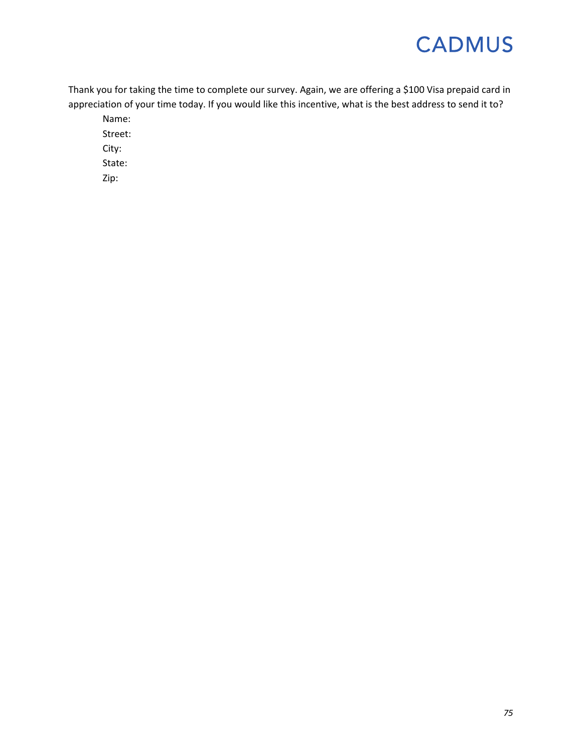Thank you for taking the time to complete our survey. Again, we are offering a \$100 Visa prepaid card in appreciation of your time today. If you would like this incentive, what is the best address to send it to?

Name: Street:

City:

State:

Zip: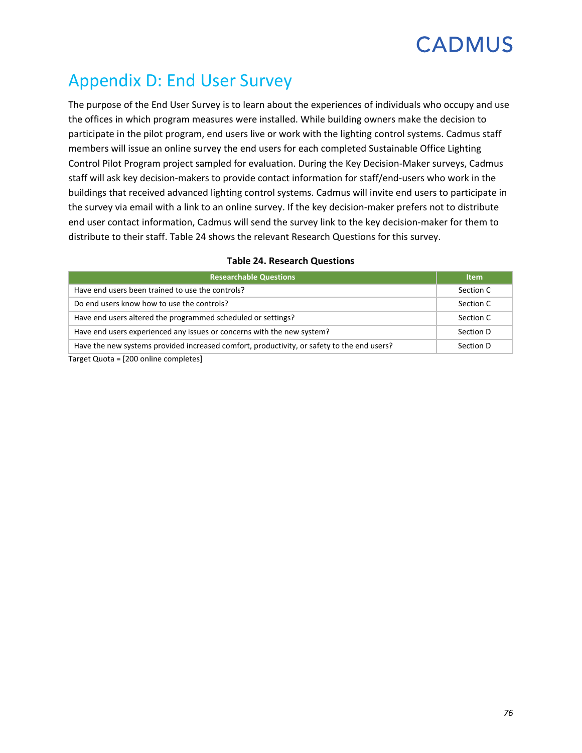### Appendix D: End User Survey

The purpose of the End User Survey is to learn about the experiences of individuals who occupy and use the offices in which program measures were installed. While building owners make the decision to participate in the pilot program, end users live or work with the lighting control systems. Cadmus staff members will issue an online survey the end users for each completed Sustainable Office Lighting Control Pilot Program project sampled for evaluation. During the Key Decision-Maker surveys, Cadmus staff will ask key decision-makers to provide contact information for staff/end-users who work in the buildings that received advanced lighting control systems. Cadmus will invite end users to participate in the survey via email with a link to an online survey. If the key decision-maker prefers not to distribute end user contact information, Cadmus will send the survey link to the key decision-maker for them to distribute to their staff. [Table 24](#page-78-0) shows the relevant Research Questions for this survey.

<span id="page-78-0"></span>

| <b>Researchable Questions</b>                                                              | <b>Item</b> |  |  |  |  |
|--------------------------------------------------------------------------------------------|-------------|--|--|--|--|
| Have end users been trained to use the controls?                                           | Section C   |  |  |  |  |
| Do end users know how to use the controls?                                                 | Section C   |  |  |  |  |
| Have end users altered the programmed scheduled or settings?                               | Section C   |  |  |  |  |
| Have end users experienced any issues or concerns with the new system?                     | Section D   |  |  |  |  |
| Have the new systems provided increased comfort, productivity, or safety to the end users? | Section D   |  |  |  |  |
| Target Quota – [200 online completes]                                                      |             |  |  |  |  |

#### **Table 24. Research Questions**

Target Quota = [200 online completes]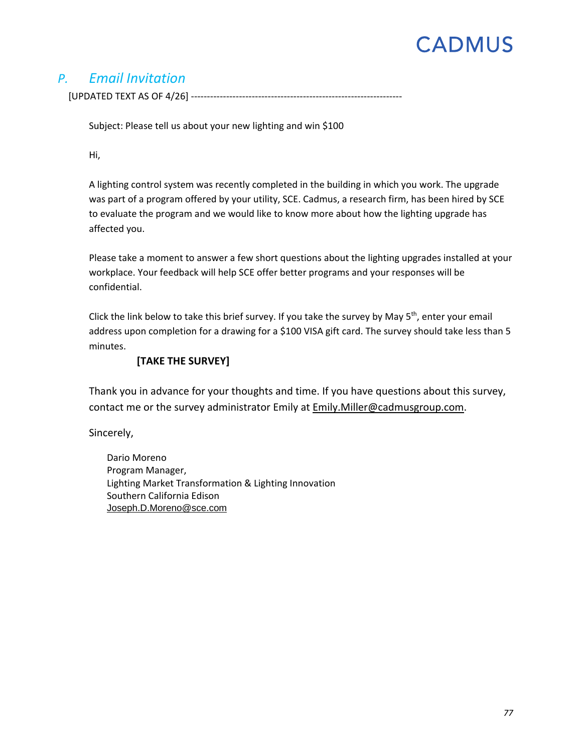### *P. Email Invitation*

[UPDATED TEXT AS OF 4/26] ------------------------------------------------------------------

Subject: Please tell us about your new lighting and win \$100

Hi,

A lighting control system was recently completed in the building in which you work. The upgrade was part of a program offered by your utility, SCE. Cadmus, a research firm, has been hired by SCE to evaluate the program and we would like to know more about how the lighting upgrade has affected you.

Please take a moment to answer a few short questions about the lighting upgrades installed at your workplace. Your feedback will help SCE offer better programs and your responses will be confidential.

Click the link below to take this brief survey. If you take the survey by May  $5<sup>th</sup>$ , enter your email address upon completion for a drawing for a \$100 VISA gift card. The survey should take less than 5 minutes.

#### **[TAKE THE SURVEY]**

Thank you in advance for your thoughts and time. If you have questions about this survey, contact me or the survey administrator Emily at [Emily.Miller@cadmusgroup.com.](mailto:Emily.Miller@cadmusgroup.com)

Sincerely,

Dario Moreno Program Manager, Lighting Market Transformation & Lighting Innovation Southern California Edison [Joseph.D.Moreno@sce.com](mailto:Joseph.D.Moreno@sce.com)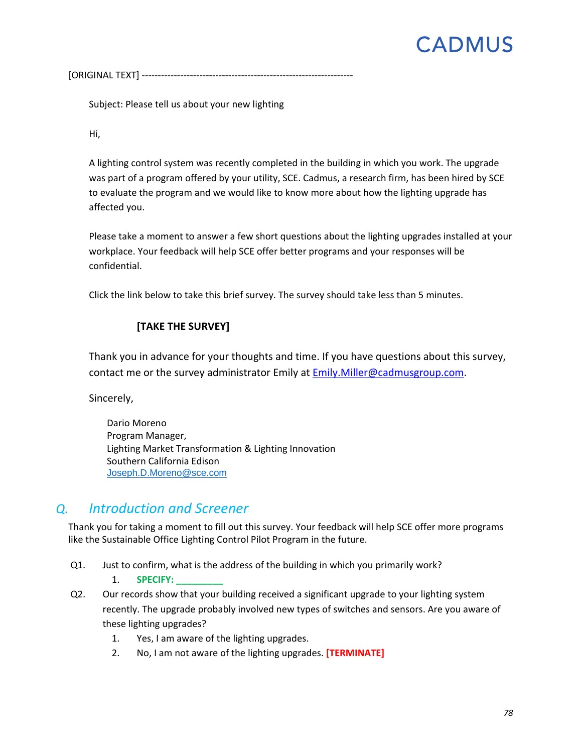[ORIGINAL TEXT] ------------------------------------------------------------------

Subject: Please tell us about your new lighting

Hi,

A lighting control system was recently completed in the building in which you work. The upgrade was part of a program offered by your utility, SCE. Cadmus, a research firm, has been hired by SCE to evaluate the program and we would like to know more about how the lighting upgrade has affected you.

Please take a moment to answer a few short questions about the lighting upgrades installed at your workplace. Your feedback will help SCE offer better programs and your responses will be confidential.

Click the link below to take this brief survey. The survey should take less than 5 minutes.

#### **[TAKE THE SURVEY]**

Thank you in advance for your thoughts and time. If you have questions about this survey, contact me or the survey administrator Emily at [Emily.Miller@cadmusgroup.com.](mailto:Emily.Miller@cadmusgroup.com)

Sincerely,

Dario Moreno Program Manager, Lighting Market Transformation & Lighting Innovation Southern California Edison [Joseph.D.Moreno@sce.com](mailto:Joseph.D.Moreno@sce.com)

### *Q. Introduction and Screener*

Thank you for taking a moment to fill out this survey. Your feedback will help SCE offer more programs like the Sustainable Office Lighting Control Pilot Program in the future.

Q1. Just to confirm, what is the address of the building in which you primarily work?

1. **SPECIFY: \_\_\_\_\_\_\_\_\_**

- Q2. Our records show that your building received a significant upgrade to your lighting system recently. The upgrade probably involved new types of switches and sensors. Are you aware of these lighting upgrades?
	- 1. Yes, I am aware of the lighting upgrades.
	- 2. No, I am not aware of the lighting upgrades. **[TERMINATE]**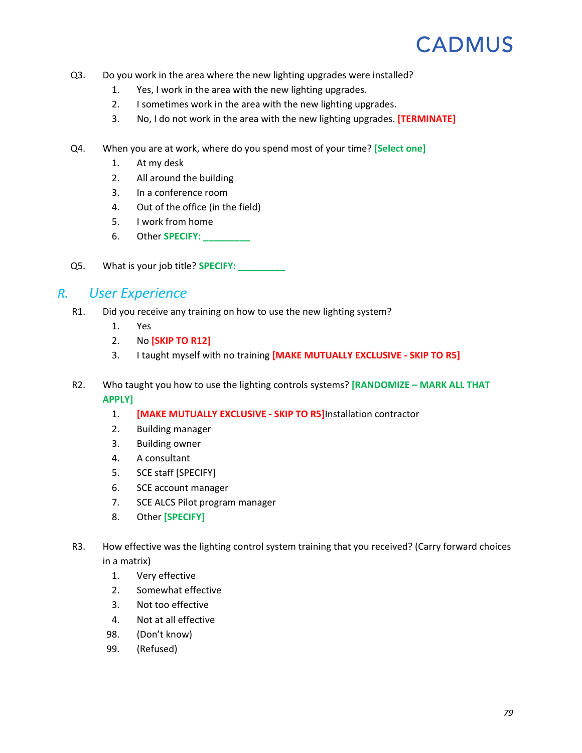- Q3. Do you work in the area where the new lighting upgrades were installed?
	- 1. Yes, I work in the area with the new lighting upgrades.
	- 2. I sometimes work in the area with the new lighting upgrades.
	- 3. No, I do not work in the area with the new lighting upgrades. **[TERMINATE]**
- Q4. When you are at work, where do you spend most of your time? **[Select one]**
	- 1. At my desk
	- 2. All around the building
	- 3. In a conference room
	- 4. Out of the office (in the field)
	- 5. I work from home
	- 6. Other **SPECIFY: \_\_\_\_\_\_\_\_\_**
- Q5. What is your job title? **SPECIFY: \_\_\_\_\_\_\_\_\_**

### *R. User Experience*

- R1. Did you receive any training on how to use the new lighting system?
	- 1. Yes
	- 2. No **[SKIP TO [R12\]](#page-82-0)**
	- 3. I taught myself with no training **[MAKE MUTUALLY EXCLUSIVE - SKIP TO [R5\]](#page-82-1)**
- R2. Who taught you how to use the lighting controls systems? **[RANDOMIZE – MARK ALL THAT APPLY]**
	- 1. **[MAKE MUTUALLY EXCLUSIVE - SKIP T[O R5\]](#page-82-1)**Installation contractor
	- 2. Building manager
	- 3. Building owner
	- 4. A consultant
	- 5. SCE staff [SPECIFY]
	- 6. SCE account manager
	- 7. SCE ALCS Pilot program manager
	- 8. Other **[SPECIFY]**
- <span id="page-81-0"></span>R3. How effective was the lighting control system training that you received? (Carry forward choices in a matrix)
	- 1. Very effective
	- 2. Somewhat effective
	- 3. Not too effective
	- 4. Not at all effective
	- 98. (Don't know)
	- 99. (Refused)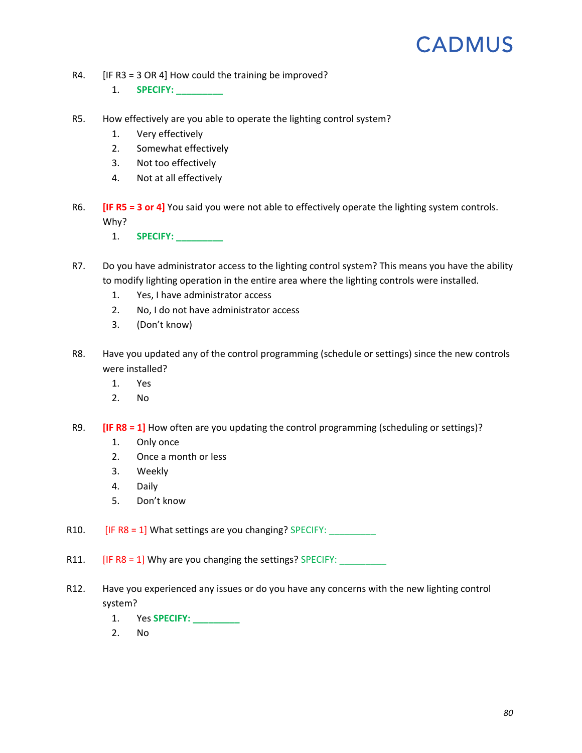- R4. [I[F R3](#page-81-0) = 3 OR 4] How could the training be improved?
	- 1. **SPECIFY: \_\_\_\_\_\_\_\_\_**
- <span id="page-82-1"></span>R5. How effectively are you able to operate the lighting control system?
	- 1. Very effectively
	- 2. Somewhat effectively
	- 3. Not too effectively
	- 4. Not at all effectively
- R6. **[IF [R5](#page-82-1) = 3 or 4]** You said you were not able to effectively operate the lighting system controls. Why?
	- 1. **SPECIFY: \_\_\_\_\_\_\_\_\_**
- R7. Do you have administrator access to the lighting control system? This means you have the ability to modify lighting operation in the entire area where the lighting controls were installed.
	- 1. Yes, I have administrator access
	- 2. No, I do not have administrator access
	- 3. (Don't know)
- <span id="page-82-2"></span>R8. Have you updated any of the control programming (schedule or settings) since the new controls were installed?
	- 1. Yes
	- 2. No
- R9. **[IF [R8](#page-82-2) = 1]** How often are you updating the control programming (scheduling or settings)?
	- 1. Only once
	- 2. Once a month or less
	- 3. Weekly
	- 4. Daily
	- 5. Don't know

R10.  $[IF R8 = 1] What setting are you changing? SPECIFY:$  $[IF R8 = 1] What setting are you changing? SPECIFY:$  $[IF R8 = 1] What setting are you changing? SPECIFY:$ 

R11. [I[F R8](#page-82-2) = 1] Why are you changing the settings? SPECIFY: \_\_\_\_\_\_\_\_\_

- <span id="page-82-0"></span>R12. Have you experienced any issues or do you have any concerns with the new lighting control system?
	- 1. Yes **SPECIFY: \_\_\_\_\_\_\_\_\_**
	- 2. No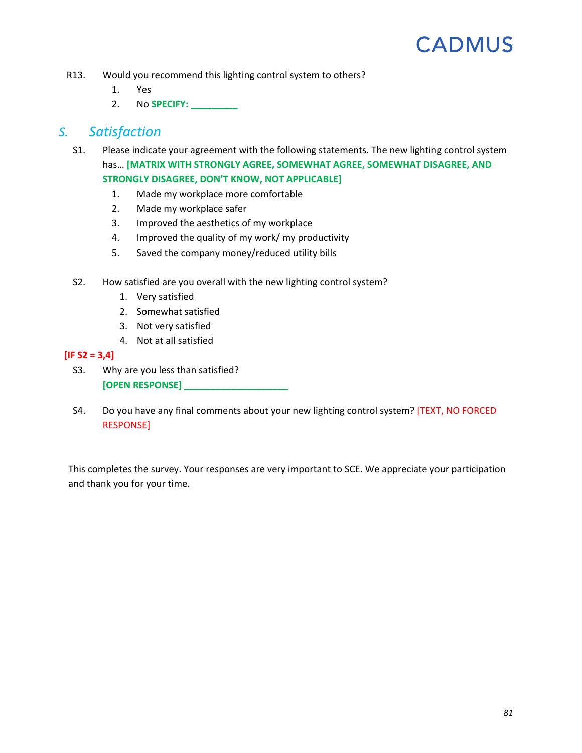- R13. Would you recommend this lighting control system to others?
	- 1. Yes
	- 2. No **SPECIFY: \_\_\_\_\_\_\_\_\_**

#### *S. Satisfaction*

- S1. Please indicate your agreement with the following statements. The new lighting control system has… **[MATRIX WITH STRONGLY AGREE, SOMEWHAT AGREE, SOMEWHAT DISAGREE, AND STRONGLY DISAGREE, DON'T KNOW, NOT APPLICABLE]**
	- 1. Made my workplace more comfortable
	- 2. Made my workplace safer
	- 3. Improved the aesthetics of my workplace
	- 4. Improved the quality of my work/ my productivity
	- 5. Saved the company money/reduced utility bills
- <span id="page-83-0"></span>S2. How satisfied are you overall with the new lighting control system?
	- 1. Very satisfied
	- 2. Somewhat satisfied
	- 3. Not very satisfied
	- 4. Not at all satisfied

#### **[I[F S2](#page-83-0) = 3,4]**

- S3. Why are you less than satisfied? **[OPEN RESPONSE] \_\_\_\_\_\_\_\_\_\_\_\_\_\_\_\_\_\_\_\_**
- S4. Do you have any final comments about your new lighting control system? [TEXT, NO FORCED RESPONSE]

This completes the survey. Your responses are very important to SCE. We appreciate your participation and thank you for your time.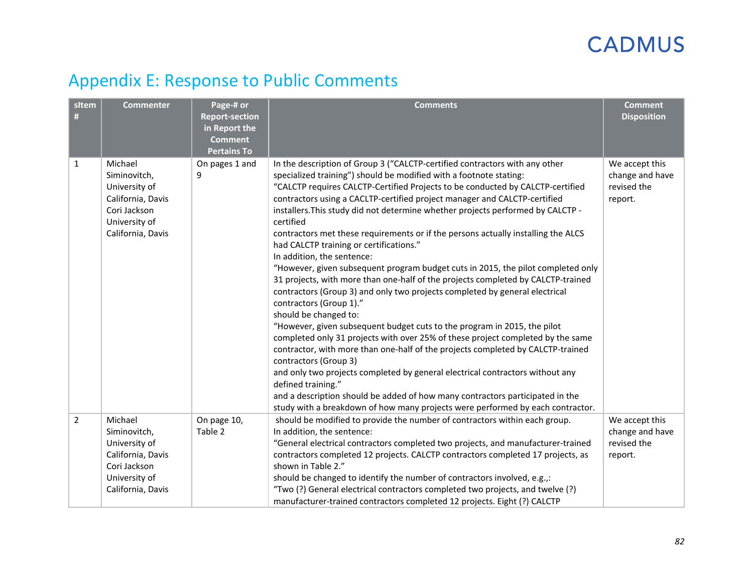### Appendix E: Response to Public Comments

| sitem<br>#     | <b>Commenter</b>                                                                                                    | Page-# or<br><b>Report-section</b><br>in Report the<br><b>Comment</b><br><b>Pertains To</b> | <b>Comments</b>                                                                                                                                                                                                                                                                                                                                                                                                                                                                                                                                                                                                                                                                                                                                                                                                                                                                                                                                                                                                                                                                                                                                                                                                                                                                                                                                                                                                                                | <b>Comment</b><br><b>Disposition</b>                        |
|----------------|---------------------------------------------------------------------------------------------------------------------|---------------------------------------------------------------------------------------------|------------------------------------------------------------------------------------------------------------------------------------------------------------------------------------------------------------------------------------------------------------------------------------------------------------------------------------------------------------------------------------------------------------------------------------------------------------------------------------------------------------------------------------------------------------------------------------------------------------------------------------------------------------------------------------------------------------------------------------------------------------------------------------------------------------------------------------------------------------------------------------------------------------------------------------------------------------------------------------------------------------------------------------------------------------------------------------------------------------------------------------------------------------------------------------------------------------------------------------------------------------------------------------------------------------------------------------------------------------------------------------------------------------------------------------------------|-------------------------------------------------------------|
| 1              | Michael<br>Siminovitch,<br>University of<br>California, Davis<br>Cori Jackson<br>University of<br>California, Davis | On pages 1 and<br>9                                                                         | In the description of Group 3 ("CALCTP-certified contractors with any other<br>specialized training") should be modified with a footnote stating:<br>"CALCTP requires CALCTP-Certified Projects to be conducted by CALCTP-certified<br>contractors using a CACLTP-certified project manager and CALCTP-certified<br>installers. This study did not determine whether projects performed by CALCTP -<br>certified<br>contractors met these requirements or if the persons actually installing the ALCS<br>had CALCTP training or certifications."<br>In addition, the sentence:<br>"However, given subsequent program budget cuts in 2015, the pilot completed only<br>31 projects, with more than one-half of the projects completed by CALCTP-trained<br>contractors (Group 3) and only two projects completed by general electrical<br>contractors (Group 1)."<br>should be changed to:<br>"However, given subsequent budget cuts to the program in 2015, the pilot<br>completed only 31 projects with over 25% of these project completed by the same<br>contractor, with more than one-half of the projects completed by CALCTP-trained<br>contractors (Group 3)<br>and only two projects completed by general electrical contractors without any<br>defined training."<br>and a description should be added of how many contractors participated in the<br>study with a breakdown of how many projects were performed by each contractor. | We accept this<br>change and have<br>revised the<br>report. |
| $\overline{2}$ | Michael<br>Siminovitch,<br>University of<br>California, Davis<br>Cori Jackson<br>University of<br>California, Davis | On page 10,<br>Table 2                                                                      | should be modified to provide the number of contractors within each group.<br>In addition, the sentence:<br>"General electrical contractors completed two projects, and manufacturer-trained<br>contractors completed 12 projects. CALCTP contractors completed 17 projects, as<br>shown in Table 2."<br>should be changed to identify the number of contractors involved, e.g.,:<br>"Two (?) General electrical contractors completed two projects, and twelve (?)<br>manufacturer-trained contractors completed 12 projects. Eight (?) CALCTP                                                                                                                                                                                                                                                                                                                                                                                                                                                                                                                                                                                                                                                                                                                                                                                                                                                                                                | We accept this<br>change and have<br>revised the<br>report. |